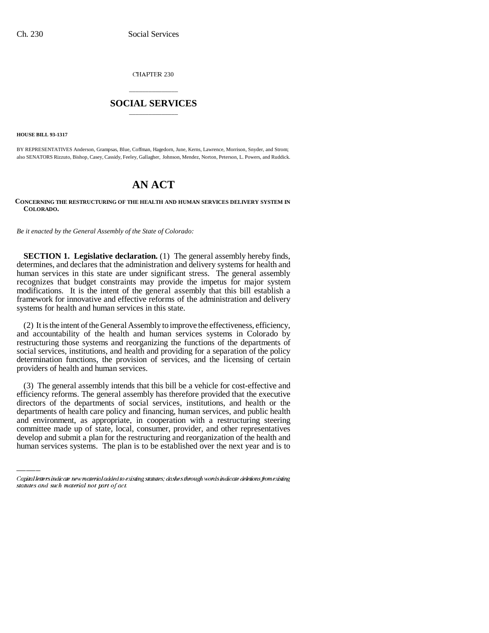CHAPTER 230

## \_\_\_\_\_\_\_\_\_\_\_\_\_\_\_ **SOCIAL SERVICES** \_\_\_\_\_\_\_\_\_\_\_\_\_\_\_

**HOUSE BILL 93-1317**

BY REPRESENTATIVES Anderson, Grampsas, Blue, Coffman, Hagedorn, June, Kerns, Lawrence, Morrison, Snyder, and Strom; also SENATORS Rizzuto, Bishop, Casey, Cassidy, Feeley, Gallagher, Johnson, Mendez, Norton, Peterson, L. Powers, and Ruddick.

# **AN ACT**

## **CONCERNING THE RESTRUCTURING OF THE HEALTH AND HUMAN SERVICES DELIVERY SYSTEM IN COLORADO.**

*Be it enacted by the General Assembly of the State of Colorado:*

**SECTION 1. Legislative declaration.** (1) The general assembly hereby finds, determines, and declares that the administration and delivery systems for health and human services in this state are under significant stress. The general assembly recognizes that budget constraints may provide the impetus for major system modifications. It is the intent of the general assembly that this bill establish a framework for innovative and effective reforms of the administration and delivery systems for health and human services in this state.

(2) It is the intent of the General Assembly to improve the effectiveness, efficiency, and accountability of the health and human services systems in Colorado by restructuring those systems and reorganizing the functions of the departments of social services, institutions, and health and providing for a separation of the policy determination functions, the provision of services, and the licensing of certain providers of health and human services.

departments of health care policy and financing, human services, and public health (3) The general assembly intends that this bill be a vehicle for cost-effective and efficiency reforms. The general assembly has therefore provided that the executive directors of the departments of social services, institutions, and health or the and environment, as appropriate, in cooperation with a restructuring steering committee made up of state, local, consumer, provider, and other representatives develop and submit a plan for the restructuring and reorganization of the health and human services systems. The plan is to be established over the next year and is to

Capital letters indicate new material added to existing statutes; dashes through words indicate deletions from existing statutes and such material not part of act.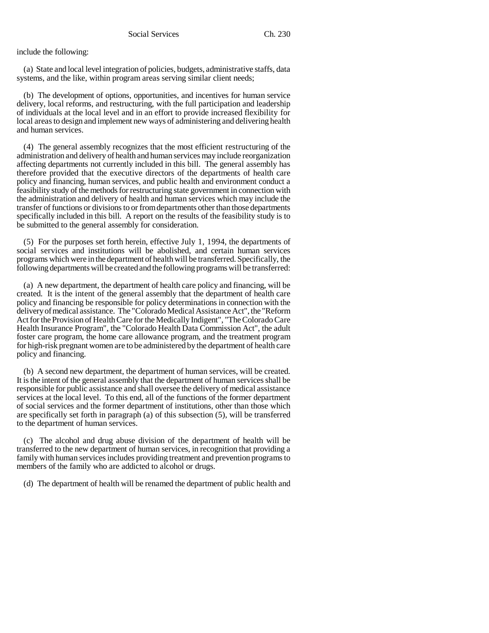include the following:

(a) State and local level integration of policies, budgets, administrative staffs, data systems, and the like, within program areas serving similar client needs;

(b) The development of options, opportunities, and incentives for human service delivery, local reforms, and restructuring, with the full participation and leadership of individuals at the local level and in an effort to provide increased flexibility for local areas to design and implement new ways of administering and delivering health and human services.

(4) The general assembly recognizes that the most efficient restructuring of the administration and delivery of health and human services may include reorganization affecting departments not currently included in this bill. The general assembly has therefore provided that the executive directors of the departments of health care policy and financing, human services, and public health and environment conduct a feasibility study of the methods for restructuring state government in connection with the administration and delivery of health and human services which may include the transfer of functions or divisions to or from departments other than those departments specifically included in this bill. A report on the results of the feasibility study is to be submitted to the general assembly for consideration.

(5) For the purposes set forth herein, effective July 1, 1994, the departments of social services and institutions will be abolished, and certain human services programs which were in the department of health will be transferred. Specifically, the following departments will be created and the following programs will be transferred:

(a) A new department, the department of health care policy and financing, will be created. It is the intent of the general assembly that the department of health care policy and financing be responsible for policy determinations in connection with the delivery of medical assistance. The "Colorado Medical Assistance Act", the "Reform Act for the Provision of Health Care for the Medically Indigent", "The Colorado Care Health Insurance Program", the "Colorado Health Data Commission Act", the adult foster care program, the home care allowance program, and the treatment program for high-risk pregnant women are to be administered by the department of health care policy and financing.

(b) A second new department, the department of human services, will be created. It is the intent of the general assembly that the department of human services shall be responsible for public assistance and shall oversee the delivery of medical assistance services at the local level. To this end, all of the functions of the former department of social services and the former department of institutions, other than those which are specifically set forth in paragraph (a) of this subsection (5), will be transferred to the department of human services.

(c) The alcohol and drug abuse division of the department of health will be transferred to the new department of human services, in recognition that providing a family with human services includes providing treatment and prevention programs to members of the family who are addicted to alcohol or drugs.

(d) The department of health will be renamed the department of public health and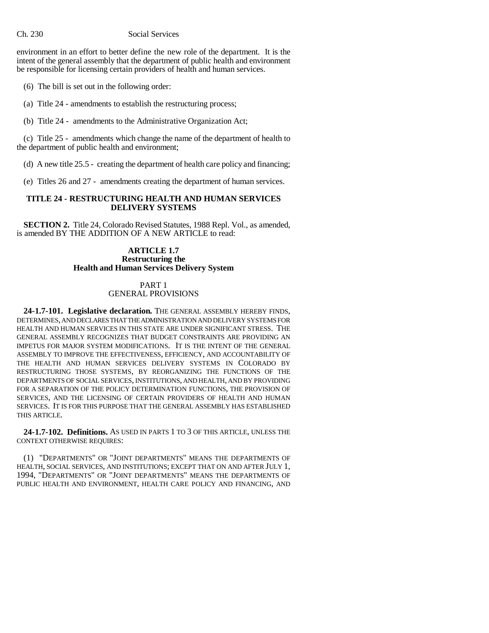environment in an effort to better define the new role of the department. It is the intent of the general assembly that the department of public health and environment be responsible for licensing certain providers of health and human services.

(6) The bill is set out in the following order:

(a) Title 24 - amendments to establish the restructuring process;

(b) Title 24 - amendments to the Administrative Organization Act;

(c) Title 25 - amendments which change the name of the department of health to the department of public health and environment;

(d) A new title 25.5 - creating the department of health care policy and financing;

(e) Titles 26 and 27 - amendments creating the department of human services.

## **TITLE 24 - RESTRUCTURING HEALTH AND HUMAN SERVICES DELIVERY SYSTEMS**

**SECTION 2.** Title 24, Colorado Revised Statutes, 1988 Repl. Vol., as amended, is amended BY THE ADDITION OF A NEW ARTICLE to read:

## **ARTICLE 1.7 Restructuring the Health and Human Services Delivery System**

## PART 1 GENERAL PROVISIONS

**24-1.7-101. Legislative declaration.** THE GENERAL ASSEMBLY HEREBY FINDS, DETERMINES, AND DECLARES THAT THE ADMINISTRATION AND DELIVERY SYSTEMS FOR HEALTH AND HUMAN SERVICES IN THIS STATE ARE UNDER SIGNIFICANT STRESS. THE GENERAL ASSEMBLY RECOGNIZES THAT BUDGET CONSTRAINTS ARE PROVIDING AN IMPETUS FOR MAJOR SYSTEM MODIFICATIONS. IT IS THE INTENT OF THE GENERAL ASSEMBLY TO IMPROVE THE EFFECTIVENESS, EFFICIENCY, AND ACCOUNTABILITY OF THE HEALTH AND HUMAN SERVICES DELIVERY SYSTEMS IN COLORADO BY RESTRUCTURING THOSE SYSTEMS, BY REORGANIZING THE FUNCTIONS OF THE DEPARTMENTS OF SOCIAL SERVICES, INSTITUTIONS, AND HEALTH, AND BY PROVIDING FOR A SEPARATION OF THE POLICY DETERMINATION FUNCTIONS, THE PROVISION OF SERVICES, AND THE LICENSING OF CERTAIN PROVIDERS OF HEALTH AND HUMAN SERVICES. IT IS FOR THIS PURPOSE THAT THE GENERAL ASSEMBLY HAS ESTABLISHED THIS ARTICLE.

**24-1.7-102. Definitions.** AS USED IN PARTS 1 TO 3 OF THIS ARTICLE, UNLESS THE CONTEXT OTHERWISE REQUIRES:

(1) "DEPARTMENTS" OR "JOINT DEPARTMENTS" MEANS THE DEPARTMENTS OF HEALTH, SOCIAL SERVICES, AND INSTITUTIONS; EXCEPT THAT ON AND AFTER JULY 1, 1994, "DEPARTMENTS" OR "JOINT DEPARTMENTS" MEANS THE DEPARTMENTS OF PUBLIC HEALTH AND ENVIRONMENT, HEALTH CARE POLICY AND FINANCING, AND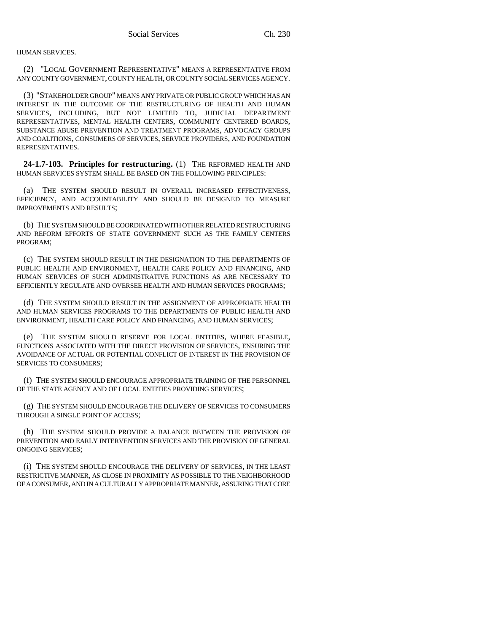HUMAN SERVICES.

(2) "LOCAL GOVERNMENT REPRESENTATIVE" MEANS A REPRESENTATIVE FROM ANY COUNTY GOVERNMENT, COUNTY HEALTH, OR COUNTY SOCIAL SERVICES AGENCY.

(3) "STAKEHOLDER GROUP" MEANS ANY PRIVATE OR PUBLIC GROUP WHICH HAS AN INTEREST IN THE OUTCOME OF THE RESTRUCTURING OF HEALTH AND HUMAN SERVICES, INCLUDING, BUT NOT LIMITED TO, JUDICIAL DEPARTMENT REPRESENTATIVES, MENTAL HEALTH CENTERS, COMMUNITY CENTERED BOARDS, SUBSTANCE ABUSE PREVENTION AND TREATMENT PROGRAMS, ADVOCACY GROUPS AND COALITIONS, CONSUMERS OF SERVICES, SERVICE PROVIDERS, AND FOUNDATION REPRESENTATIVES.

**24-1.7-103. Principles for restructuring.** (1) THE REFORMED HEALTH AND HUMAN SERVICES SYSTEM SHALL BE BASED ON THE FOLLOWING PRINCIPLES:

(a) THE SYSTEM SHOULD RESULT IN OVERALL INCREASED EFFECTIVENESS, EFFICIENCY, AND ACCOUNTABILITY AND SHOULD BE DESIGNED TO MEASURE IMPROVEMENTS AND RESULTS;

(b) THE SYSTEM SHOULD BE COORDINATED WITH OTHER RELATED RESTRUCTURING AND REFORM EFFORTS OF STATE GOVERNMENT SUCH AS THE FAMILY CENTERS PROGRAM;

(c) THE SYSTEM SHOULD RESULT IN THE DESIGNATION TO THE DEPARTMENTS OF PUBLIC HEALTH AND ENVIRONMENT, HEALTH CARE POLICY AND FINANCING, AND HUMAN SERVICES OF SUCH ADMINISTRATIVE FUNCTIONS AS ARE NECESSARY TO EFFICIENTLY REGULATE AND OVERSEE HEALTH AND HUMAN SERVICES PROGRAMS;

(d) THE SYSTEM SHOULD RESULT IN THE ASSIGNMENT OF APPROPRIATE HEALTH AND HUMAN SERVICES PROGRAMS TO THE DEPARTMENTS OF PUBLIC HEALTH AND ENVIRONMENT, HEALTH CARE POLICY AND FINANCING, AND HUMAN SERVICES;

(e) THE SYSTEM SHOULD RESERVE FOR LOCAL ENTITIES, WHERE FEASIBLE, FUNCTIONS ASSOCIATED WITH THE DIRECT PROVISION OF SERVICES, ENSURING THE AVOIDANCE OF ACTUAL OR POTENTIAL CONFLICT OF INTEREST IN THE PROVISION OF SERVICES TO CONSUMERS;

(f) THE SYSTEM SHOULD ENCOURAGE APPROPRIATE TRAINING OF THE PERSONNEL OF THE STATE AGENCY AND OF LOCAL ENTITIES PROVIDING SERVICES;

(g) THE SYSTEM SHOULD ENCOURAGE THE DELIVERY OF SERVICES TO CONSUMERS THROUGH A SINGLE POINT OF ACCESS;

(h) THE SYSTEM SHOULD PROVIDE A BALANCE BETWEEN THE PROVISION OF PREVENTION AND EARLY INTERVENTION SERVICES AND THE PROVISION OF GENERAL ONGOING SERVICES;

(i) THE SYSTEM SHOULD ENCOURAGE THE DELIVERY OF SERVICES, IN THE LEAST RESTRICTIVE MANNER, AS CLOSE IN PROXIMITY AS POSSIBLE TO THE NEIGHBORHOOD OF A CONSUMER, AND IN A CULTURALLY APPROPRIATE MANNER, ASSURING THAT CORE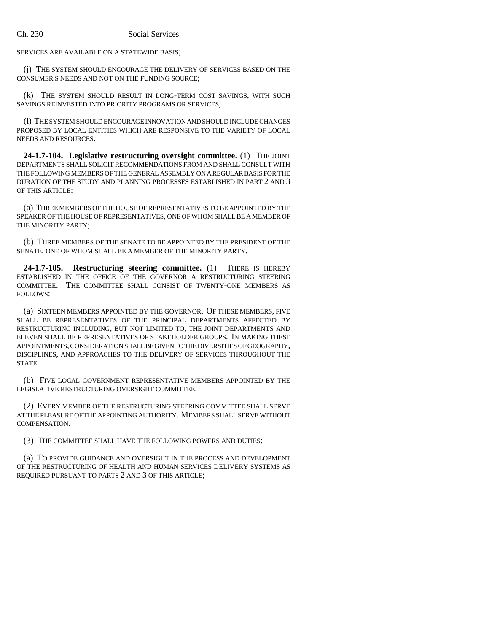SERVICES ARE AVAILABLE ON A STATEWIDE BASIS;

(j) THE SYSTEM SHOULD ENCOURAGE THE DELIVERY OF SERVICES BASED ON THE CONSUMER'S NEEDS AND NOT ON THE FUNDING SOURCE;

(k) THE SYSTEM SHOULD RESULT IN LONG-TERM COST SAVINGS, WITH SUCH SAVINGS REINVESTED INTO PRIORITY PROGRAMS OR SERVICES;

(l) THE SYSTEM SHOULD ENCOURAGE INNOVATION AND SHOULD INCLUDE CHANGES PROPOSED BY LOCAL ENTITIES WHICH ARE RESPONSIVE TO THE VARIETY OF LOCAL NEEDS AND RESOURCES.

**24-1.7-104. Legislative restructuring oversight committee.** (1) THE JOINT DEPARTMENTS SHALL SOLICIT RECOMMENDATIONS FROM AND SHALL CONSULT WITH THE FOLLOWING MEMBERS OF THE GENERAL ASSEMBLY ON A REGULAR BASIS FOR THE DURATION OF THE STUDY AND PLANNING PROCESSES ESTABLISHED IN PART 2 AND 3 OF THIS ARTICLE:

(a) THREE MEMBERS OF THE HOUSE OF REPRESENTATIVES TO BE APPOINTED BY THE SPEAKER OF THE HOUSE OF REPRESENTATIVES, ONE OF WHOM SHALL BE A MEMBER OF THE MINORITY PARTY;

(b) THREE MEMBERS OF THE SENATE TO BE APPOINTED BY THE PRESIDENT OF THE SENATE, ONE OF WHOM SHALL BE A MEMBER OF THE MINORITY PARTY.

**24-1.7-105. Restructuring steering committee.** (1) THERE IS HEREBY ESTABLISHED IN THE OFFICE OF THE GOVERNOR A RESTRUCTURING STEERING COMMITTEE. THE COMMITTEE SHALL CONSIST OF TWENTY-ONE MEMBERS AS FOLLOWS:

(a) SIXTEEN MEMBERS APPOINTED BY THE GOVERNOR. OF THESE MEMBERS, FIVE SHALL BE REPRESENTATIVES OF THE PRINCIPAL DEPARTMENTS AFFECTED BY RESTRUCTURING INCLUDING, BUT NOT LIMITED TO, THE JOINT DEPARTMENTS AND ELEVEN SHALL BE REPRESENTATIVES OF STAKEHOLDER GROUPS. IN MAKING THESE APPOINTMENTS, CONSIDERATION SHALL BE GIVEN TO THE DIVERSITIES OF GEOGRAPHY, DISCIPLINES, AND APPROACHES TO THE DELIVERY OF SERVICES THROUGHOUT THE STATE.

(b) FIVE LOCAL GOVERNMENT REPRESENTATIVE MEMBERS APPOINTED BY THE LEGISLATIVE RESTRUCTURING OVERSIGHT COMMITTEE.

(2) EVERY MEMBER OF THE RESTRUCTURING STEERING COMMITTEE SHALL SERVE AT THE PLEASURE OF THE APPOINTING AUTHORITY. MEMBERS SHALL SERVE WITHOUT COMPENSATION.

(3) THE COMMITTEE SHALL HAVE THE FOLLOWING POWERS AND DUTIES:

(a) TO PROVIDE GUIDANCE AND OVERSIGHT IN THE PROCESS AND DEVELOPMENT OF THE RESTRUCTURING OF HEALTH AND HUMAN SERVICES DELIVERY SYSTEMS AS REQUIRED PURSUANT TO PARTS 2 AND 3 OF THIS ARTICLE;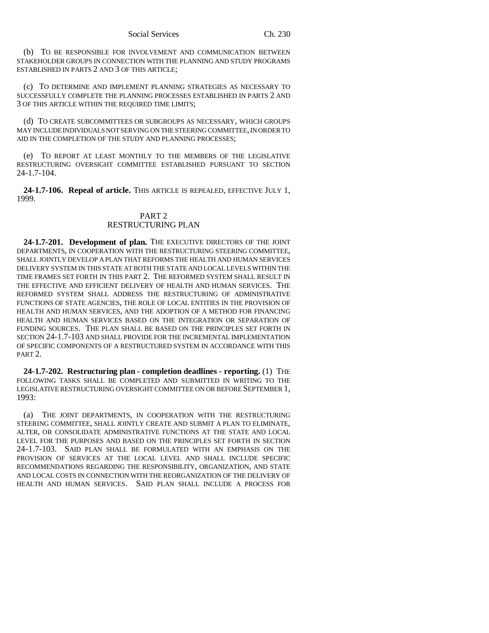(b) TO BE RESPONSIBLE FOR INVOLVEMENT AND COMMUNICATION BETWEEN STAKEHOLDER GROUPS IN CONNECTION WITH THE PLANNING AND STUDY PROGRAMS ESTABLISHED IN PARTS 2 AND 3 OF THIS ARTICLE;

(c) TO DETERMINE AND IMPLEMENT PLANNING STRATEGIES AS NECESSARY TO SUCCESSFULLY COMPLETE THE PLANNING PROCESSES ESTABLISHED IN PARTS 2 AND 3 OF THIS ARTICLE WITHIN THE REQUIRED TIME LIMITS;

(d) TO CREATE SUBCOMMITTEES OR SUBGROUPS AS NECESSARY, WHICH GROUPS MAY INCLUDE INDIVIDUALS NOT SERVING ON THE STEERING COMMITTEE, IN ORDER TO AID IN THE COMPLETION OF THE STUDY AND PLANNING PROCESSES;

(e) TO REPORT AT LEAST MONTHLY TO THE MEMBERS OF THE LEGISLATIVE RESTRUCTURING OVERSIGHT COMMITTEE ESTABLISHED PURSUANT TO SECTION 24-1.7-104.

**24-1.7-106. Repeal of article.** THIS ARTICLE IS REPEALED, EFFECTIVE JULY 1, 1999.

## PART 2 RESTRUCTURING PLAN

**24-1.7-201. Development of plan.** THE EXECUTIVE DIRECTORS OF THE JOINT DEPARTMENTS, IN COOPERATION WITH THE RESTRUCTURING STEERING COMMITTEE, SHALL JOINTLY DEVELOP A PLAN THAT REFORMS THE HEALTH AND HUMAN SERVICES DELIVERY SYSTEM IN THIS STATE AT BOTH THE STATE AND LOCAL LEVELS WITHIN THE TIME FRAMES SET FORTH IN THIS PART 2. THE REFORMED SYSTEM SHALL RESULT IN THE EFFECTIVE AND EFFICIENT DELIVERY OF HEALTH AND HUMAN SERVICES. THE REFORMED SYSTEM SHALL ADDRESS THE RESTRUCTURING OF ADMINISTRATIVE FUNCTIONS OF STATE AGENCIES, THE ROLE OF LOCAL ENTITIES IN THE PROVISION OF HEALTH AND HUMAN SERVICES, AND THE ADOPTION OF A METHOD FOR FINANCING HEALTH AND HUMAN SERVICES BASED ON THE INTEGRATION OR SEPARATION OF FUNDING SOURCES. THE PLAN SHALL BE BASED ON THE PRINCIPLES SET FORTH IN SECTION 24-1.7-103 AND SHALL PROVIDE FOR THE INCREMENTAL IMPLEMENTATION OF SPECIFIC COMPONENTS OF A RESTRUCTURED SYSTEM IN ACCORDANCE WITH THIS PART 2.

**24-1.7-202. Restructuring plan - completion deadlines - reporting.** (1) THE FOLLOWING TASKS SHALL BE COMPLETED AND SUBMITTED IN WRITING TO THE LEGISLATIVE RESTRUCTURING OVERSIGHT COMMITTEE ON OR BEFORE SEPTEMBER 1, 1993:

(a) THE JOINT DEPARTMENTS, IN COOPERATION WITH THE RESTRUCTURING STEERING COMMITTEE, SHALL JOINTLY CREATE AND SUBMIT A PLAN TO ELIMINATE, ALTER, OR CONSOLIDATE ADMINISTRATIVE FUNCTIONS AT THE STATE AND LOCAL LEVEL FOR THE PURPOSES AND BASED ON THE PRINCIPLES SET FORTH IN SECTION 24-1.7-103. SAID PLAN SHALL BE FORMULATED WITH AN EMPHASIS ON THE PROVISION OF SERVICES AT THE LOCAL LEVEL AND SHALL INCLUDE SPECIFIC RECOMMENDATIONS REGARDING THE RESPONSIBILITY, ORGANIZATION, AND STATE AND LOCAL COSTS IN CONNECTION WITH THE REORGANIZATION OF THE DELIVERY OF HEALTH AND HUMAN SERVICES. SAID PLAN SHALL INCLUDE A PROCESS FOR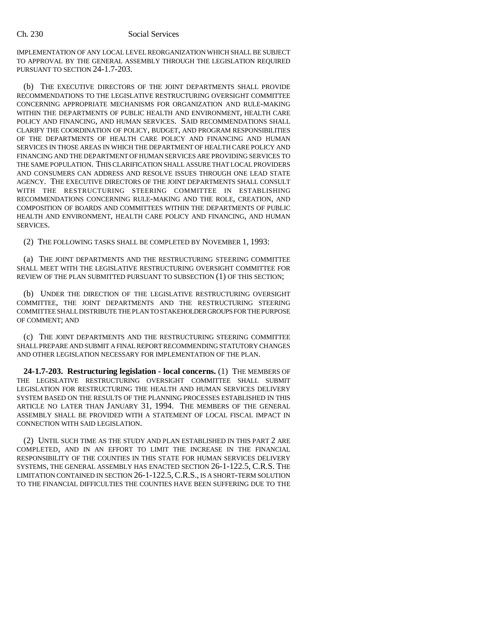IMPLEMENTATION OF ANY LOCAL LEVEL REORGANIZATION WHICH SHALL BE SUBJECT TO APPROVAL BY THE GENERAL ASSEMBLY THROUGH THE LEGISLATION REQUIRED PURSUANT TO SECTION 24-1.7-203.

(b) THE EXECUTIVE DIRECTORS OF THE JOINT DEPARTMENTS SHALL PROVIDE RECOMMENDATIONS TO THE LEGISLATIVE RESTRUCTURING OVERSIGHT COMMITTEE CONCERNING APPROPRIATE MECHANISMS FOR ORGANIZATION AND RULE-MAKING WITHIN THE DEPARTMENTS OF PUBLIC HEALTH AND ENVIRONMENT, HEALTH CARE POLICY AND FINANCING, AND HUMAN SERVICES. SAID RECOMMENDATIONS SHALL CLARIFY THE COORDINATION OF POLICY, BUDGET, AND PROGRAM RESPONSIBILITIES OF THE DEPARTMENTS OF HEALTH CARE POLICY AND FINANCING AND HUMAN SERVICES IN THOSE AREAS IN WHICH THE DEPARTMENT OF HEALTH CARE POLICY AND FINANCING AND THE DEPARTMENT OF HUMAN SERVICES ARE PROVIDING SERVICES TO THE SAME POPULATION. THIS CLARIFICATION SHALL ASSURE THAT LOCAL PROVIDERS AND CONSUMERS CAN ADDRESS AND RESOLVE ISSUES THROUGH ONE LEAD STATE AGENCY. THE EXECUTIVE DIRECTORS OF THE JOINT DEPARTMENTS SHALL CONSULT WITH THE RESTRUCTURING STEERING COMMITTEE IN ESTABLISHING RECOMMENDATIONS CONCERNING RULE-MAKING AND THE ROLE, CREATION, AND COMPOSITION OF BOARDS AND COMMITTEES WITHIN THE DEPARTMENTS OF PUBLIC HEALTH AND ENVIRONMENT, HEALTH CARE POLICY AND FINANCING, AND HUMAN SERVICES.

(2) THE FOLLOWING TASKS SHALL BE COMPLETED BY NOVEMBER 1, 1993:

(a) THE JOINT DEPARTMENTS AND THE RESTRUCTURING STEERING COMMITTEE SHALL MEET WITH THE LEGISLATIVE RESTRUCTURING OVERSIGHT COMMITTEE FOR REVIEW OF THE PLAN SUBMITTED PURSUANT TO SUBSECTION (1) OF THIS SECTION;

(b) UNDER THE DIRECTION OF THE LEGISLATIVE RESTRUCTURING OVERSIGHT COMMITTEE, THE JOINT DEPARTMENTS AND THE RESTRUCTURING STEERING COMMITTEE SHALL DISTRIBUTE THE PLAN TO STAKEHOLDER GROUPS FOR THE PURPOSE OF COMMENT; AND

(c) THE JOINT DEPARTMENTS AND THE RESTRUCTURING STEERING COMMITTEE SHALL PREPARE AND SUBMIT A FINAL REPORT RECOMMENDING STATUTORY CHANGES AND OTHER LEGISLATION NECESSARY FOR IMPLEMENTATION OF THE PLAN.

**24-1.7-203. Restructuring legislation - local concerns.** (1) THE MEMBERS OF THE LEGISLATIVE RESTRUCTURING OVERSIGHT COMMITTEE SHALL SUBMIT LEGISLATION FOR RESTRUCTURING THE HEALTH AND HUMAN SERVICES DELIVERY SYSTEM BASED ON THE RESULTS OF THE PLANNING PROCESSES ESTABLISHED IN THIS ARTICLE NO LATER THAN JANUARY 31, 1994. THE MEMBERS OF THE GENERAL ASSEMBLY SHALL BE PROVIDED WITH A STATEMENT OF LOCAL FISCAL IMPACT IN CONNECTION WITH SAID LEGISLATION.

(2) UNTIL SUCH TIME AS THE STUDY AND PLAN ESTABLISHED IN THIS PART 2 ARE COMPLETED, AND IN AN EFFORT TO LIMIT THE INCREASE IN THE FINANCIAL RESPONSIBILITY OF THE COUNTIES IN THIS STATE FOR HUMAN SERVICES DELIVERY SYSTEMS, THE GENERAL ASSEMBLY HAS ENACTED SECTION 26-1-122.5, C.R.S. THE LIMITATION CONTAINED IN SECTION 26-1-122.5,C.R.S., IS A SHORT-TERM SOLUTION TO THE FINANCIAL DIFFICULTIES THE COUNTIES HAVE BEEN SUFFERING DUE TO THE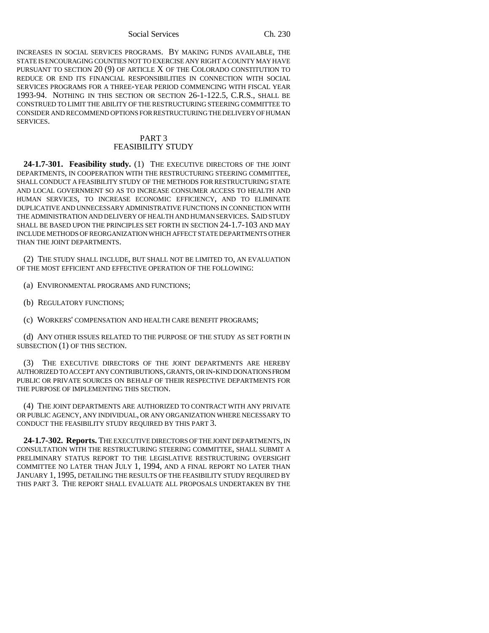Social Services Ch. 230

INCREASES IN SOCIAL SERVICES PROGRAMS. BY MAKING FUNDS AVAILABLE, THE STATE IS ENCOURAGING COUNTIES NOT TO EXERCISE ANY RIGHT A COUNTY MAY HAVE PURSUANT TO SECTION 20 (9) OF ARTICLE X OF THE COLORADO CONSTITUTION TO REDUCE OR END ITS FINANCIAL RESPONSIBILITIES IN CONNECTION WITH SOCIAL SERVICES PROGRAMS FOR A THREE-YEAR PERIOD COMMENCING WITH FISCAL YEAR 1993-94. NOTHING IN THIS SECTION OR SECTION 26-1-122.5, C.R.S., SHALL BE CONSTRUED TO LIMIT THE ABILITY OF THE RESTRUCTURING STEERING COMMITTEE TO CONSIDER AND RECOMMEND OPTIONS FOR RESTRUCTURING THE DELIVERY OF HUMAN SERVICES.

## PART 3 FEASIBILITY STUDY

**24-1.7-301. Feasibility study.** (1) THE EXECUTIVE DIRECTORS OF THE JOINT DEPARTMENTS, IN COOPERATION WITH THE RESTRUCTURING STEERING COMMITTEE, SHALL CONDUCT A FEASIBILITY STUDY OF THE METHODS FOR RESTRUCTURING STATE AND LOCAL GOVERNMENT SO AS TO INCREASE CONSUMER ACCESS TO HEALTH AND HUMAN SERVICES, TO INCREASE ECONOMIC EFFICIENCY, AND TO ELIMINATE DUPLICATIVE AND UNNECESSARY ADMINISTRATIVE FUNCTIONS IN CONNECTION WITH THE ADMINISTRATION AND DELIVERY OF HEALTH AND HUMAN SERVICES. SAID STUDY SHALL BE BASED UPON THE PRINCIPLES SET FORTH IN SECTION 24-1.7-103 AND MAY INCLUDE METHODS OF REORGANIZATION WHICH AFFECT STATE DEPARTMENTS OTHER THAN THE JOINT DEPARTMENTS.

(2) THE STUDY SHALL INCLUDE, BUT SHALL NOT BE LIMITED TO, AN EVALUATION OF THE MOST EFFICIENT AND EFFECTIVE OPERATION OF THE FOLLOWING:

(a) ENVIRONMENTAL PROGRAMS AND FUNCTIONS;

(b) REGULATORY FUNCTIONS;

(c) WORKERS' COMPENSATION AND HEALTH CARE BENEFIT PROGRAMS;

(d) ANY OTHER ISSUES RELATED TO THE PURPOSE OF THE STUDY AS SET FORTH IN SUBSECTION (1) OF THIS SECTION.

(3) THE EXECUTIVE DIRECTORS OF THE JOINT DEPARTMENTS ARE HEREBY AUTHORIZED TO ACCEPT ANY CONTRIBUTIONS, GRANTS, OR IN-KIND DONATIONS FROM PUBLIC OR PRIVATE SOURCES ON BEHALF OF THEIR RESPECTIVE DEPARTMENTS FOR THE PURPOSE OF IMPLEMENTING THIS SECTION.

(4) THE JOINT DEPARTMENTS ARE AUTHORIZED TO CONTRACT WITH ANY PRIVATE OR PUBLIC AGENCY, ANY INDIVIDUAL, OR ANY ORGANIZATION WHERE NECESSARY TO CONDUCT THE FEASIBILITY STUDY REQUIRED BY THIS PART 3.

**24-1.7-302. Reports.** THE EXECUTIVE DIRECTORS OF THE JOINT DEPARTMENTS, IN CONSULTATION WITH THE RESTRUCTURING STEERING COMMITTEE, SHALL SUBMIT A PRELIMINARY STATUS REPORT TO THE LEGISLATIVE RESTRUCTURING OVERSIGHT COMMITTEE NO LATER THAN JULY 1, 1994, AND A FINAL REPORT NO LATER THAN JANUARY 1, 1995, DETAILING THE RESULTS OF THE FEASIBILITY STUDY REQUIRED BY THIS PART 3. THE REPORT SHALL EVALUATE ALL PROPOSALS UNDERTAKEN BY THE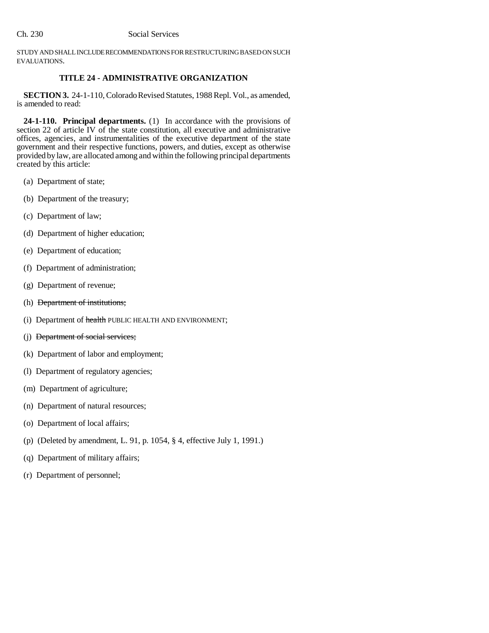STUDY AND SHALL INCLUDE RECOMMENDATIONS FOR RESTRUCTURING BASED ON SUCH EVALUATIONS.

## **TITLE 24 - ADMINISTRATIVE ORGANIZATION**

**SECTION 3.** 24-1-110, Colorado Revised Statutes, 1988 Repl. Vol., as amended, is amended to read:

**24-1-110. Principal departments.** (1) In accordance with the provisions of section 22 of article IV of the state constitution, all executive and administrative offices, agencies, and instrumentalities of the executive department of the state government and their respective functions, powers, and duties, except as otherwise provided by law, are allocated among and within the following principal departments created by this article:

- (a) Department of state;
- (b) Department of the treasury;
- (c) Department of law;
- (d) Department of higher education;
- (e) Department of education;
- (f) Department of administration;
- (g) Department of revenue;
- (h) Department of institutions;
- (i) Department of health PUBLIC HEALTH AND ENVIRONMENT;
- (j) Department of social services;
- (k) Department of labor and employment;
- (l) Department of regulatory agencies;
- (m) Department of agriculture;
- (n) Department of natural resources;
- (o) Department of local affairs;
- (p) (Deleted by amendment, L. 91, p. 1054, § 4, effective July 1, 1991.)
- (q) Department of military affairs;
- (r) Department of personnel;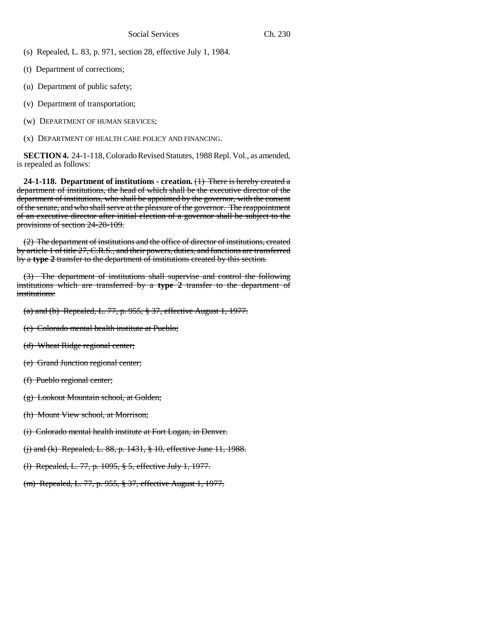(s) Repealed, L. 83, p. 971, section 28, effective July 1, 1984.

- (t) Department of corrections;
- (u) Department of public safety;
- (v) Department of transportation;
- (w) DEPARTMENT OF HUMAN SERVICES;
- (x) DEPARTMENT OF HEALTH CARE POLICY AND FINANCING.

**SECTION 4.** 24-1-118, Colorado Revised Statutes, 1988 Repl. Vol., as amended, is repealed as follows:

**24-1-118. Department of institutions - creation.** (1) There is hereby created a department of institutions, the head of which shall be the executive director of the department of institutions, who shall be appointed by the governor, with the consent of the senate, and who shall serve at the pleasure of the governor. The reappointment of an executive director after initial election of a governor shall be subject to the provisions of section 24-20-109.

(2) The department of institutions and the office of director of institutions, created by article 1 of title 27, C.R.S., and their powers, duties, and functions are transferred by a **type 2** transfer to the department of institutions created by this section.

(3) The department of institutions shall supervise and control the following institutions which are transferred by a **type 2** transfer to the department of institutions:

- (a) and (b) Repealed, L. 77, p. 955, § 37, effective August 1, 1977.
- (c) Colorado mental health institute at Pueblo;
- (d) Wheat Ridge regional center;
- (e) Grand Junction regional center;
- (f) Pueblo regional center;
- (g) Lookout Mountain school, at Golden;
- (h) Mount View school, at Morrison;
- (i) Colorado mental health institute at Fort Logan, in Denver.
- (j) and (k) Repealed, L. 88, p. 1431, § 10, effective June 11, 1988.
- (l) Repealed, L. 77, p. 1095, § 5, effective July 1, 1977.
- (m) Repealed, L. 77, p. 955, § 37, effective August 1, 1977.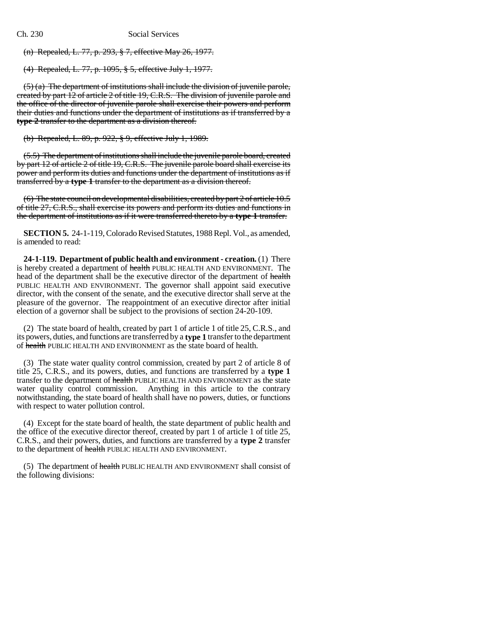(n) Repealed, L. 77, p. 293, § 7, effective May 26, 1977.

(4) Repealed, L. 77, p. 1095, § 5, effective July 1, 1977.

 $(5)$  (a) The department of institutions shall include the division of juvenile parole, created by part 12 of article 2 of title 19, C.R.S. The division of juvenile parole and the office of the director of juvenile parole shall exercise their powers and perform their duties and functions under the department of institutions as if transferred by a **type 2** transfer to the department as a division thereof.

(b) Repealed, L. 89, p. 922, § 9, effective July 1, 1989.

(5.5) The department of institutions shall include the juvenile parole board, created by part 12 of article 2 of title 19, C.R.S. The juvenile parole board shall exercise its power and perform its duties and functions under the department of institutions as if transferred by a **type 1** transfer to the department as a division thereof.

(6) The state council on developmental disabilities, created by part 2 of article 10.5 of title 27, C.R.S., shall exercise its powers and perform its duties and functions in the department of institutions as if it were transferred thereto by a **type 1** transfer.

**SECTION 5.** 24-1-119, Colorado Revised Statutes, 1988 Repl. Vol., as amended, is amended to read:

**24-1-119. Department of public health and environment - creation.** (1) There is hereby created a department of health PUBLIC HEALTH AND ENVIRONMENT. The head of the department shall be the executive director of the department of health PUBLIC HEALTH AND ENVIRONMENT. The governor shall appoint said executive director, with the consent of the senate, and the executive director shall serve at the pleasure of the governor. The reappointment of an executive director after initial election of a governor shall be subject to the provisions of section 24-20-109.

(2) The state board of health, created by part 1 of article 1 of title 25, C.R.S., and its powers, duties, and functions are transferred by a **type 1** transfer to the department of health PUBLIC HEALTH AND ENVIRONMENT as the state board of health.

(3) The state water quality control commission, created by part 2 of article 8 of title 25, C.R.S., and its powers, duties, and functions are transferred by a **type 1** transfer to the department of health PUBLIC HEALTH AND ENVIRONMENT as the state water quality control commission. Anything in this article to the contrary notwithstanding, the state board of health shall have no powers, duties, or functions with respect to water pollution control.

(4) Except for the state board of health, the state department of public health and the office of the executive director thereof, created by part 1 of article 1 of title 25, C.R.S., and their powers, duties, and functions are transferred by a **type 2** transfer to the department of health PUBLIC HEALTH AND ENVIRONMENT.

(5) The department of health PUBLIC HEALTH AND ENVIRONMENT shall consist of the following divisions: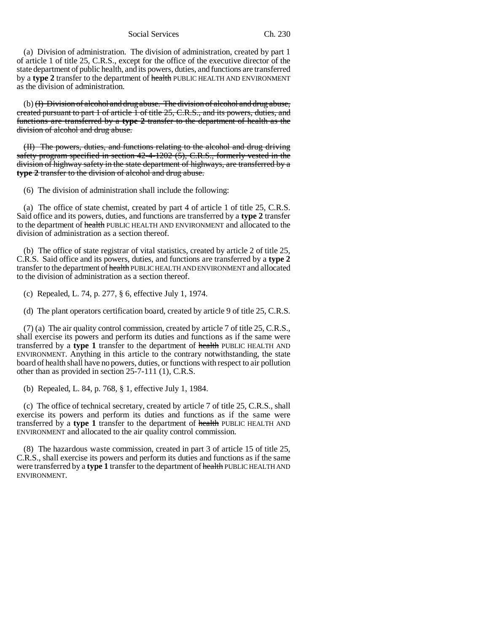Social Services Ch. 230

(a) Division of administration. The division of administration, created by part 1 of article 1 of title 25, C.R.S., except for the office of the executive director of the state department of public health, and its powers, duties, and functions are transferred by a **type 2** transfer to the department of health PUBLIC HEALTH AND ENVIRONMENT as the division of administration.

(b) (I) Division of alcohol and drug abuse. The division of alcohol and drug abuse, created pursuant to part 1 of article 1 of title 25, C.R.S., and its powers, duties, and functions are transferred by a **type 2** transfer to the department of health as the division of alcohol and drug abuse.

(II) The powers, duties, and functions relating to the alcohol and drug driving safety program specified in section  $42-4-1202$  (5), C.R.S., formerly vested in the division of highway safety in the state department of highways, are transferred by a **type 2** transfer to the division of alcohol and drug abuse.

(6) The division of administration shall include the following:

(a) The office of state chemist, created by part 4 of article 1 of title 25, C.R.S. Said office and its powers, duties, and functions are transferred by a **type 2** transfer to the department of health PUBLIC HEALTH AND ENVIRONMENT and allocated to the division of administration as a section thereof.

(b) The office of state registrar of vital statistics, created by article 2 of title 25, C.R.S. Said office and its powers, duties, and functions are transferred by a **type 2** transfer to the department of health PUBLIC HEALTH AND ENVIRONMENT and allocated to the division of administration as a section thereof.

(c) Repealed, L. 74, p. 277, § 6, effective July 1, 1974.

(d) The plant operators certification board, created by article 9 of title 25, C.R.S.

(7) (a) The air quality control commission, created by article 7 of title 25, C.R.S., shall exercise its powers and perform its duties and functions as if the same were transferred by a **type 1** transfer to the department of health PUBLIC HEALTH AND ENVIRONMENT. Anything in this article to the contrary notwithstanding, the state board of health shall have no powers, duties, or functions with respect to air pollution other than as provided in section 25-7-111 (1), C.R.S.

(b) Repealed, L. 84, p. 768, § 1, effective July 1, 1984.

(c) The office of technical secretary, created by article 7 of title 25, C.R.S., shall exercise its powers and perform its duties and functions as if the same were transferred by a **type 1** transfer to the department of health PUBLIC HEALTH AND ENVIRONMENT and allocated to the air quality control commission.

(8) The hazardous waste commission, created in part 3 of article 15 of title 25, C.R.S., shall exercise its powers and perform its duties and functions as if the same were transferred by a **type 1** transfer to the department of health PUBLIC HEALTH AND ENVIRONMENT.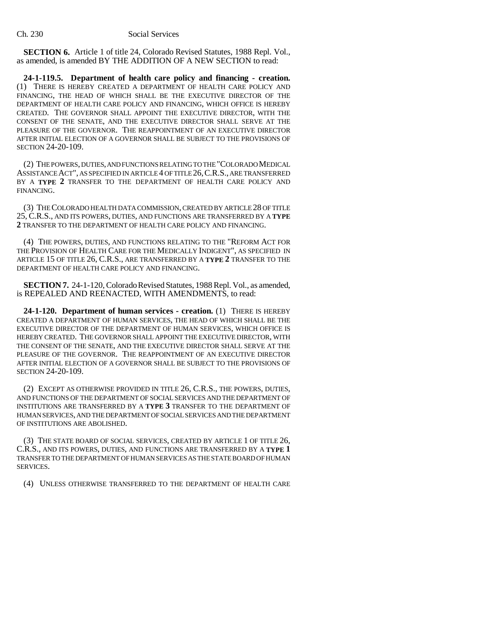**SECTION 6.** Article 1 of title 24, Colorado Revised Statutes, 1988 Repl. Vol., as amended, is amended BY THE ADDITION OF A NEW SECTION to read:

**24-1-119.5. Department of health care policy and financing - creation.** (1) THERE IS HEREBY CREATED A DEPARTMENT OF HEALTH CARE POLICY AND FINANCING, THE HEAD OF WHICH SHALL BE THE EXECUTIVE DIRECTOR OF THE DEPARTMENT OF HEALTH CARE POLICY AND FINANCING, WHICH OFFICE IS HEREBY CREATED. THE GOVERNOR SHALL APPOINT THE EXECUTIVE DIRECTOR, WITH THE CONSENT OF THE SENATE, AND THE EXECUTIVE DIRECTOR SHALL SERVE AT THE PLEASURE OF THE GOVERNOR. THE REAPPOINTMENT OF AN EXECUTIVE DIRECTOR AFTER INITIAL ELECTION OF A GOVERNOR SHALL BE SUBJECT TO THE PROVISIONS OF SECTION 24-20-109.

(2) THE POWERS, DUTIES, AND FUNCTIONS RELATING TO THE "COLORADO MEDICAL ASSISTANCE ACT", AS SPECIFIED IN ARTICLE 4 OF TITLE 26,C.R.S., ARE TRANSFERRED BY A **TYPE 2** TRANSFER TO THE DEPARTMENT OF HEALTH CARE POLICY AND FINANCING.

(3) THE COLORADO HEALTH DATA COMMISSION, CREATED BY ARTICLE 28 OF TITLE 25, C.R.S., AND ITS POWERS, DUTIES, AND FUNCTIONS ARE TRANSFERRED BY A **TYPE 2** TRANSFER TO THE DEPARTMENT OF HEALTH CARE POLICY AND FINANCING.

(4) THE POWERS, DUTIES, AND FUNCTIONS RELATING TO THE "REFORM ACT FOR THE PROVISION OF HEALTH CARE FOR THE MEDICALLY INDIGENT", AS SPECIFIED IN ARTICLE 15 OF TITLE 26, C.R.S., ARE TRANSFERRED BY A **TYPE 2** TRANSFER TO THE DEPARTMENT OF HEALTH CARE POLICY AND FINANCING.

**SECTION 7.** 24-1-120, Colorado Revised Statutes, 1988 Repl. Vol., as amended, is REPEALED AND REENACTED, WITH AMENDMENTS, to read:

**24-1-120. Department of human services - creation.** (1) THERE IS HEREBY CREATED A DEPARTMENT OF HUMAN SERVICES, THE HEAD OF WHICH SHALL BE THE EXECUTIVE DIRECTOR OF THE DEPARTMENT OF HUMAN SERVICES, WHICH OFFICE IS HEREBY CREATED. THE GOVERNOR SHALL APPOINT THE EXECUTIVE DIRECTOR, WITH THE CONSENT OF THE SENATE, AND THE EXECUTIVE DIRECTOR SHALL SERVE AT THE PLEASURE OF THE GOVERNOR. THE REAPPOINTMENT OF AN EXECUTIVE DIRECTOR AFTER INITIAL ELECTION OF A GOVERNOR SHALL BE SUBJECT TO THE PROVISIONS OF SECTION 24-20-109.

(2) EXCEPT AS OTHERWISE PROVIDED IN TITLE 26, C.R.S., THE POWERS, DUTIES, AND FUNCTIONS OF THE DEPARTMENT OF SOCIAL SERVICES AND THE DEPARTMENT OF INSTITUTIONS ARE TRANSFERRED BY A **TYPE 3** TRANSFER TO THE DEPARTMENT OF HUMAN SERVICES, AND THE DEPARTMENT OF SOCIAL SERVICES AND THE DEPARTMENT OF INSTITUTIONS ARE ABOLISHED.

(3) THE STATE BOARD OF SOCIAL SERVICES, CREATED BY ARTICLE 1 OF TITLE 26, C.R.S., AND ITS POWERS, DUTIES, AND FUNCTIONS ARE TRANSFERRED BY A **TYPE 1** TRANSFER TO THE DEPARTMENT OF HUMAN SERVICES AS THE STATE BOARD OF HUMAN SERVICES.

(4) UNLESS OTHERWISE TRANSFERRED TO THE DEPARTMENT OF HEALTH CARE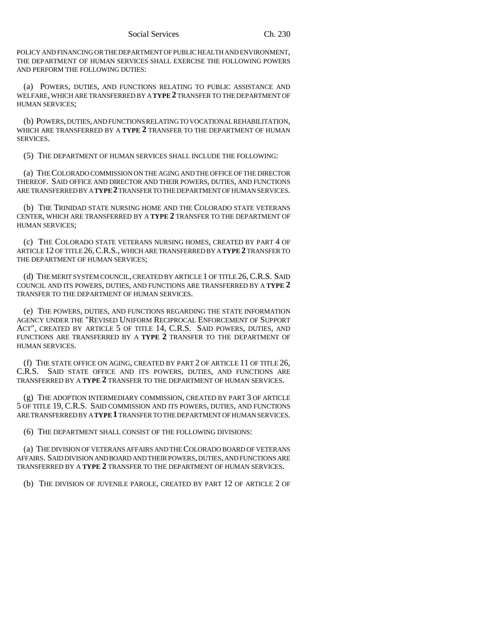POLICY AND FINANCING OR THE DEPARTMENT OF PUBLIC HEALTH AND ENVIRONMENT, THE DEPARTMENT OF HUMAN SERVICES SHALL EXERCISE THE FOLLOWING POWERS AND PERFORM THE FOLLOWING DUTIES:

(a) POWERS, DUTIES, AND FUNCTIONS RELATING TO PUBLIC ASSISTANCE AND WELFARE, WHICH ARE TRANSFERRED BY A **TYPE 2** TRANSFER TO THE DEPARTMENT OF HUMAN SERVICES;

(b) POWERS, DUTIES, AND FUNCTIONS RELATING TO VOCATIONAL REHABILITATION, WHICH ARE TRANSFERRED BY A **TYPE 2** TRANSFER TO THE DEPARTMENT OF HUMAN **SERVICES** 

(5) THE DEPARTMENT OF HUMAN SERVICES SHALL INCLUDE THE FOLLOWING:

(a) THE COLORADO COMMISSION ON THE AGING AND THE OFFICE OF THE DIRECTOR THEREOF. SAID OFFICE AND DIRECTOR AND THEIR POWERS, DUTIES, AND FUNCTIONS ARE TRANSFERRED BY A **TYPE 2** TRANSFER TO THE DEPARTMENT OF HUMAN SERVICES.

(b) THE TRINIDAD STATE NURSING HOME AND THE COLORADO STATE VETERANS CENTER, WHICH ARE TRANSFERRED BY A **TYPE 2** TRANSFER TO THE DEPARTMENT OF HUMAN SERVICES;

(c) THE COLORADO STATE VETERANS NURSING HOMES, CREATED BY PART 4 OF ARTICLE 12 OF TITLE 26,C.R.S., WHICH ARE TRANSFERRED BY A **TYPE 2** TRANSFER TO THE DEPARTMENT OF HUMAN SERVICES;

(d) THE MERIT SYSTEM COUNCIL, CREATED BY ARTICLE 1 OF TITLE 26,C.R.S. SAID COUNCIL AND ITS POWERS, DUTIES, AND FUNCTIONS ARE TRANSFERRED BY A **TYPE 2** TRANSFER TO THE DEPARTMENT OF HUMAN SERVICES.

(e) THE POWERS, DUTIES, AND FUNCTIONS REGARDING THE STATE INFORMATION AGENCY UNDER THE "REVISED UNIFORM RECIPROCAL ENFORCEMENT OF SUPPORT ACT", CREATED BY ARTICLE 5 OF TITLE 14, C.R.S. SAID POWERS, DUTIES, AND FUNCTIONS ARE TRANSFERRED BY A **TYPE 2** TRANSFER TO THE DEPARTMENT OF HUMAN SERVICES.

(f) THE STATE OFFICE ON AGING, CREATED BY PART 2 OF ARTICLE 11 OF TITLE 26, C.R.S. SAID STATE OFFICE AND ITS POWERS, DUTIES, AND FUNCTIONS ARE TRANSFERRED BY A **TYPE 2** TRANSFER TO THE DEPARTMENT OF HUMAN SERVICES.

(g) THE ADOPTION INTERMEDIARY COMMISSION, CREATED BY PART 3 OF ARTICLE 5 OF TITLE 19, C.R.S. SAID COMMISSION AND ITS POWERS, DUTIES, AND FUNCTIONS ARE TRANSFERRED BY A **TYPE 1** TRANSFER TO THE DEPARTMENT OF HUMAN SERVICES.

(6) THE DEPARTMENT SHALL CONSIST OF THE FOLLOWING DIVISIONS:

(a) THE DIVISION OF VETERANS AFFAIRS AND THE COLORADO BOARD OF VETERANS AFFAIRS. SAID DIVISION AND BOARD AND THEIR POWERS, DUTIES, AND FUNCTIONS ARE TRANSFERRED BY A **TYPE 2** TRANSFER TO THE DEPARTMENT OF HUMAN SERVICES.

(b) THE DIVISION OF JUVENILE PAROLE, CREATED BY PART 12 OF ARTICLE 2 OF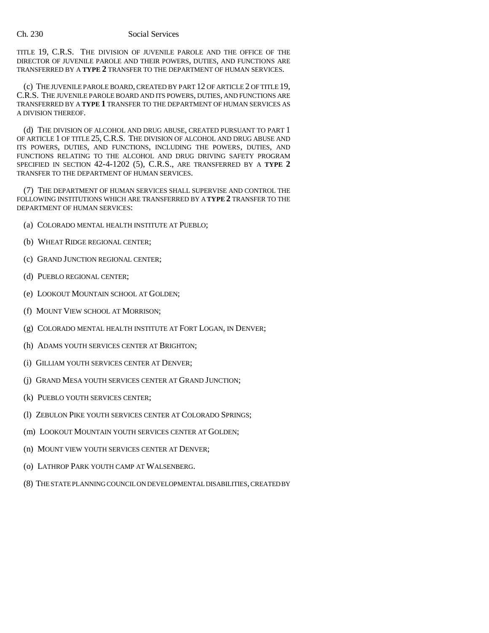TITLE 19, C.R.S. THE DIVISION OF JUVENILE PAROLE AND THE OFFICE OF THE DIRECTOR OF JUVENILE PAROLE AND THEIR POWERS, DUTIES, AND FUNCTIONS ARE TRANSFERRED BY A **TYPE 2** TRANSFER TO THE DEPARTMENT OF HUMAN SERVICES.

(c) THE JUVENILE PAROLE BOARD, CREATED BY PART 12 OF ARTICLE 2 OF TITLE 19, C.R.S. THE JUVENILE PAROLE BOARD AND ITS POWERS, DUTIES, AND FUNCTIONS ARE TRANSFERRED BY A **TYPE 1** TRANSFER TO THE DEPARTMENT OF HUMAN SERVICES AS A DIVISION THEREOF.

(d) THE DIVISION OF ALCOHOL AND DRUG ABUSE, CREATED PURSUANT TO PART 1 OF ARTICLE 1 OF TITLE 25, C.R.S. THE DIVISION OF ALCOHOL AND DRUG ABUSE AND ITS POWERS, DUTIES, AND FUNCTIONS, INCLUDING THE POWERS, DUTIES, AND FUNCTIONS RELATING TO THE ALCOHOL AND DRUG DRIVING SAFETY PROGRAM SPECIFIED IN SECTION 42-4-1202 (5), C.R.S., ARE TRANSFERRED BY A **TYPE 2** TRANSFER TO THE DEPARTMENT OF HUMAN SERVICES.

(7) THE DEPARTMENT OF HUMAN SERVICES SHALL SUPERVISE AND CONTROL THE FOLLOWING INSTITUTIONS WHICH ARE TRANSFERRED BY A **TYPE 2** TRANSFER TO THE DEPARTMENT OF HUMAN SERVICES:

- (a) COLORADO MENTAL HEALTH INSTITUTE AT PUEBLO;
- (b) WHEAT RIDGE REGIONAL CENTER;
- (c) GRAND JUNCTION REGIONAL CENTER;
- (d) PUEBLO REGIONAL CENTER;
- (e) LOOKOUT MOUNTAIN SCHOOL AT GOLDEN;
- (f) MOUNT VIEW SCHOOL AT MORRISON;
- (g) COLORADO MENTAL HEALTH INSTITUTE AT FORT LOGAN, IN DENVER;
- (h) ADAMS YOUTH SERVICES CENTER AT BRIGHTON;
- (i) GILLIAM YOUTH SERVICES CENTER AT DENVER;
- (j) GRAND MESA YOUTH SERVICES CENTER AT GRAND JUNCTION;
- (k) PUEBLO YOUTH SERVICES CENTER;
- (l) ZEBULON PIKE YOUTH SERVICES CENTER AT COLORADO SPRINGS;
- (m) LOOKOUT MOUNTAIN YOUTH SERVICES CENTER AT GOLDEN;
- (n) MOUNT VIEW YOUTH SERVICES CENTER AT DENVER;
- (o) LATHROP PARK YOUTH CAMP AT WALSENBERG.
- (8) THE STATE PLANNING COUNCIL ON DEVELOPMENTAL DISABILITIES, CREATED BY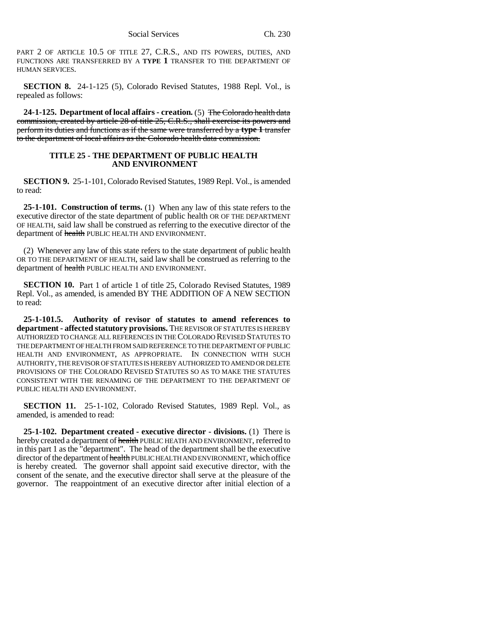PART 2 OF ARTICLE 10.5 OF TITLE 27, C.R.S., AND ITS POWERS, DUTIES, AND FUNCTIONS ARE TRANSFERRED BY A **TYPE 1** TRANSFER TO THE DEPARTMENT OF HUMAN SERVICES.

**SECTION 8.** 24-1-125 (5), Colorado Revised Statutes, 1988 Repl. Vol., is repealed as follows:

**24-1-125. Department of local affairs - creation.** (5) The Colorado health data commission, created by article 28 of title 25, C.R.S., shall exercise its powers and perform its duties and functions as if the same were transferred by a **type 1** transfer to the department of local affairs as the Colorado health data commission.

## **TITLE 25 - THE DEPARTMENT OF PUBLIC HEALTH AND ENVIRONMENT**

**SECTION 9.** 25-1-101, Colorado Revised Statutes, 1989 Repl. Vol., is amended to read:

**25-1-101. Construction of terms.** (1) When any law of this state refers to the executive director of the state department of public health OR OF THE DEPARTMENT OF HEALTH, said law shall be construed as referring to the executive director of the department of health PUBLIC HEALTH AND ENVIRONMENT.

(2) Whenever any law of this state refers to the state department of public health OR TO THE DEPARTMENT OF HEALTH, said law shall be construed as referring to the department of health PUBLIC HEALTH AND ENVIRONMENT.

**SECTION 10.** Part 1 of article 1 of title 25, Colorado Revised Statutes, 1989 Repl. Vol., as amended, is amended BY THE ADDITION OF A NEW SECTION to read:

**25-1-101.5. Authority of revisor of statutes to amend references to department - affected statutory provisions.** THE REVISOR OF STATUTES IS HEREBY AUTHORIZED TO CHANGE ALL REFERENCES IN THE COLORADO REVISED STATUTES TO THE DEPARTMENT OF HEALTH FROM SAID REFERENCE TO THE DEPARTMENT OF PUBLIC HEALTH AND ENVIRONMENT, AS APPROPRIATE. IN CONNECTION WITH SUCH AUTHORITY, THE REVISOR OF STATUTES IS HEREBY AUTHORIZED TO AMEND OR DELETE PROVISIONS OF THE COLORADO REVISED STATUTES SO AS TO MAKE THE STATUTES CONSISTENT WITH THE RENAMING OF THE DEPARTMENT TO THE DEPARTMENT OF PUBLIC HEALTH AND ENVIRONMENT.

**SECTION 11.** 25-1-102, Colorado Revised Statutes, 1989 Repl. Vol., as amended, is amended to read:

**25-1-102. Department created - executive director - divisions.** (1) There is hereby created a department of health PUBLIC HEATH AND ENVIRONMENT, referred to in this part 1 as the "department". The head of the department shall be the executive director of the department of health PUBLIC HEALTH AND ENVIRONMENT, which office is hereby created. The governor shall appoint said executive director, with the consent of the senate, and the executive director shall serve at the pleasure of the governor. The reappointment of an executive director after initial election of a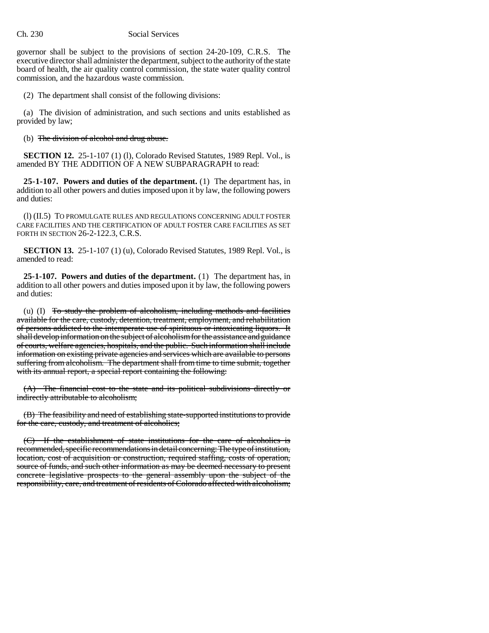governor shall be subject to the provisions of section 24-20-109, C.R.S. The executive director shall administer the department, subject to the authority of the state board of health, the air quality control commission, the state water quality control commission, and the hazardous waste commission.

(2) The department shall consist of the following divisions:

(a) The division of administration, and such sections and units established as provided by law;

(b) The division of alcohol and drug abuse.

**SECTION 12.** 25-1-107 (1) (1), Colorado Revised Statutes, 1989 Repl. Vol., is amended BY THE ADDITION OF A NEW SUBPARAGRAPH to read:

**25-1-107. Powers and duties of the department.** (1) The department has, in addition to all other powers and duties imposed upon it by law, the following powers and duties:

(l) (II.5) TO PROMULGATE RULES AND REGULATIONS CONCERNING ADULT FOSTER CARE FACILITIES AND THE CERTIFICATION OF ADULT FOSTER CARE FACILITIES AS SET FORTH IN SECTION 26-2-122.3, C.R.S.

**SECTION 13.** 25-1-107 (1) (u), Colorado Revised Statutes, 1989 Repl. Vol., is amended to read:

**25-1-107. Powers and duties of the department.** (1) The department has, in addition to all other powers and duties imposed upon it by law, the following powers and duties:

(u) (I) To study the problem of alcoholism, including methods and facilities available for the care, custody, detention, treatment, employment, and rehabilitation of persons addicted to the intemperate use of spirituous or intoxicating liquors. It shall develop information on the subject of alcoholism for the assistance and guidance of courts, welfare agencies, hospitals, and the public. Such information shall include information on existing private agencies and services which are available to persons suffering from alcoholism. The department shall from time to time submit, together with its annual report, a special report containing the following:

(A) The financial cost to the state and its political subdivisions directly or indirectly attributable to alcoholism;

(B) The feasibility and need of establishing state-supported institutions to provide for the care, custody, and treatment of alcoholics;

(C) If the establishment of state institutions for the care of alcoholics is recommended, specific recommendations in detail concerning: The type of institution, location, cost of acquisition or construction, required staffing, costs of operation, source of funds, and such other information as may be deemed necessary to present concrete legislative prospects to the general assembly upon the subject of the responsibility, care, and treatment of residents of Colorado affected with alcoholism;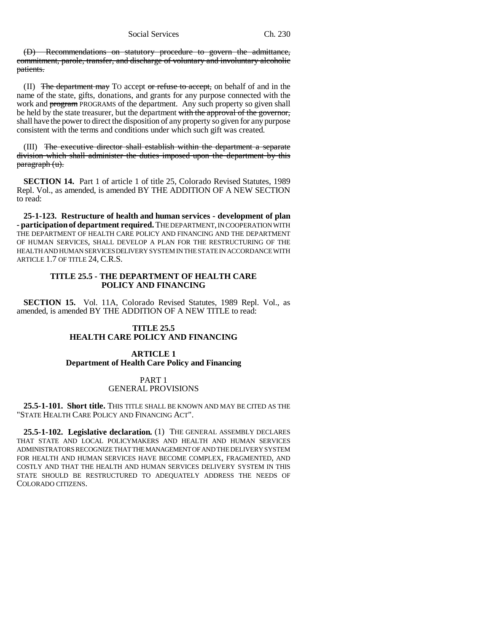(D) Recommendations on statutory procedure to govern the admittance, commitment, parole, transfer, and discharge of voluntary and involuntary alcoholic patients.

(II) The department may TO accept or refuse to accept, on behalf of and in the name of the state, gifts, donations, and grants for any purpose connected with the work and **program** PROGRAMS of the department. Any such property so given shall be held by the state treasurer, but the department with the approval of the governor, shall have the power to direct the disposition of any property so given for any purpose consistent with the terms and conditions under which such gift was created.

(III) The executive director shall establish within the department a separate division which shall administer the duties imposed upon the department by this paragraph (u).

**SECTION 14.** Part 1 of article 1 of title 25, Colorado Revised Statutes, 1989 Repl. Vol., as amended, is amended BY THE ADDITION OF A NEW SECTION to read:

**25-1-123. Restructure of health and human services - development of plan - participation of department required.** THE DEPARTMENT, IN COOPERATION WITH THE DEPARTMENT OF HEALTH CARE POLICY AND FINANCING AND THE DEPARTMENT OF HUMAN SERVICES, SHALL DEVELOP A PLAN FOR THE RESTRUCTURING OF THE HEALTH AND HUMAN SERVICES DELIVERY SYSTEM IN THE STATE IN ACCORDANCE WITH ARTICLE 1.7 OF TITLE 24, C.R.S.

## **TITLE 25.5 - THE DEPARTMENT OF HEALTH CARE POLICY AND FINANCING**

**SECTION 15.** Vol. 11A, Colorado Revised Statutes, 1989 Repl. Vol., as amended, is amended BY THE ADDITION OF A NEW TITLE to read:

## **TITLE 25.5 HEALTH CARE POLICY AND FINANCING**

## **ARTICLE 1 Department of Health Care Policy and Financing**

## PART 1 GENERAL PROVISIONS

**25.5-1-101. Short title.** THIS TITLE SHALL BE KNOWN AND MAY BE CITED AS THE "STATE HEALTH CARE POLICY AND FINANCING ACT".

**25.5-1-102. Legislative declaration.** (1) THE GENERAL ASSEMBLY DECLARES THAT STATE AND LOCAL POLICYMAKERS AND HEALTH AND HUMAN SERVICES ADMINISTRATORS RECOGNIZE THAT THE MANAGEMENT OF AND THE DELIVERY SYSTEM FOR HEALTH AND HUMAN SERVICES HAVE BECOME COMPLEX, FRAGMENTED, AND COSTLY AND THAT THE HEALTH AND HUMAN SERVICES DELIVERY SYSTEM IN THIS STATE SHOULD BE RESTRUCTURED TO ADEQUATELY ADDRESS THE NEEDS OF COLORADO CITIZENS.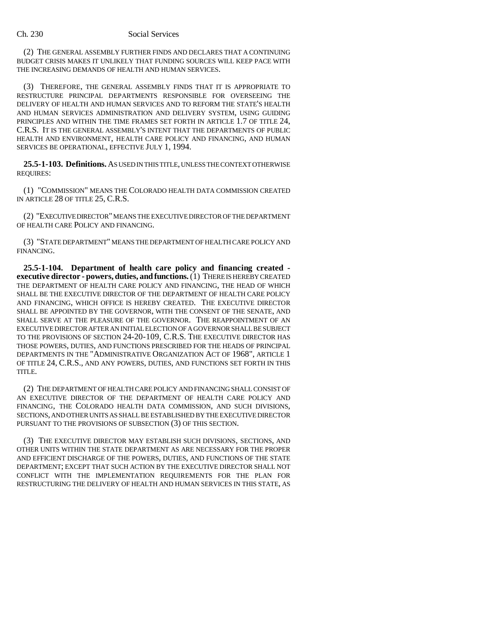(2) THE GENERAL ASSEMBLY FURTHER FINDS AND DECLARES THAT A CONTINUING BUDGET CRISIS MAKES IT UNLIKELY THAT FUNDING SOURCES WILL KEEP PACE WITH THE INCREASING DEMANDS OF HEALTH AND HUMAN SERVICES.

(3) THEREFORE, THE GENERAL ASSEMBLY FINDS THAT IT IS APPROPRIATE TO RESTRUCTURE PRINCIPAL DEPARTMENTS RESPONSIBLE FOR OVERSEEING THE DELIVERY OF HEALTH AND HUMAN SERVICES AND TO REFORM THE STATE'S HEALTH AND HUMAN SERVICES ADMINISTRATION AND DELIVERY SYSTEM, USING GUIDING PRINCIPLES AND WITHIN THE TIME FRAMES SET FORTH IN ARTICLE 1.7 OF TITLE 24, C.R.S. IT IS THE GENERAL ASSEMBLY'S INTENT THAT THE DEPARTMENTS OF PUBLIC HEALTH AND ENVIRONMENT, HEALTH CARE POLICY AND FINANCING, AND HUMAN SERVICES BE OPERATIONAL, EFFECTIVE JULY 1, 1994.

**25.5-1-103. Definitions.** AS USED IN THIS TITLE, UNLESS THE CONTEXT OTHERWISE REQUIRES:

(1) "COMMISSION" MEANS THE COLORADO HEALTH DATA COMMISSION CREATED IN ARTICLE 28 OF TITLE 25, C.R.S.

(2) "EXECUTIVE DIRECTOR" MEANS THE EXECUTIVE DIRECTOR OF THE DEPARTMENT OF HEALTH CARE POLICY AND FINANCING.

(3) "STATE DEPARTMENT" MEANS THE DEPARTMENT OF HEALTH CARE POLICY AND FINANCING.

**25.5-1-104. Department of health care policy and financing created executive director - powers, duties, and functions.** (1) THERE IS HEREBY CREATED THE DEPARTMENT OF HEALTH CARE POLICY AND FINANCING, THE HEAD OF WHICH SHALL BE THE EXECUTIVE DIRECTOR OF THE DEPARTMENT OF HEALTH CARE POLICY AND FINANCING, WHICH OFFICE IS HEREBY CREATED. THE EXECUTIVE DIRECTOR SHALL BE APPOINTED BY THE GOVERNOR, WITH THE CONSENT OF THE SENATE, AND SHALL SERVE AT THE PLEASURE OF THE GOVERNOR. THE REAPPOINTMENT OF AN EXECUTIVE DIRECTOR AFTER AN INITIAL ELECTION OF A GOVERNOR SHALL BE SUBJECT TO THE PROVISIONS OF SECTION 24-20-109, C.R.S. THE EXECUTIVE DIRECTOR HAS THOSE POWERS, DUTIES, AND FUNCTIONS PRESCRIBED FOR THE HEADS OF PRINCIPAL DEPARTMENTS IN THE "ADMINISTRATIVE ORGANIZATION ACT OF 1968", ARTICLE 1 OF TITLE 24, C.R.S., AND ANY POWERS, DUTIES, AND FUNCTIONS SET FORTH IN THIS TITLE.

(2) THE DEPARTMENT OF HEALTH CARE POLICY AND FINANCING SHALL CONSIST OF AN EXECUTIVE DIRECTOR OF THE DEPARTMENT OF HEALTH CARE POLICY AND FINANCING, THE COLORADO HEALTH DATA COMMISSION, AND SUCH DIVISIONS, SECTIONS, AND OTHER UNITS AS SHALL BE ESTABLISHED BY THE EXECUTIVE DIRECTOR PURSUANT TO THE PROVISIONS OF SUBSECTION (3) OF THIS SECTION.

(3) THE EXECUTIVE DIRECTOR MAY ESTABLISH SUCH DIVISIONS, SECTIONS, AND OTHER UNITS WITHIN THE STATE DEPARTMENT AS ARE NECESSARY FOR THE PROPER AND EFFICIENT DISCHARGE OF THE POWERS, DUTIES, AND FUNCTIONS OF THE STATE DEPARTMENT; EXCEPT THAT SUCH ACTION BY THE EXECUTIVE DIRECTOR SHALL NOT CONFLICT WITH THE IMPLEMENTATION REQUIREMENTS FOR THE PLAN FOR RESTRUCTURING THE DELIVERY OF HEALTH AND HUMAN SERVICES IN THIS STATE, AS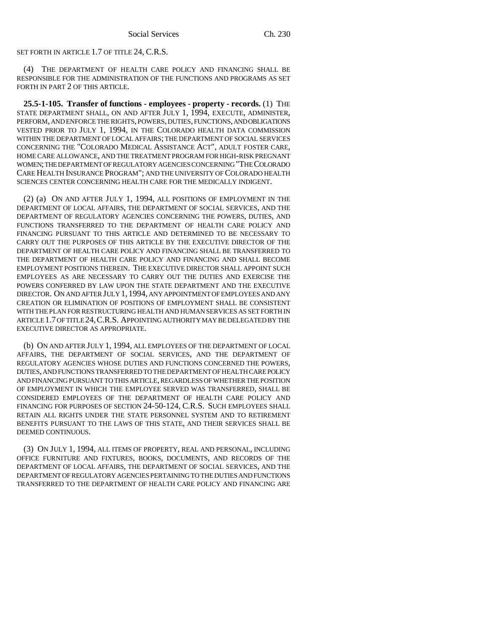SET FORTH IN ARTICLE 1.7 OF TITLE 24, C.R.S.

(4) THE DEPARTMENT OF HEALTH CARE POLICY AND FINANCING SHALL BE RESPONSIBLE FOR THE ADMINISTRATION OF THE FUNCTIONS AND PROGRAMS AS SET FORTH IN PART 2 OF THIS ARTICLE.

**25.5-1-105. Transfer of functions - employees - property - records.** (1) THE STATE DEPARTMENT SHALL, ON AND AFTER JULY 1, 1994, EXECUTE, ADMINISTER, PERFORM, AND ENFORCE THE RIGHTS, POWERS, DUTIES, FUNCTIONS, AND OBLIGATIONS VESTED PRIOR TO JULY 1, 1994, IN THE COLORADO HEALTH DATA COMMISSION WITHIN THE DEPARTMENT OF LOCAL AFFAIRS; THE DEPARTMENT OF SOCIAL SERVICES CONCERNING THE "COLORADO MEDICAL ASSISTANCE ACT", ADULT FOSTER CARE, HOME CARE ALLOWANCE, AND THE TREATMENT PROGRAM FOR HIGH-RISK PREGNANT WOMEN; THE DEPARTMENT OF REGULATORY AGENCIES CONCERNING "THE COLORADO CARE HEALTH INSURANCE PROGRAM"; AND THE UNIVERSITY OF COLORADO HEALTH SCIENCES CENTER CONCERNING HEALTH CARE FOR THE MEDICALLY INDIGENT.

(2) (a) ON AND AFTER JULY 1, 1994, ALL POSITIONS OF EMPLOYMENT IN THE DEPARTMENT OF LOCAL AFFAIRS, THE DEPARTMENT OF SOCIAL SERVICES, AND THE DEPARTMENT OF REGULATORY AGENCIES CONCERNING THE POWERS, DUTIES, AND FUNCTIONS TRANSFERRED TO THE DEPARTMENT OF HEALTH CARE POLICY AND FINANCING PURSUANT TO THIS ARTICLE AND DETERMINED TO BE NECESSARY TO CARRY OUT THE PURPOSES OF THIS ARTICLE BY THE EXECUTIVE DIRECTOR OF THE DEPARTMENT OF HEALTH CARE POLICY AND FINANCING SHALL BE TRANSFERRED TO THE DEPARTMENT OF HEALTH CARE POLICY AND FINANCING AND SHALL BECOME EMPLOYMENT POSITIONS THEREIN. THE EXECUTIVE DIRECTOR SHALL APPOINT SUCH EMPLOYEES AS ARE NECESSARY TO CARRY OUT THE DUTIES AND EXERCISE THE POWERS CONFERRED BY LAW UPON THE STATE DEPARTMENT AND THE EXECUTIVE DIRECTOR. ON AND AFTER JULY 1, 1994, ANY APPOINTMENT OF EMPLOYEES AND ANY CREATION OR ELIMINATION OF POSITIONS OF EMPLOYMENT SHALL BE CONSISTENT WITH THE PLAN FOR RESTRUCTURING HEALTH AND HUMAN SERVICES AS SET FORTH IN ARTICLE 1.7 OF TITLE 24,C.R.S. APPOINTING AUTHORITY MAY BE DELEGATED BY THE EXECUTIVE DIRECTOR AS APPROPRIATE.

(b) ON AND AFTER JULY 1, 1994, ALL EMPLOYEES OF THE DEPARTMENT OF LOCAL AFFAIRS, THE DEPARTMENT OF SOCIAL SERVICES, AND THE DEPARTMENT OF REGULATORY AGENCIES WHOSE DUTIES AND FUNCTIONS CONCERNED THE POWERS, DUTIES, AND FUNCTIONS TRANSFERRED TO THE DEPARTMENT OF HEALTH CARE POLICY AND FINANCING PURSUANT TO THIS ARTICLE, REGARDLESS OF WHETHER THE POSITION OF EMPLOYMENT IN WHICH THE EMPLOYEE SERVED WAS TRANSFERRED, SHALL BE CONSIDERED EMPLOYEES OF THE DEPARTMENT OF HEALTH CARE POLICY AND FINANCING FOR PURPOSES OF SECTION 24-50-124, C.R.S. SUCH EMPLOYEES SHALL RETAIN ALL RIGHTS UNDER THE STATE PERSONNEL SYSTEM AND TO RETIREMENT BENEFITS PURSUANT TO THE LAWS OF THIS STATE, AND THEIR SERVICES SHALL BE DEEMED CONTINUOUS.

(3) ON JULY 1, 1994, ALL ITEMS OF PROPERTY, REAL AND PERSONAL, INCLUDING OFFICE FURNITURE AND FIXTURES, BOOKS, DOCUMENTS, AND RECORDS OF THE DEPARTMENT OF LOCAL AFFAIRS, THE DEPARTMENT OF SOCIAL SERVICES, AND THE DEPARTMENT OF REGULATORY AGENCIES PERTAINING TO THE DUTIES AND FUNCTIONS TRANSFERRED TO THE DEPARTMENT OF HEALTH CARE POLICY AND FINANCING ARE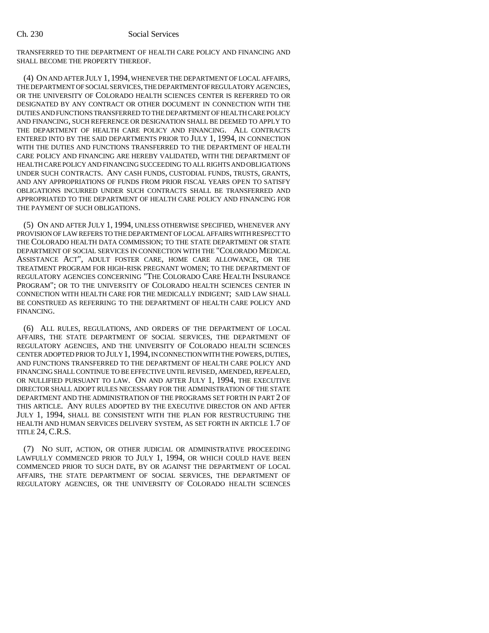TRANSFERRED TO THE DEPARTMENT OF HEALTH CARE POLICY AND FINANCING AND SHALL BECOME THE PROPERTY THEREOF.

(4) ON AND AFTER JULY 1, 1994, WHENEVER THE DEPARTMENT OF LOCAL AFFAIRS, THE DEPARTMENT OF SOCIAL SERVICES, THE DEPARTMENT OF REGULATORY AGENCIES, OR THE UNIVERSITY OF COLORADO HEALTH SCIENCES CENTER IS REFERRED TO OR DESIGNATED BY ANY CONTRACT OR OTHER DOCUMENT IN CONNECTION WITH THE DUTIES AND FUNCTIONS TRANSFERRED TO THE DEPARTMENT OF HEALTH CARE POLICY AND FINANCING, SUCH REFERENCE OR DESIGNATION SHALL BE DEEMED TO APPLY TO THE DEPARTMENT OF HEALTH CARE POLICY AND FINANCING. ALL CONTRACTS ENTERED INTO BY THE SAID DEPARTMENTS PRIOR TO JULY 1, 1994, IN CONNECTION WITH THE DUTIES AND FUNCTIONS TRANSFERRED TO THE DEPARTMENT OF HEALTH CARE POLICY AND FINANCING ARE HEREBY VALIDATED, WITH THE DEPARTMENT OF HEALTH CARE POLICY AND FINANCING SUCCEEDING TO ALL RIGHTS AND OBLIGATIONS UNDER SUCH CONTRACTS. ANY CASH FUNDS, CUSTODIAL FUNDS, TRUSTS, GRANTS, AND ANY APPROPRIATIONS OF FUNDS FROM PRIOR FISCAL YEARS OPEN TO SATISFY OBLIGATIONS INCURRED UNDER SUCH CONTRACTS SHALL BE TRANSFERRED AND APPROPRIATED TO THE DEPARTMENT OF HEALTH CARE POLICY AND FINANCING FOR THE PAYMENT OF SUCH OBLIGATIONS.

(5) ON AND AFTER JULY 1, 1994, UNLESS OTHERWISE SPECIFIED, WHENEVER ANY PROVISION OF LAW REFERS TO THE DEPARTMENT OF LOCAL AFFAIRS WITH RESPECT TO THE COLORADO HEALTH DATA COMMISSION; TO THE STATE DEPARTMENT OR STATE DEPARTMENT OF SOCIAL SERVICES IN CONNECTION WITH THE "COLORADO MEDICAL ASSISTANCE ACT", ADULT FOSTER CARE, HOME CARE ALLOWANCE, OR THE TREATMENT PROGRAM FOR HIGH-RISK PREGNANT WOMEN; TO THE DEPARTMENT OF REGULATORY AGENCIES CONCERNING "THE COLORADO CARE HEALTH INSURANCE PROGRAM"; OR TO THE UNIVERSITY OF COLORADO HEALTH SCIENCES CENTER IN CONNECTION WITH HEALTH CARE FOR THE MEDICALLY INDIGENT; SAID LAW SHALL BE CONSTRUED AS REFERRING TO THE DEPARTMENT OF HEALTH CARE POLICY AND FINANCING.

(6) ALL RULES, REGULATIONS, AND ORDERS OF THE DEPARTMENT OF LOCAL AFFAIRS, THE STATE DEPARTMENT OF SOCIAL SERVICES, THE DEPARTMENT OF REGULATORY AGENCIES, AND THE UNIVERSITY OF COLORADO HEALTH SCIENCES CENTER ADOPTED PRIOR TO JULY 1,1994, IN CONNECTION WITH THE POWERS, DUTIES, AND FUNCTIONS TRANSFERRED TO THE DEPARTMENT OF HEALTH CARE POLICY AND FINANCING SHALL CONTINUE TO BE EFFECTIVE UNTIL REVISED, AMENDED, REPEALED, OR NULLIFIED PURSUANT TO LAW. ON AND AFTER JULY 1, 1994, THE EXECUTIVE DIRECTOR SHALL ADOPT RULES NECESSARY FOR THE ADMINISTRATION OF THE STATE DEPARTMENT AND THE ADMINISTRATION OF THE PROGRAMS SET FORTH IN PART 2 OF THIS ARTICLE. ANY RULES ADOPTED BY THE EXECUTIVE DIRECTOR ON AND AFTER JULY 1, 1994, SHALL BE CONSISTENT WITH THE PLAN FOR RESTRUCTURING THE HEALTH AND HUMAN SERVICES DELIVERY SYSTEM, AS SET FORTH IN ARTICLE 1.7 OF TITLE 24, C.R.S.

(7) NO SUIT, ACTION, OR OTHER JUDICIAL OR ADMINISTRATIVE PROCEEDING LAWFULLY COMMENCED PRIOR TO JULY 1, 1994, OR WHICH COULD HAVE BEEN COMMENCED PRIOR TO SUCH DATE, BY OR AGAINST THE DEPARTMENT OF LOCAL AFFAIRS, THE STATE DEPARTMENT OF SOCIAL SERVICES, THE DEPARTMENT OF REGULATORY AGENCIES, OR THE UNIVERSITY OF COLORADO HEALTH SCIENCES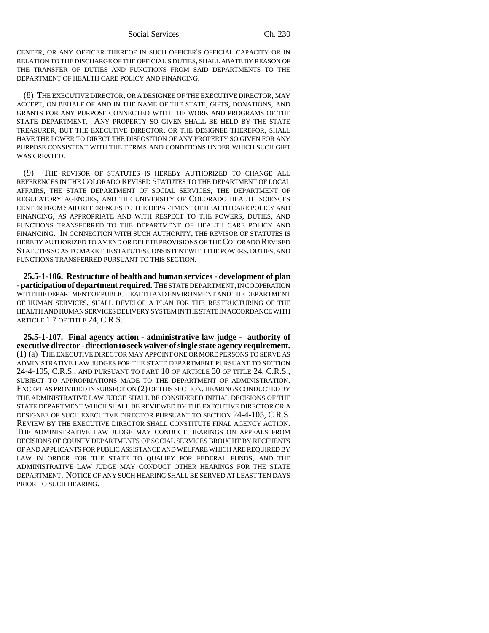CENTER, OR ANY OFFICER THEREOF IN SUCH OFFICER'S OFFICIAL CAPACITY OR IN RELATION TO THE DISCHARGE OF THE OFFICIAL'S DUTIES, SHALL ABATE BY REASON OF THE TRANSFER OF DUTIES AND FUNCTIONS FROM SAID DEPARTMENTS TO THE DEPARTMENT OF HEALTH CARE POLICY AND FINANCING.

(8) THE EXECUTIVE DIRECTOR, OR A DESIGNEE OF THE EXECUTIVE DIRECTOR, MAY ACCEPT, ON BEHALF OF AND IN THE NAME OF THE STATE, GIFTS, DONATIONS, AND GRANTS FOR ANY PURPOSE CONNECTED WITH THE WORK AND PROGRAMS OF THE STATE DEPARTMENT. ANY PROPERTY SO GIVEN SHALL BE HELD BY THE STATE TREASURER, BUT THE EXECUTIVE DIRECTOR, OR THE DESIGNEE THEREFOR, SHALL HAVE THE POWER TO DIRECT THE DISPOSITION OF ANY PROPERTY SO GIVEN FOR ANY PURPOSE CONSISTENT WITH THE TERMS AND CONDITIONS UNDER WHICH SUCH GIFT WAS CREATED.

(9) THE REVISOR OF STATUTES IS HEREBY AUTHORIZED TO CHANGE ALL REFERENCES IN THE COLORADO REVISED STATUTES TO THE DEPARTMENT OF LOCAL AFFAIRS, THE STATE DEPARTMENT OF SOCIAL SERVICES, THE DEPARTMENT OF REGULATORY AGENCIES, AND THE UNIVERSITY OF COLORADO HEALTH SCIENCES CENTER FROM SAID REFERENCES TO THE DEPARTMENT OF HEALTH CARE POLICY AND FINANCING, AS APPROPRIATE AND WITH RESPECT TO THE POWERS, DUTIES, AND FUNCTIONS TRANSFERRED TO THE DEPARTMENT OF HEALTH CARE POLICY AND FINANCING. IN CONNECTION WITH SUCH AUTHORITY, THE REVISOR OF STATUTES IS HEREBY AUTHORIZED TO AMEND OR DELETE PROVISIONS OF THE COLORADO REVISED STATUTES SO AS TO MAKE THE STATUTES CONSISTENT WITH THE POWERS, DUTIES, AND FUNCTIONS TRANSFERRED PURSUANT TO THIS SECTION.

**25.5-1-106. Restructure of health and human services - development of plan - participation of department required.** THE STATE DEPARTMENT, IN COOPERATION WITH THE DEPARTMENT OF PUBLIC HEALTH AND ENVIRONMENT AND THE DEPARTMENT OF HUMAN SERVICES, SHALL DEVELOP A PLAN FOR THE RESTRUCTURING OF THE HEALTH AND HUMAN SERVICES DELIVERY SYSTEM IN THE STATE IN ACCORDANCE WITH ARTICLE 1.7 OF TITLE 24, C.R.S.

**25.5-1-107. Final agency action - administrative law judge - authority of executive director - direction to seek waiver of single state agency requirement.** (1) (a) THE EXECUTIVE DIRECTOR MAY APPOINT ONE OR MORE PERSONS TO SERVE AS ADMINISTRATIVE LAW JUDGES FOR THE STATE DEPARTMENT PURSUANT TO SECTION 24-4-105, C.R.S., AND PURSUANT TO PART 10 OF ARTICLE 30 OF TITLE 24, C.R.S., SUBJECT TO APPROPRIATIONS MADE TO THE DEPARTMENT OF ADMINISTRATION. EXCEPT AS PROVIDED IN SUBSECTION (2) OF THIS SECTION, HEARINGS CONDUCTED BY THE ADMINISTRATIVE LAW JUDGE SHALL BE CONSIDERED INITIAL DECISIONS OF THE STATE DEPARTMENT WHICH SHALL BE REVIEWED BY THE EXECUTIVE DIRECTOR OR A DESIGNEE OF SUCH EXECUTIVE DIRECTOR PURSUANT TO SECTION 24-4-105, C.R.S. REVIEW BY THE EXECUTIVE DIRECTOR SHALL CONSTITUTE FINAL AGENCY ACTION. THE ADMINISTRATIVE LAW JUDGE MAY CONDUCT HEARINGS ON APPEALS FROM DECISIONS OF COUNTY DEPARTMENTS OF SOCIAL SERVICES BROUGHT BY RECIPIENTS OF AND APPLICANTS FOR PUBLIC ASSISTANCE AND WELFARE WHICH ARE REQUIRED BY LAW IN ORDER FOR THE STATE TO QUALIFY FOR FEDERAL FUNDS, AND THE ADMINISTRATIVE LAW JUDGE MAY CONDUCT OTHER HEARINGS FOR THE STATE DEPARTMENT. NOTICE OF ANY SUCH HEARING SHALL BE SERVED AT LEAST TEN DAYS PRIOR TO SUCH HEARING.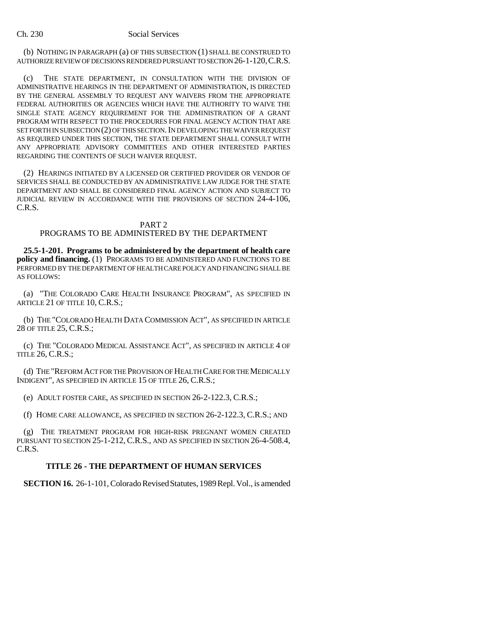(b) NOTHING IN PARAGRAPH (a) OF THIS SUBSECTION (1) SHALL BE CONSTRUED TO AUTHORIZE REVIEW OF DECISIONS RENDERED PURSUANT TO SECTION 26-1-120,C.R.S.

(c) THE STATE DEPARTMENT, IN CONSULTATION WITH THE DIVISION OF ADMINISTRATIVE HEARINGS IN THE DEPARTMENT OF ADMINISTRATION, IS DIRECTED BY THE GENERAL ASSEMBLY TO REQUEST ANY WAIVERS FROM THE APPROPRIATE FEDERAL AUTHORITIES OR AGENCIES WHICH HAVE THE AUTHORITY TO WAIVE THE SINGLE STATE AGENCY REQUIREMENT FOR THE ADMINISTRATION OF A GRANT PROGRAM WITH RESPECT TO THE PROCEDURES FOR FINAL AGENCY ACTION THAT ARE SET FORTH IN SUBSECTION (2) OF THIS SECTION. IN DEVELOPING THE WAIVER REQUEST AS REQUIRED UNDER THIS SECTION, THE STATE DEPARTMENT SHALL CONSULT WITH ANY APPROPRIATE ADVISORY COMMITTEES AND OTHER INTERESTED PARTIES REGARDING THE CONTENTS OF SUCH WAIVER REQUEST.

(2) HEARINGS INITIATED BY A LICENSED OR CERTIFIED PROVIDER OR VENDOR OF SERVICES SHALL BE CONDUCTED BY AN ADMINISTRATIVE LAW JUDGE FOR THE STATE DEPARTMENT AND SHALL BE CONSIDERED FINAL AGENCY ACTION AND SUBJECT TO JUDICIAL REVIEW IN ACCORDANCE WITH THE PROVISIONS OF SECTION 24-4-106, C.R.S.

### PART 2

## PROGRAMS TO BE ADMINISTERED BY THE DEPARTMENT

**25.5-1-201. Programs to be administered by the department of health care policy and financing.** (1) PROGRAMS TO BE ADMINISTERED AND FUNCTIONS TO BE PERFORMED BY THE DEPARTMENT OF HEALTH CARE POLICY AND FINANCING SHALL BE AS FOLLOWS:

(a) "THE COLORADO CARE HEALTH INSURANCE PROGRAM", AS SPECIFIED IN ARTICLE 21 OF TITLE 10, C.R.S.;

(b) THE "COLORADO HEALTH DATA COMMISSION ACT", AS SPECIFIED IN ARTICLE 28 OF TITLE 25, C.R.S.;

(c) THE "COLORADO MEDICAL ASSISTANCE ACT", AS SPECIFIED IN ARTICLE 4 OF TITLE 26, C.R.S.;

(d) THE "REFORM ACT FOR THE PROVISION OF HEALTH CARE FOR THE MEDICALLY INDIGENT", AS SPECIFIED IN ARTICLE 15 OF TITLE 26, C.R.S.;

(e) ADULT FOSTER CARE, AS SPECIFIED IN SECTION 26-2-122.3, C.R.S.;

(f) HOME CARE ALLOWANCE, AS SPECIFIED IN SECTION 26-2-122.3, C.R.S.; AND

(g) THE TREATMENT PROGRAM FOR HIGH-RISK PREGNANT WOMEN CREATED PURSUANT TO SECTION 25-1-212, C.R.S., AND AS SPECIFIED IN SECTION 26-4-508.4, C.R.S.

## **TITLE 26 - THE DEPARTMENT OF HUMAN SERVICES**

**SECTION 16.** 26-1-101, Colorado Revised Statutes, 1989 Repl. Vol., is amended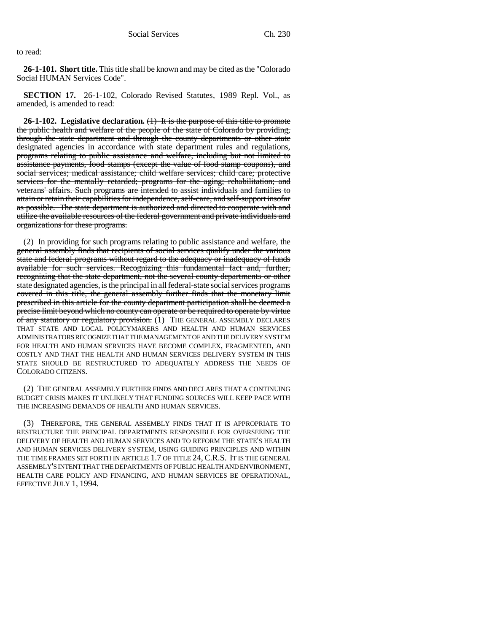to read:

**26-1-101. Short title.** This title shall be known and may be cited as the "Colorado Social HUMAN Services Code".

**SECTION 17.** 26-1-102, Colorado Revised Statutes, 1989 Repl. Vol., as amended, is amended to read:

**26-1-102. Legislative declaration.** (1) It is the purpose of this title to promote the public health and welfare of the people of the state of Colorado by providing, through the state department and through the county departments or other state designated agencies in accordance with state department rules and regulations, programs relating to public assistance and welfare, including but not limited to assistance payments, food stamps (except the value of food stamp coupons), and social services; medical assistance; child welfare services; child care; protective services for the mentally retarded; programs for the aging; rehabilitation; and veterans' affairs. Such programs are intended to assist individuals and families to attain or retain their capabilities for independence, self-care, and self-support insofar as possible. The state department is authorized and directed to cooperate with and utilize the available resources of the federal government and private individuals and organizations for these programs.

(2) In providing for such programs relating to public assistance and welfare, the general assembly finds that recipients of social services qualify under the various state and federal programs without regard to the adequacy or inadequacy of funds available for such services. Recognizing this fundamental fact and, further, recognizing that the state department, not the several county departments or other state designated agencies, is the principal in all federal-state social services programs covered in this title, the general assembly further finds that the monetary limit prescribed in this article for the county department participation shall be deemed a precise limit beyond which no county can operate or be required to operate by virtue of any statutory or regulatory provision. (1) THE GENERAL ASSEMBLY DECLARES THAT STATE AND LOCAL POLICYMAKERS AND HEALTH AND HUMAN SERVICES ADMINISTRATORS RECOGNIZE THAT THE MANAGEMENT OF AND THE DELIVERY SYSTEM FOR HEALTH AND HUMAN SERVICES HAVE BECOME COMPLEX, FRAGMENTED, AND COSTLY AND THAT THE HEALTH AND HUMAN SERVICES DELIVERY SYSTEM IN THIS STATE SHOULD BE RESTRUCTURED TO ADEQUATELY ADDRESS THE NEEDS OF COLORADO CITIZENS.

(2) THE GENERAL ASSEMBLY FURTHER FINDS AND DECLARES THAT A CONTINUING BUDGET CRISIS MAKES IT UNLIKELY THAT FUNDING SOURCES WILL KEEP PACE WITH THE INCREASING DEMANDS OF HEALTH AND HUMAN SERVICES.

(3) THEREFORE, THE GENERAL ASSEMBLY FINDS THAT IT IS APPROPRIATE TO RESTRUCTURE THE PRINCIPAL DEPARTMENTS RESPONSIBLE FOR OVERSEEING THE DELIVERY OF HEALTH AND HUMAN SERVICES AND TO REFORM THE STATE'S HEALTH AND HUMAN SERVICES DELIVERY SYSTEM, USING GUIDING PRINCIPLES AND WITHIN THE TIME FRAMES SET FORTH IN ARTICLE 1.7 OF TITLE 24, C.R.S. IT IS THE GENERAL ASSEMBLY'S INTENT THAT THE DEPARTMENTS OF PUBLIC HEALTH AND ENVIRONMENT, HEALTH CARE POLICY AND FINANCING, AND HUMAN SERVICES BE OPERATIONAL, EFFECTIVE JULY 1, 1994.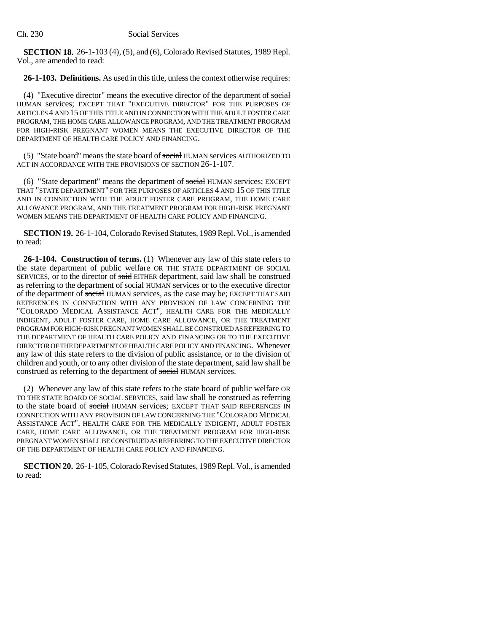**SECTION 18.** 26-1-103 (4), (5), and (6), Colorado Revised Statutes, 1989 Repl. Vol., are amended to read:

**26-1-103. Definitions.** As used in this title, unless the context otherwise requires:

(4) "Executive director" means the executive director of the department of social HUMAN services; EXCEPT THAT "EXECUTIVE DIRECTOR" FOR THE PURPOSES OF ARTICLES 4 AND 15 OF THIS TITLE AND IN CONNECTION WITH THE ADULT FOSTER CARE PROGRAM, THE HOME CARE ALLOWANCE PROGRAM, AND THE TREATMENT PROGRAM FOR HIGH-RISK PREGNANT WOMEN MEANS THE EXECUTIVE DIRECTOR OF THE DEPARTMENT OF HEALTH CARE POLICY AND FINANCING.

(5) "State board" means the state board of social HUMAN services AUTHORIZED TO ACT IN ACCORDANCE WITH THE PROVISIONS OF SECTION 26-1-107.

(6) "State department" means the department of social HUMAN services; EXCEPT THAT "STATE DEPARTMENT" FOR THE PURPOSES OF ARTICLES 4 AND 15 OF THIS TITLE AND IN CONNECTION WITH THE ADULT FOSTER CARE PROGRAM, THE HOME CARE ALLOWANCE PROGRAM, AND THE TREATMENT PROGRAM FOR HIGH-RISK PREGNANT WOMEN MEANS THE DEPARTMENT OF HEALTH CARE POLICY AND FINANCING.

**SECTION 19.** 26-1-104, Colorado Revised Statutes, 1989 Repl. Vol., is amended to read:

**26-1-104. Construction of terms.** (1) Whenever any law of this state refers to the state department of public welfare OR THE STATE DEPARTMENT OF SOCIAL SERVICES, or to the director of said EITHER department, said law shall be construed as referring to the department of social HUMAN services or to the executive director of the department of social HUMAN services, as the case may be; EXCEPT THAT SAID REFERENCES IN CONNECTION WITH ANY PROVISION OF LAW CONCERNING THE "COLORADO MEDICAL ASSISTANCE ACT", HEALTH CARE FOR THE MEDICALLY INDIGENT, ADULT FOSTER CARE, HOME CARE ALLOWANCE, OR THE TREATMENT PROGRAM FOR HIGH-RISK PREGNANT WOMEN SHALL BE CONSTRUED AS REFERRING TO THE DEPARTMENT OF HEALTH CARE POLICY AND FINANCING OR TO THE EXECUTIVE DIRECTOR OF THE DEPARTMENT OF HEALTH CARE POLICY AND FINANCING. Whenever any law of this state refers to the division of public assistance, or to the division of children and youth, or to any other division of the state department, said law shall be construed as referring to the department of social HUMAN services.

(2) Whenever any law of this state refers to the state board of public welfare OR TO THE STATE BOARD OF SOCIAL SERVICES, said law shall be construed as referring to the state board of social HUMAN services; EXCEPT THAT SAID REFERENCES IN CONNECTION WITH ANY PROVISION OF LAW CONCERNING THE "COLORADO MEDICAL ASSISTANCE ACT", HEALTH CARE FOR THE MEDICALLY INDIGENT, ADULT FOSTER CARE, HOME CARE ALLOWANCE, OR THE TREATMENT PROGRAM FOR HIGH-RISK PREGNANT WOMEN SHALL BE CONSTRUED AS REFERRING TO THE EXECUTIVE DIRECTOR OF THE DEPARTMENT OF HEALTH CARE POLICY AND FINANCING.

**SECTION 20.** 26-1-105, Colorado Revised Statutes, 1989 Repl. Vol., is amended to read: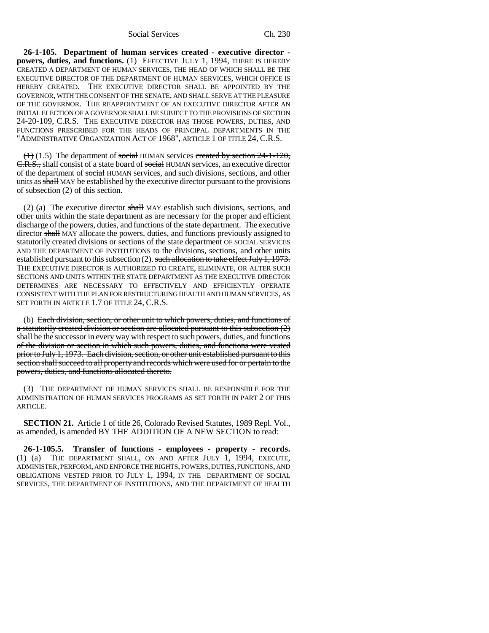#### Social Services Ch. 230

**26-1-105. Department of human services created - executive director powers, duties, and functions.** (1) EFFECTIVE JULY 1, 1994, THERE IS HEREBY CREATED A DEPARTMENT OF HUMAN SERVICES, THE HEAD OF WHICH SHALL BE THE EXECUTIVE DIRECTOR OF THE DEPARTMENT OF HUMAN SERVICES, WHICH OFFICE IS HEREBY CREATED. THE EXECUTIVE DIRECTOR SHALL BE APPOINTED BY THE GOVERNOR, WITH THE CONSENT OF THE SENATE, AND SHALL SERVE AT THE PLEASURE OF THE GOVERNOR. THE REAPPOINTMENT OF AN EXECUTIVE DIRECTOR AFTER AN INITIAL ELECTION OF A GOVERNOR SHALL BE SUBJECT TO THE PROVISIONS OF SECTION 24-20-109, C.R.S. THE EXECUTIVE DIRECTOR HAS THOSE POWERS, DUTIES, AND FUNCTIONS PRESCRIBED FOR THE HEADS OF PRINCIPAL DEPARTMENTS IN THE "ADMINISTRATIVE ORGANIZATION ACT OF 1968", ARTICLE 1 OF TITLE 24, C.R.S.

 $(1)$  (1.5) The department of social HUMAN services created by section  $24-1-120$ , C.R.S., shall consist of a state board of social HUMAN services, an executive director of the department of social HUMAN services, and such divisions, sections, and other units as shall MAY be established by the executive director pursuant to the provisions of subsection (2) of this section.

(2) (a) The executive director shall MAY establish such divisions, sections, and other units within the state department as are necessary for the proper and efficient discharge of the powers, duties, and functions of the state department. The executive director shall MAY allocate the powers, duties, and functions previously assigned to statutorily created divisions or sections of the state department OF SOCIAL SERVICES AND THE DEPARTMENT OF INSTITUTIONS to the divisions, sections, and other units established pursuant to this subsection (2). such allocation to take effect July 1, 1973. THE EXECUTIVE DIRECTOR IS AUTHORIZED TO CREATE, ELIMINATE, OR ALTER SUCH SECTIONS AND UNITS WITHIN THE STATE DEPARTMENT AS THE EXECUTIVE DIRECTOR DETERMINES ARE NECESSARY TO EFFECTIVELY AND EFFICIENTLY OPERATE CONSISTENT WITH THE PLAN FOR RESTRUCTURING HEALTH AND HUMAN SERVICES, AS SET FORTH IN ARTICLE 1.7 OF TITLE 24, C.R.S.

(b) Each division, section, or other unit to which powers, duties, and functions of a statutorily created division or section are allocated pursuant to this subsection (2) shall be the successor in every way with respect to such powers, duties, and functions of the division or section in which such powers, duties, and functions were vested prior to July 1, 1973. Each division, section, or other unit established pursuant to this section shall succeed to all property and records which were used for or pertain to the powers, duties, and functions allocated thereto.

(3) THE DEPARTMENT OF HUMAN SERVICES SHALL BE RESPONSIBLE FOR THE ADMINISTRATION OF HUMAN SERVICES PROGRAMS AS SET FORTH IN PART 2 OF THIS ARTICLE.

**SECTION 21.** Article 1 of title 26, Colorado Revised Statutes, 1989 Repl. Vol., as amended, is amended BY THE ADDITION OF A NEW SECTION to read:

**26-1-105.5. Transfer of functions - employees - property - records.** (1) (a) THE DEPARTMENT SHALL, ON AND AFTER JULY 1, 1994, EXECUTE, ADMINISTER, PERFORM, AND ENFORCE THE RIGHTS, POWERS, DUTIES, FUNCTIONS, AND OBLIGATIONS VESTED PRIOR TO JULY 1, 1994, IN THE DEPARTMENT OF SOCIAL SERVICES, THE DEPARTMENT OF INSTITUTIONS, AND THE DEPARTMENT OF HEALTH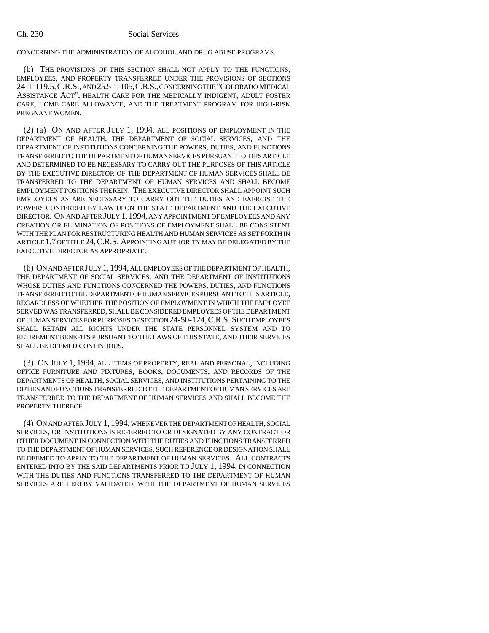#### CONCERNING THE ADMINISTRATION OF ALCOHOL AND DRUG ABUSE PROGRAMS.

(b) THE PROVISIONS OF THIS SECTION SHALL NOT APPLY TO THE FUNCTIONS, EMPLOYEES, AND PROPERTY TRANSFERRED UNDER THE PROVISIONS OF SECTIONS 24-1-119.5,C.R.S., AND 25.5-1-105,C.R.S., CONCERNING THE "COLORADO MEDICAL ASSISTANCE ACT", HEALTH CARE FOR THE MEDICALLY INDIGENT, ADULT FOSTER CARE, HOME CARE ALLOWANCE, AND THE TREATMENT PROGRAM FOR HIGH-RISK PREGNANT WOMEN.

(2) (a) ON AND AFTER JULY 1, 1994, ALL POSITIONS OF EMPLOYMENT IN THE DEPARTMENT OF HEALTH, THE DEPARTMENT OF SOCIAL SERVICES, AND THE DEPARTMENT OF INSTITUTIONS CONCERNING THE POWERS, DUTIES, AND FUNCTIONS TRANSFERRED TO THE DEPARTMENT OF HUMAN SERVICES PURSUANT TO THIS ARTICLE AND DETERMINED TO BE NECESSARY TO CARRY OUT THE PURPOSES OF THIS ARTICLE BY THE EXECUTIVE DIRECTOR OF THE DEPARTMENT OF HUMAN SERVICES SHALL BE TRANSFERRED TO THE DEPARTMENT OF HUMAN SERVICES AND SHALL BECOME EMPLOYMENT POSITIONS THEREIN. THE EXECUTIVE DIRECTOR SHALL APPOINT SUCH EMPLOYEES AS ARE NECESSARY TO CARRY OUT THE DUTIES AND EXERCISE THE POWERS CONFERRED BY LAW UPON THE STATE DEPARTMENT AND THE EXECUTIVE DIRECTOR. ON AND AFTER JULY 1,1994, ANY APPOINTMENT OF EMPLOYEES AND ANY CREATION OR ELIMINATION OF POSITIONS OF EMPLOYMENT SHALL BE CONSISTENT WITH THE PLAN FOR RESTRUCTURING HEALTH AND HUMAN SERVICES AS SET FORTH IN ARTICLE 1.7 OF TITLE 24,C.R.S. APPOINTING AUTHORITY MAY BE DELEGATED BY THE EXECUTIVE DIRECTOR AS APPROPRIATE.

(b) ON AND AFTER JULY 1,1994, ALL EMPLOYEES OF THE DEPARTMENT OF HEALTH, THE DEPARTMENT OF SOCIAL SERVICES, AND THE DEPARTMENT OF INSTITUTIONS WHOSE DUTIES AND FUNCTIONS CONCERNED THE POWERS, DUTIES, AND FUNCTIONS TRANSFERRED TO THE DEPARTMENT OF HUMAN SERVICES PURSUANT TO THIS ARTICLE, REGARDLESS OF WHETHER THE POSITION OF EMPLOYMENT IN WHICH THE EMPLOYEE SERVED WAS TRANSFERRED, SHALL BE CONSIDERED EMPLOYEES OF THE DEPARTMENT OF HUMAN SERVICES FOR PURPOSES OF SECTION 24-50-124,C.R.S. SUCH EMPLOYEES SHALL RETAIN ALL RIGHTS UNDER THE STATE PERSONNEL SYSTEM AND TO RETIREMENT BENEFITS PURSUANT TO THE LAWS OF THIS STATE, AND THEIR SERVICES SHALL BE DEEMED CONTINUOUS.

(3) ON JULY 1, 1994, ALL ITEMS OF PROPERTY, REAL AND PERSONAL, INCLUDING OFFICE FURNITURE AND FIXTURES, BOOKS, DOCUMENTS, AND RECORDS OF THE DEPARTMENTS OF HEALTH, SOCIAL SERVICES, AND INSTITUTIONS PERTAINING TO THE DUTIES AND FUNCTIONS TRANSFERRED TO THE DEPARTMENT OF HUMAN SERVICES ARE TRANSFERRED TO THE DEPARTMENT OF HUMAN SERVICES AND SHALL BECOME THE PROPERTY THEREOF.

(4) ON AND AFTER JULY 1, 1994, WHENEVER THE DEPARTMENT OF HEALTH, SOCIAL SERVICES, OR INSTITUTIONS IS REFERRED TO OR DESIGNATED BY ANY CONTRACT OR OTHER DOCUMENT IN CONNECTION WITH THE DUTIES AND FUNCTIONS TRANSFERRED TO THE DEPARTMENT OF HUMAN SERVICES, SUCH REFERENCE OR DESIGNATION SHALL BE DEEMED TO APPLY TO THE DEPARTMENT OF HUMAN SERVICES. ALL CONTRACTS ENTERED INTO BY THE SAID DEPARTMENTS PRIOR TO JULY 1, 1994, IN CONNECTION WITH THE DUTIES AND FUNCTIONS TRANSFERRED TO THE DEPARTMENT OF HUMAN SERVICES ARE HEREBY VALIDATED, WITH THE DEPARTMENT OF HUMAN SERVICES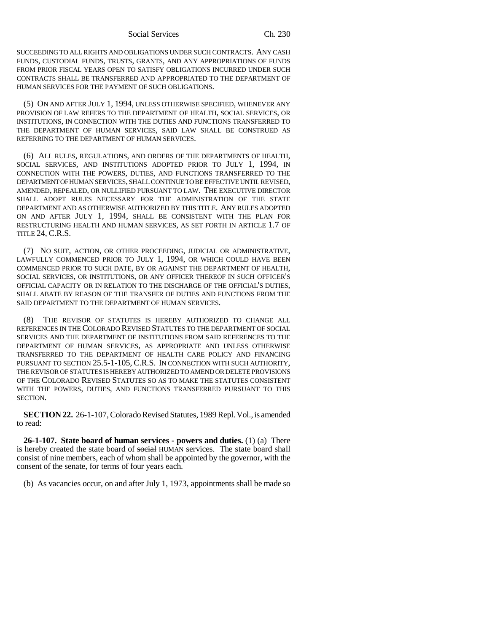Social Services Ch. 230

SUCCEEDING TO ALL RIGHTS AND OBLIGATIONS UNDER SUCH CONTRACTS. ANY CASH FUNDS, CUSTODIAL FUNDS, TRUSTS, GRANTS, AND ANY APPROPRIATIONS OF FUNDS FROM PRIOR FISCAL YEARS OPEN TO SATISFY OBLIGATIONS INCURRED UNDER SUCH CONTRACTS SHALL BE TRANSFERRED AND APPROPRIATED TO THE DEPARTMENT OF HUMAN SERVICES FOR THE PAYMENT OF SUCH OBLIGATIONS.

(5) ON AND AFTER JULY 1, 1994, UNLESS OTHERWISE SPECIFIED, WHENEVER ANY PROVISION OF LAW REFERS TO THE DEPARTMENT OF HEALTH, SOCIAL SERVICES, OR INSTITUTIONS, IN CONNECTION WITH THE DUTIES AND FUNCTIONS TRANSFERRED TO THE DEPARTMENT OF HUMAN SERVICES, SAID LAW SHALL BE CONSTRUED AS REFERRING TO THE DEPARTMENT OF HUMAN SERVICES.

(6) ALL RULES, REGULATIONS, AND ORDERS OF THE DEPARTMENTS OF HEALTH, SOCIAL SERVICES, AND INSTITUTIONS ADOPTED PRIOR TO JULY 1, 1994, IN CONNECTION WITH THE POWERS, DUTIES, AND FUNCTIONS TRANSFERRED TO THE DEPARTMENT OF HUMAN SERVICES, SHALL CONTINUE TO BE EFFECTIVE UNTIL REVISED, AMENDED, REPEALED, OR NULLIFIED PURSUANT TO LAW. THE EXECUTIVE DIRECTOR SHALL ADOPT RULES NECESSARY FOR THE ADMINISTRATION OF THE STATE DEPARTMENT AND AS OTHERWISE AUTHORIZED BY THIS TITLE. ANY RULES ADOPTED ON AND AFTER JULY 1, 1994, SHALL BE CONSISTENT WITH THE PLAN FOR RESTRUCTURING HEALTH AND HUMAN SERVICES, AS SET FORTH IN ARTICLE 1.7 OF TITLE 24, C.R.S.

(7) NO SUIT, ACTION, OR OTHER PROCEEDING, JUDICIAL OR ADMINISTRATIVE, LAWFULLY COMMENCED PRIOR TO JULY 1, 1994, OR WHICH COULD HAVE BEEN COMMENCED PRIOR TO SUCH DATE, BY OR AGAINST THE DEPARTMENT OF HEALTH, SOCIAL SERVICES, OR INSTITUTIONS, OR ANY OFFICER THEREOF IN SUCH OFFICER'S OFFICIAL CAPACITY OR IN RELATION TO THE DISCHARGE OF THE OFFICIAL'S DUTIES, SHALL ABATE BY REASON OF THE TRANSFER OF DUTIES AND FUNCTIONS FROM THE SAID DEPARTMENT TO THE DEPARTMENT OF HUMAN SERVICES.

(8) THE REVISOR OF STATUTES IS HEREBY AUTHORIZED TO CHANGE ALL REFERENCES IN THE COLORADO REVISED STATUTES TO THE DEPARTMENT OF SOCIAL SERVICES AND THE DEPARTMENT OF INSTITUTIONS FROM SAID REFERENCES TO THE DEPARTMENT OF HUMAN SERVICES, AS APPROPRIATE AND UNLESS OTHERWISE TRANSFERRED TO THE DEPARTMENT OF HEALTH CARE POLICY AND FINANCING PURSUANT TO SECTION 25.5-1-105, C.R.S. IN CONNECTION WITH SUCH AUTHORITY, THE REVISOR OF STATUTES IS HEREBY AUTHORIZED TO AMEND OR DELETE PROVISIONS OF THE COLORADO REVISED STATUTES SO AS TO MAKE THE STATUTES CONSISTENT WITH THE POWERS, DUTIES, AND FUNCTIONS TRANSFERRED PURSUANT TO THIS SECTION.

**SECTION 22.** 26-1-107, Colorado Revised Statutes, 1989 Repl. Vol., is amended to read:

**26-1-107. State board of human services - powers and duties.** (1) (a) There is hereby created the state board of social HUMAN services. The state board shall consist of nine members, each of whom shall be appointed by the governor, with the consent of the senate, for terms of four years each.

(b) As vacancies occur, on and after July 1, 1973, appointments shall be made so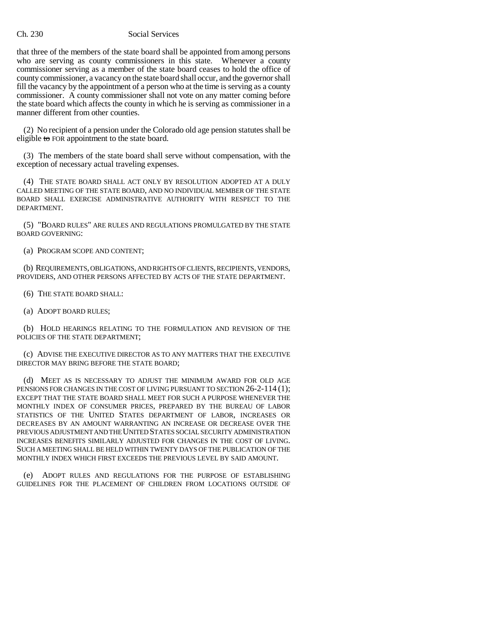that three of the members of the state board shall be appointed from among persons who are serving as county commissioners in this state. Whenever a county commissioner serving as a member of the state board ceases to hold the office of county commissioner, a vacancy on the state board shall occur, and the governor shall fill the vacancy by the appointment of a person who at the time is serving as a county commissioner. A county commissioner shall not vote on any matter coming before the state board which affects the county in which he is serving as commissioner in a manner different from other counties.

(2) No recipient of a pension under the Colorado old age pension statutes shall be eligible to FOR appointment to the state board.

(3) The members of the state board shall serve without compensation, with the exception of necessary actual traveling expenses.

(4) THE STATE BOARD SHALL ACT ONLY BY RESOLUTION ADOPTED AT A DULY CALLED MEETING OF THE STATE BOARD, AND NO INDIVIDUAL MEMBER OF THE STATE BOARD SHALL EXERCISE ADMINISTRATIVE AUTHORITY WITH RESPECT TO THE DEPARTMENT.

(5) "BOARD RULES" ARE RULES AND REGULATIONS PROMULGATED BY THE STATE BOARD GOVERNING:

(a) PROGRAM SCOPE AND CONTENT;

(b) REQUIREMENTS, OBLIGATIONS, AND RIGHTS OF CLIENTS, RECIPIENTS, VENDORS, PROVIDERS, AND OTHER PERSONS AFFECTED BY ACTS OF THE STATE DEPARTMENT.

(6) THE STATE BOARD SHALL:

(a) ADOPT BOARD RULES;

(b) HOLD HEARINGS RELATING TO THE FORMULATION AND REVISION OF THE POLICIES OF THE STATE DEPARTMENT;

(c) ADVISE THE EXECUTIVE DIRECTOR AS TO ANY MATTERS THAT THE EXECUTIVE DIRECTOR MAY BRING BEFORE THE STATE BOARD;

(d) MEET AS IS NECESSARY TO ADJUST THE MINIMUM AWARD FOR OLD AGE PENSIONS FOR CHANGES IN THE COST OF LIVING PURSUANT TO SECTION 26-2-114 (1); EXCEPT THAT THE STATE BOARD SHALL MEET FOR SUCH A PURPOSE WHENEVER THE MONTHLY INDEX OF CONSUMER PRICES, PREPARED BY THE BUREAU OF LABOR STATISTICS OF THE UNITED STATES DEPARTMENT OF LABOR, INCREASES OR DECREASES BY AN AMOUNT WARRANTING AN INCREASE OR DECREASE OVER THE PREVIOUS ADJUSTMENT AND THE UNITED STATES SOCIAL SECURITY ADMINISTRATION INCREASES BENEFITS SIMILARLY ADJUSTED FOR CHANGES IN THE COST OF LIVING. SUCH A MEETING SHALL BE HELD WITHIN TWENTY DAYS OF THE PUBLICATION OF THE MONTHLY INDEX WHICH FIRST EXCEEDS THE PREVIOUS LEVEL BY SAID AMOUNT.

(e) ADOPT RULES AND REGULATIONS FOR THE PURPOSE OF ESTABLISHING GUIDELINES FOR THE PLACEMENT OF CHILDREN FROM LOCATIONS OUTSIDE OF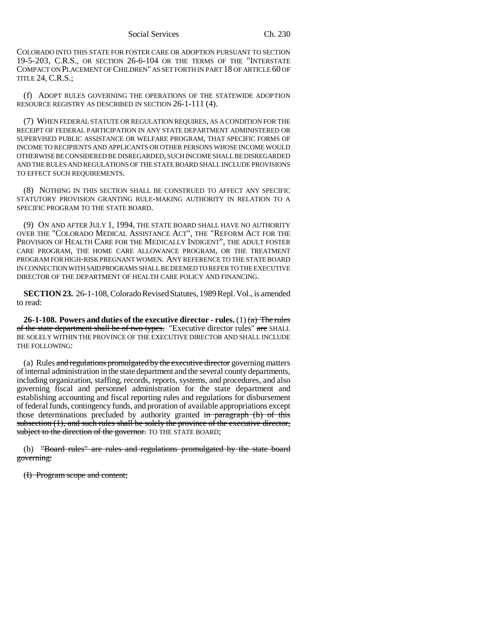COLORADO INTO THIS STATE FOR FOSTER CARE OR ADOPTION PURSUANT TO SECTION 19-5-203, C.R.S., OR SECTION 26-6-104 OR THE TERMS OF THE "INTERSTATE COMPACT ON PLACEMENT OF CHILDREN" AS SET FORTH IN PART 18 OF ARTICLE 60 OF TITLE 24, C.R.S.;

(f) ADOPT RULES GOVERNING THE OPERATIONS OF THE STATEWIDE ADOPTION RESOURCE REGISTRY AS DESCRIBED IN SECTION 26-1-111 (4).

(7) WHEN FEDERAL STATUTE OR REGULATION REQUIRES, AS A CONDITION FOR THE RECEIPT OF FEDERAL PARTICIPATION IN ANY STATE DEPARTMENT ADMINISTERED OR SUPERVISED PUBLIC ASSISTANCE OR WELFARE PROGRAM, THAT SPECIFIC FORMS OF INCOME TO RECIPIENTS AND APPLICANTS OR OTHER PERSONS WHOSE INCOME WOULD OTHERWISE BE CONSIDERED BE DISREGARDED, SUCH INCOME SHALL BE DISREGARDED AND THE RULES AND REGULATIONS OF THE STATE BOARD SHALL INCLUDE PROVISIONS TO EFFECT SUCH REQUIREMENTS.

(8) NOTHING IN THIS SECTION SHALL BE CONSTRUED TO AFFECT ANY SPECIFIC STATUTORY PROVISION GRANTING RULE-MAKING AUTHORITY IN RELATION TO A SPECIFIC PROGRAM TO THE STATE BOARD.

(9) ON AND AFTER JULY 1, 1994, THE STATE BOARD SHALL HAVE NO AUTHORITY OVER THE "COLORADO MEDICAL ASSISTANCE ACT", THE "REFORM ACT FOR THE PROVISION OF HEALTH CARE FOR THE MEDICALLY INDIGENT", THE ADULT FOSTER CARE PROGRAM, THE HOME CARE ALLOWANCE PROGRAM, OR THE TREATMENT PROGRAM FOR HIGH-RISK PREGNANT WOMEN. ANY REFERENCE TO THE STATE BOARD IN CONNECTION WITH SAID PROGRAMS SHALL BE DEEMED TO REFER TO THE EXECUTIVE DIRECTOR OF THE DEPARTMENT OF HEALTH CARE POLICY AND FINANCING.

**SECTION 23.** 26-1-108, Colorado Revised Statutes, 1989 Repl. Vol., is amended to read:

**26-1-108. Powers and duties of the executive director - rules.** (1)  $(a)$  The rules of the state department shall be of two types. "Executive director rules" are SHALL BE SOLELY WITHIN THE PROVINCE OF THE EXECUTIVE DIRECTOR AND SHALL INCLUDE THE FOLLOWING:

(a) Rules and regulations promulgated by the executive director governing matters of internal administration in the state department and the several county departments, including organization, staffing, records, reports, systems, and procedures, and also governing fiscal and personnel administration for the state department and establishing accounting and fiscal reporting rules and regulations for disbursement of federal funds, contingency funds, and proration of available appropriations except those determinations precluded by authority granted in paragraph (b) of this subsection (1), and such rules shall be solely the province of the executive director, subject to the direction of the governor. TO THE STATE BOARD;

(b) "Board rules" are rules and regulations promulgated by the state board governing:

(I) Program scope and content;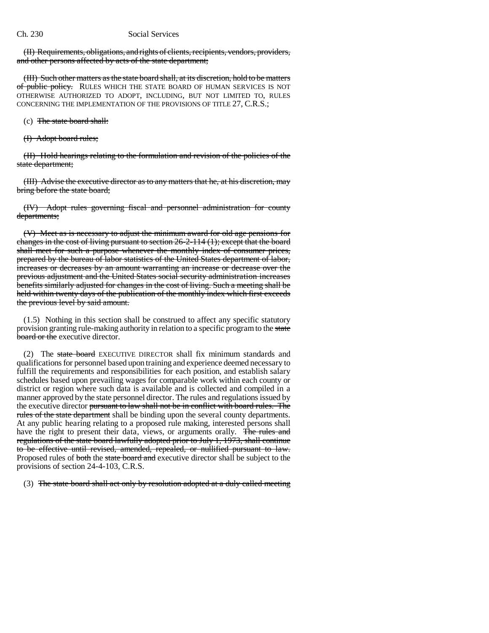(II) Requirements, obligations, and rights of clients, recipients, vendors, providers, and other persons affected by acts of the state department;

(III) Such other matters as the state board shall, at its discretion, hold to be matters of public policy. RULES WHICH THE STATE BOARD OF HUMAN SERVICES IS NOT OTHERWISE AUTHORIZED TO ADOPT, INCLUDING, BUT NOT LIMITED TO, RULES CONCERNING THE IMPLEMENTATION OF THE PROVISIONS OF TITLE 27, C.R.S.;

(c) The state board shall:

(I) Adopt board rules;

(II) Hold hearings relating to the formulation and revision of the policies of the state department;

(III) Advise the executive director as to any matters that he, at his discretion, may bring before the state board;

(IV) Adopt rules governing fiscal and personnel administration for county departments;

(V) Meet as is necessary to adjust the minimum award for old age pensions for changes in the cost of living pursuant to section 26-2-114 (1); except that the board shall meet for such a purpose whenever the monthly index of consumer prices, prepared by the bureau of labor statistics of the United States department of labor, increases or decreases by an amount warranting an increase or decrease over the previous adjustment and the United States social security administration increases benefits similarly adjusted for changes in the cost of living. Such a meeting shall be held within twenty days of the publication of the monthly index which first exceeds the previous level by said amount.

(1.5) Nothing in this section shall be construed to affect any specific statutory provision granting rule-making authority in relation to a specific program to the state board or the executive director.

(2) The state board EXECUTIVE DIRECTOR shall fix minimum standards and qualifications for personnel based upon training and experience deemed necessary to fulfill the requirements and responsibilities for each position, and establish salary schedules based upon prevailing wages for comparable work within each county or district or region where such data is available and is collected and compiled in a manner approved by the state personnel director. The rules and regulations issued by the executive director pursuant to law shall not be in conflict with board rules. The rules of the state department shall be binding upon the several county departments. At any public hearing relating to a proposed rule making, interested persons shall have the right to present their data, views, or arguments orally. The rules and regulations of the state board lawfully adopted prior to July 1, 1973, shall continue to be effective until revised, amended, repealed, or nullified pursuant to law. Proposed rules of both the state board and executive director shall be subject to the provisions of section 24-4-103, C.R.S.

(3) The state board shall act only by resolution adopted at a duly called meeting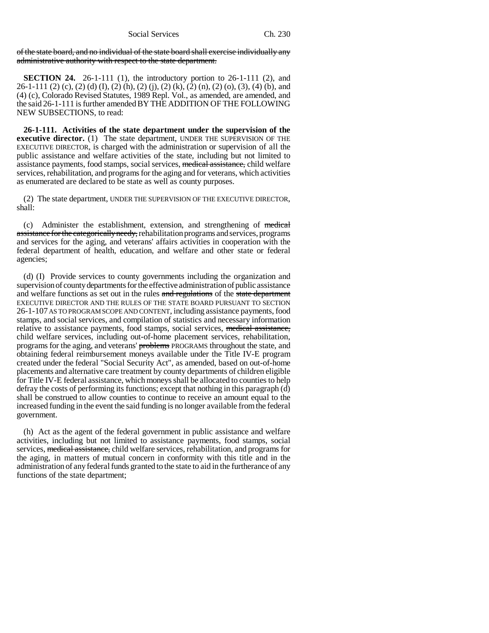of the state board, and no individual of the state board shall exercise individually any administrative authority with respect to the state department.

**SECTION 24.** 26-1-111 (1), the introductory portion to 26-1-111 (2), and 26-1-111 (2) (c), (2) (d) (I), (2) (h), (2) (j), (2) (k), (2) (n), (2) (o), (3), (4) (b), and (4) (c), Colorado Revised Statutes, 1989 Repl. Vol., as amended, are amended, and the said 26-1-111 is further amended BY THE ADDITION OF THE FOLLOWING NEW SUBSECTIONS, to read:

**26-1-111. Activities of the state department under the supervision of the executive director.** (1) The state department, UNDER THE SUPERVISION OF THE EXECUTIVE DIRECTOR, is charged with the administration or supervision of all the public assistance and welfare activities of the state, including but not limited to assistance payments, food stamps, social services, medical assistance, child welfare services, rehabilitation, and programs for the aging and for veterans, which activities as enumerated are declared to be state as well as county purposes.

(2) The state department, UNDER THE SUPERVISION OF THE EXECUTIVE DIRECTOR, shall:

(c) Administer the establishment, extension, and strengthening of medical assistance for the categorically needy, rehabilitation programs and services, programs and services for the aging, and veterans' affairs activities in cooperation with the federal department of health, education, and welfare and other state or federal agencies;

(d) (I) Provide services to county governments including the organization and supervision of county departments for the effective administration of public assistance and welfare functions as set out in the rules and regulations of the state department EXECUTIVE DIRECTOR AND THE RULES OF THE STATE BOARD PURSUANT TO SECTION 26-1-107 AS TO PROGRAM SCOPE AND CONTENT, including assistance payments, food stamps, and social services, and compilation of statistics and necessary information relative to assistance payments, food stamps, social services, medical assistance, child welfare services, including out-of-home placement services, rehabilitation, programs for the aging, and veterans' problems PROGRAMS throughout the state, and obtaining federal reimbursement moneys available under the Title IV-E program created under the federal "Social Security Act", as amended, based on out-of-home placements and alternative care treatment by county departments of children eligible for Title IV-E federal assistance, which moneys shall be allocated to counties to help defray the costs of performing its functions; except that nothing in this paragraph (d) shall be construed to allow counties to continue to receive an amount equal to the increased funding in the event the said funding is no longer available from the federal government.

(h) Act as the agent of the federal government in public assistance and welfare activities, including but not limited to assistance payments, food stamps, social services, medical assistance, child welfare services, rehabilitation, and programs for the aging, in matters of mutual concern in conformity with this title and in the administration of any federal funds granted to the state to aid in the furtherance of any functions of the state department;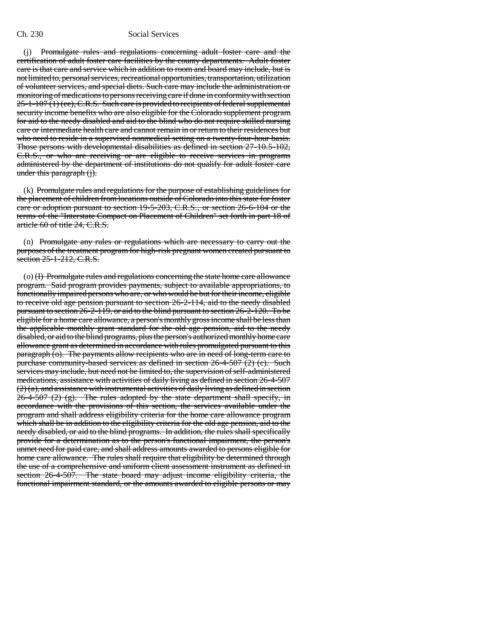(j) Promulgate rules and regulations concerning adult foster care and the certification of adult foster care facilities by the county departments. Adult foster care is that care and service which in addition to room and board may include, but is not limited to, personal services, recreational opportunities, transportation, utilization of volunteer services, and special diets. Such care may include the administration or monitoring of medications to persons receiving care if done in conformity with section 25-1-107 (1) (ee), C.R.S. Such care is provided to recipients of federal supplemental security income benefits who are also eligible for the Colorado supplement program for aid to the needy disabled and aid to the blind who do not require skilled nursing care or intermediate health care and cannot remain in or return to their residences but who need to reside in a supervised nonmedical setting on a twenty-four-hour basis. Those persons with developmental disabilities as defined in section 27-10.5-102, C.R.S., or who are receiving or are eligible to receive services in programs administered by the department of institutions do not qualify for adult foster care under this paragraph (j).

(k) Promulgate rules and regulations for the purpose of establishing guidelines for the placement of children from locations outside of Colorado into this state for foster care or adoption pursuant to section 19-5-203, C.R.S., or section 26-6-104 or the terms of the "Interstate Compact on Placement of Children" set forth in part 18 of article 60 of title 24, C.R.S.

(n) Promulgate any rules or regulations which are necessary to carry out the purposes of the treatment program for high-risk pregnant women created pursuant to section 25-1-212, C.R.S.

(o) (I) Promulgate rules and regulations concerning the state home care allowance program. Said program provides payments, subject to available appropriations, to functionally impaired persons who are, or who would be but for their income, eligible to receive old age pension pursuant to section 26-2-114, aid to the needy disabled pursuant to section 26-2-119, or aid to the blind pursuant to section 26-2-120. To be eligible for a home care allowance, a person's monthly gross income shall be less than the applicable monthly grant standard for the old age pension, aid to the needy disabled, or aid to the blind programs, plus the person's authorized monthly home care allowance grant as determined in accordance with rules promulgated pursuant to this paragraph (o). The payments allow recipients who are in need of long-term care to purchase community-based services as defined in section 26-4-507 (2) (c). Such services may include, but need not be limited to, the supervision of self-administered medications, assistance with activities of daily living as defined in section 26-4-507  $(2)$  (a), and assistance with instrumental activities of daily living as defined in section  $26-4-507$  (2) (g). The rules adopted by the state department shall specify, in accordance with the provisions of this section, the services available under the program and shall address eligibility criteria for the home care allowance program which shall be in addition to the eligibility criteria for the old age pension, aid to the needy disabled, or aid to the blind programs. In addition, the rules shall specifically provide for a determination as to the person's functional impairment, the person's unmet need for paid care, and shall address amounts awarded to persons eligible for home care allowance. The rules shall require that eligibility be determined through the use of a comprehensive and uniform client assessment instrument as defined in section 26-4-507. The state board may adjust income eligibility criteria, the functional impairment standard, or the amounts awarded to eligible persons or may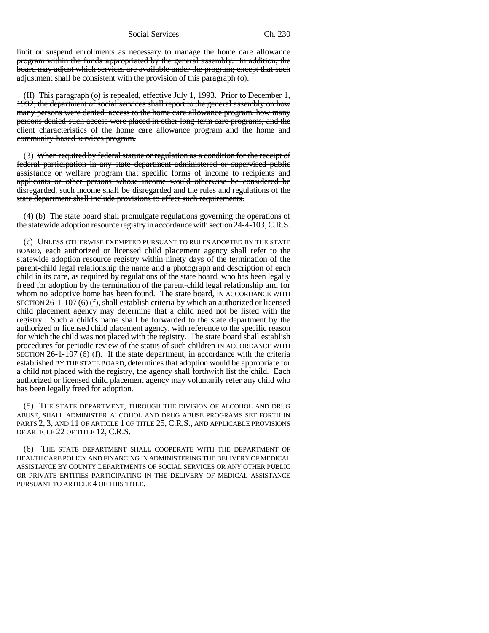Social Services Ch. 230

limit or suspend enrollments as necessary to manage the home care allowance program within the funds appropriated by the general assembly. In addition, the board may adjust which services are available under the program; except that such adjustment shall be consistent with the provision of this paragraph (o).

(II) This paragraph (o) is repealed, effective July 1, 1993. Prior to December 1, 1992, the department of social services shall report to the general assembly on how many persons were denied access to the home care allowance program, how many persons denied such access were placed in other long-term care programs, and the client characteristics of the home care allowance program and the home and community-based services program.

(3) When required by federal statute or regulation as a condition for the receipt of federal participation in any state department administered or supervised public assistance or welfare program that specific forms of income to recipients and applicants or other persons whose income would otherwise be considered be disregarded, such income shall be disregarded and the rules and regulations of the state department shall include provisions to effect such requirements.

## (4) (b) The state board shall promulgate regulations governing the operations of the statewide adoption resource registry in accordance with section 24-4-103, C.R.S.

(c) UNLESS OTHERWISE EXEMPTED PURSUANT TO RULES ADOPTED BY THE STATE BOARD, each authorized or licensed child placement agency shall refer to the statewide adoption resource registry within ninety days of the termination of the parent-child legal relationship the name and a photograph and description of each child in its care, as required by regulations of the state board, who has been legally freed for adoption by the termination of the parent-child legal relationship and for whom no adoptive home has been found. The state board, IN ACCORDANCE WITH SECTION 26-1-107 (6) (f), shall establish criteria by which an authorized or licensed child placement agency may determine that a child need not be listed with the registry. Such a child's name shall be forwarded to the state department by the authorized or licensed child placement agency, with reference to the specific reason for which the child was not placed with the registry. The state board shall establish procedures for periodic review of the status of such children IN ACCORDANCE WITH SECTION 26-1-107 (6) (f). If the state department, in accordance with the criteria established BY THE STATE BOARD, determines that adoption would be appropriate for a child not placed with the registry, the agency shall forthwith list the child. Each authorized or licensed child placement agency may voluntarily refer any child who has been legally freed for adoption.

(5) THE STATE DEPARTMENT, THROUGH THE DIVISION OF ALCOHOL AND DRUG ABUSE, SHALL ADMINISTER ALCOHOL AND DRUG ABUSE PROGRAMS SET FORTH IN PARTS 2, 3, AND 11 OF ARTICLE 1 OF TITLE 25, C.R.S., AND APPLICABLE PROVISIONS OF ARTICLE 22 OF TITLE 12, C.R.S.

(6) THE STATE DEPARTMENT SHALL COOPERATE WITH THE DEPARTMENT OF HEALTH CARE POLICY AND FINANCING IN ADMINISTERING THE DELIVERY OF MEDICAL ASSISTANCE BY COUNTY DEPARTMENTS OF SOCIAL SERVICES OR ANY OTHER PUBLIC OR PRIVATE ENTITIES PARTICIPATING IN THE DELIVERY OF MEDICAL ASSISTANCE PURSUANT TO ARTICLE 4 OF THIS TITLE.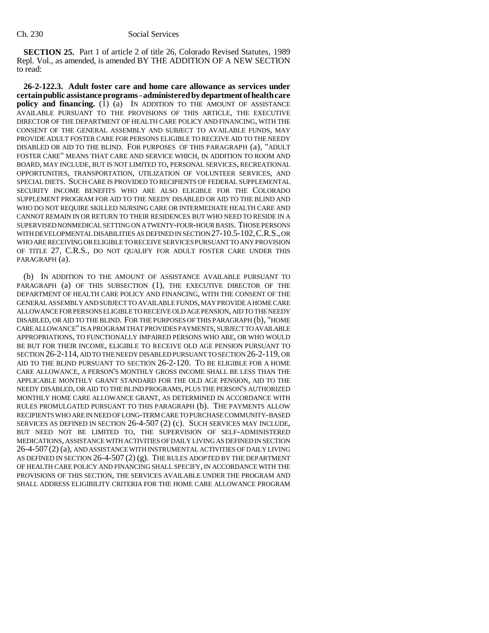**SECTION 25.** Part 1 of article 2 of title 26, Colorado Revised Statutes, 1989 Repl. Vol., as amended, is amended BY THE ADDITION OF A NEW SECTION to read:

**26-2-122.3. Adult foster care and home care allowance as services under certain public assistance programs - administered by department of health care policy and financing.** (1) (a) IN ADDITION TO THE AMOUNT OF ASSISTANCE AVAILABLE PURSUANT TO THE PROVISIONS OF THIS ARTICLE, THE EXECUTIVE DIRECTOR OF THE DEPARTMENT OF HEALTH CARE POLICY AND FINANCING, WITH THE CONSENT OF THE GENERAL ASSEMBLY AND SUBJECT TO AVAILABLE FUNDS, MAY PROVIDE ADULT FOSTER CARE FOR PERSONS ELIGIBLE TO RECEIVE AID TO THE NEEDY DISABLED OR AID TO THE BLIND. FOR PURPOSES OF THIS PARAGRAPH (a), "ADULT FOSTER CARE" MEANS THAT CARE AND SERVICE WHICH, IN ADDITION TO ROOM AND BOARD, MAY INCLUDE, BUT IS NOT LIMITED TO, PERSONAL SERVICES, RECREATIONAL OPPORTUNITIES, TRANSPORTATION, UTILIZATION OF VOLUNTEER SERVICES, AND SPECIAL DIETS. SUCH CARE IS PROVIDED TO RECIPIENTS OF FEDERAL SUPPLEMENTAL SECURITY INCOME BENEFITS WHO ARE ALSO ELIGIBLE FOR THE COLORADO SUPPLEMENT PROGRAM FOR AID TO THE NEEDY DISABLED OR AID TO THE BLIND AND WHO DO NOT REQUIRE SKILLED NURSING CARE OR INTERMEDIATE HEALTH CARE AND CANNOT REMAIN IN OR RETURN TO THEIR RESIDENCES BUT WHO NEED TO RESIDE IN A SUPERVISED NONMEDICAL SETTING ON A TWENTY-FOUR-HOUR BASIS. THOSE PERSONS WITH DEVELOPMENTAL DISABILITIES AS DEFINED IN SECTION 27-10.5-102,C.R.S., OR WHO ARE RECEIVING OR ELIGIBLE TO RECEIVE SERVICES PURSUANT TO ANY PROVISION OF TITLE 27, C.R.S., DO NOT QUALIFY FOR ADULT FOSTER CARE UNDER THIS PARAGRAPH (a).

(b) IN ADDITION TO THE AMOUNT OF ASSISTANCE AVAILABLE PURSUANT TO PARAGRAPH (a) OF THIS SUBSECTION (1), THE EXECUTIVE DIRECTOR OF THE DEPARTMENT OF HEALTH CARE POLICY AND FINANCING, WITH THE CONSENT OF THE GENERAL ASSEMBLY AND SUBJECT TO AVAILABLE FUNDS, MAY PROVIDE A HOME CARE ALLOWANCE FOR PERSONS ELIGIBLE TO RECEIVE OLD AGE PENSION, AID TO THE NEEDY DISABLED, OR AID TO THE BLIND. FOR THE PURPOSES OF THIS PARAGRAPH (b), "HOME CARE ALLOWANCE" IS A PROGRAM THAT PROVIDES PAYMENTS, SUBJECT TO AVAILABLE APPROPRIATIONS, TO FUNCTIONALLY IMPAIRED PERSONS WHO ARE, OR WHO WOULD BE BUT FOR THEIR INCOME, ELIGIBLE TO RECEIVE OLD AGE PENSION PURSUANT TO SECTION 26-2-114, AID TO THE NEEDY DISABLED PURSUANT TO SECTION 26-2-119, OR AID TO THE BLIND PURSUANT TO SECTION 26-2-120. TO BE ELIGIBLE FOR A HOME CARE ALLOWANCE, A PERSON'S MONTHLY GROSS INCOME SHALL BE LESS THAN THE APPLICABLE MONTHLY GRANT STANDARD FOR THE OLD AGE PENSION, AID TO THE NEEDY DISABLED, OR AID TO THE BLIND PROGRAMS, PLUS THE PERSON'S AUTHORIZED MONTHLY HOME CARE ALLOWANCE GRANT, AS DETERMINED IN ACCORDANCE WITH RULES PROMULGATED PURSUANT TO THIS PARAGRAPH (b). THE PAYMENTS ALLOW RECIPIENTS WHO ARE IN NEED OF LONG-TERM CARE TO PURCHASE COMMUNITY-BASED SERVICES AS DEFINED IN SECTION 26-4-507 (2) (c). SUCH SERVICES MAY INCLUDE, BUT NEED NOT BE LIMITED TO, THE SUPERVISION OF SELF-ADMINISTERED MEDICATIONS, ASSISTANCE WITH ACTIVITIES OF DAILY LIVING AS DEFINED IN SECTION 26-4-507 (2) (a), AND ASSISTANCE WITH INSTRUMENTAL ACTIVITIES OF DAILY LIVING AS DEFINED IN SECTION  $26-4-507(2)$  (g). THE RULES ADOPTED BY THE DEPARTMENT OF HEALTH CARE POLICY AND FINANCING SHALL SPECIFY, IN ACCORDANCE WITH THE PROVISIONS OF THIS SECTION, THE SERVICES AVAILABLE UNDER THE PROGRAM AND SHALL ADDRESS ELIGIBILITY CRITERIA FOR THE HOME CARE ALLOWANCE PROGRAM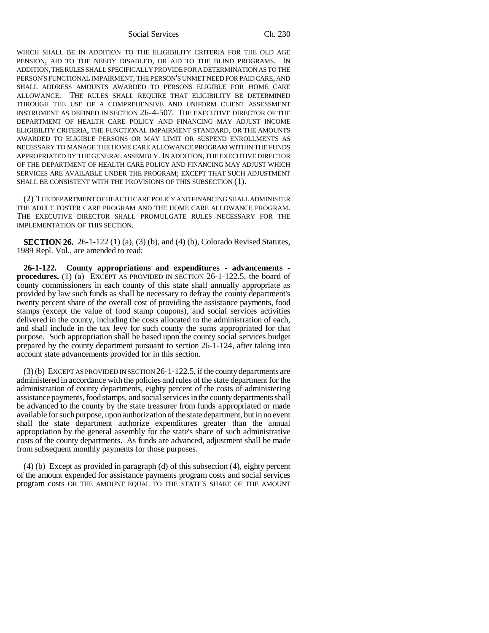Social Services Ch. 230

WHICH SHALL BE IN ADDITION TO THE ELIGIBILITY CRITERIA FOR THE OLD AGE PENSION, AID TO THE NEEDY DISABLED, OR AID TO THE BLIND PROGRAMS. IN ADDITION, THE RULES SHALL SPECIFICALLY PROVIDE FOR A DETERMINATION AS TO THE PERSON'S FUNCTIONAL IMPAIRMENT, THE PERSON'S UNMET NEED FOR PAID CARE, AND SHALL ADDRESS AMOUNTS AWARDED TO PERSONS ELIGIBLE FOR HOME CARE ALLOWANCE. THE RULES SHALL REQUIRE THAT ELIGIBILITY BE DETERMINED THROUGH THE USE OF A COMPREHENSIVE AND UNIFORM CLIENT ASSESSMENT INSTRUMENT AS DEFINED IN SECTION 26-4-507. THE EXECUTIVE DIRECTOR OF THE DEPARTMENT OF HEALTH CARE POLICY AND FINANCING MAY ADJUST INCOME ELIGIBILITY CRITERIA, THE FUNCTIONAL IMPAIRMENT STANDARD, OR THE AMOUNTS AWARDED TO ELIGIBLE PERSONS OR MAY LIMIT OR SUSPEND ENROLLMENTS AS NECESSARY TO MANAGE THE HOME CARE ALLOWANCE PROGRAM WITHIN THE FUNDS APPROPRIATED BY THE GENERAL ASSEMBLY. IN ADDITION, THE EXECUTIVE DIRECTOR OF THE DEPARTMENT OF HEALTH CARE POLICY AND FINANCING MAY ADJUST WHICH SERVICES ARE AVAILABLE UNDER THE PROGRAM; EXCEPT THAT SUCH ADJUSTMENT SHALL BE CONSISTENT WITH THE PROVISIONS OF THIS SUBSECTION (1).

(2) THE DEPARTMENT OF HEALTH CARE POLICY AND FINANCING SHALL ADMINISTER THE ADULT FOSTER CARE PROGRAM AND THE HOME CARE ALLOWANCE PROGRAM. THE EXECUTIVE DIRECTOR SHALL PROMULGATE RULES NECESSARY FOR THE IMPLEMENTATION OF THIS SECTION.

**SECTION 26.** 26-1-122 (1) (a), (3) (b), and (4) (b), Colorado Revised Statutes, 1989 Repl. Vol., are amended to read:

**26-1-122. County appropriations and expenditures - advancements procedures.** (1) (a) EXCEPT AS PROVIDED IN SECTION 26-1-122.5, the board of county commissioners in each county of this state shall annually appropriate as provided by law such funds as shall be necessary to defray the county department's twenty percent share of the overall cost of providing the assistance payments, food stamps (except the value of food stamp coupons), and social services activities delivered in the county, including the costs allocated to the administration of each, and shall include in the tax levy for such county the sums appropriated for that purpose. Such appropriation shall be based upon the county social services budget prepared by the county department pursuant to section 26-1-124, after taking into account state advancements provided for in this section.

(3) (b) EXCEPT AS PROVIDED IN SECTION 26-1-122.5, if the county departments are administered in accordance with the policies and rules of the state department for the administration of county departments, eighty percent of the costs of administering assistance payments, food stamps, and social services in the county departments shall be advanced to the county by the state treasurer from funds appropriated or made available for such purpose, upon authorization of the state department, but in no event shall the state department authorize expenditures greater than the annual appropriation by the general assembly for the state's share of such administrative costs of the county departments. As funds are advanced, adjustment shall be made from subsequent monthly payments for those purposes.

(4) (b) Except as provided in paragraph (d) of this subsection (4), eighty percent of the amount expended for assistance payments program costs and social services program costs OR THE AMOUNT EQUAL TO THE STATE'S SHARE OF THE AMOUNT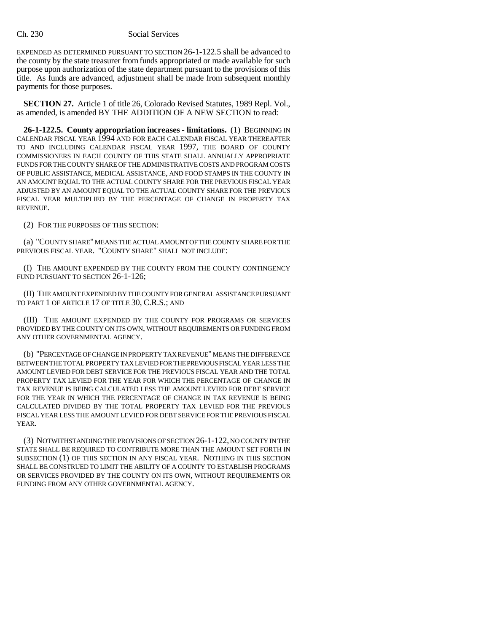EXPENDED AS DETERMINED PURSUANT TO SECTION 26-1-122.5 shall be advanced to the county by the state treasurer from funds appropriated or made available for such purpose upon authorization of the state department pursuant to the provisions of this title. As funds are advanced, adjustment shall be made from subsequent monthly payments for those purposes.

**SECTION 27.** Article 1 of title 26, Colorado Revised Statutes, 1989 Repl. Vol., as amended, is amended BY THE ADDITION OF A NEW SECTION to read:

**26-1-122.5. County appropriation increases - limitations.** (1) BEGINNING IN CALENDAR FISCAL YEAR 1994 AND FOR EACH CALENDAR FISCAL YEAR THEREAFTER TO AND INCLUDING CALENDAR FISCAL YEAR 1997, THE BOARD OF COUNTY COMMISSIONERS IN EACH COUNTY OF THIS STATE SHALL ANNUALLY APPROPRIATE FUNDS FOR THE COUNTY SHARE OF THE ADMINISTRATIVE COSTS AND PROGRAM COSTS OF PUBLIC ASSISTANCE, MEDICAL ASSISTANCE, AND FOOD STAMPS IN THE COUNTY IN AN AMOUNT EQUAL TO THE ACTUAL COUNTY SHARE FOR THE PREVIOUS FISCAL YEAR ADJUSTED BY AN AMOUNT EQUAL TO THE ACTUAL COUNTY SHARE FOR THE PREVIOUS FISCAL YEAR MULTIPLIED BY THE PERCENTAGE OF CHANGE IN PROPERTY TAX REVENUE.

(2) FOR THE PURPOSES OF THIS SECTION:

(a) "COUNTY SHARE" MEANS THE ACTUAL AMOUNT OF THE COUNTY SHARE FOR THE PREVIOUS FISCAL YEAR. "COUNTY SHARE" SHALL NOT INCLUDE:

(I) THE AMOUNT EXPENDED BY THE COUNTY FROM THE COUNTY CONTINGENCY FUND PURSUANT TO SECTION 26-1-126;

(II) THE AMOUNT EXPENDED BY THE COUNTY FOR GENERAL ASSISTANCE PURSUANT TO PART 1 OF ARTICLE 17 OF TITLE 30, C.R.S.; AND

(III) THE AMOUNT EXPENDED BY THE COUNTY FOR PROGRAMS OR SERVICES PROVIDED BY THE COUNTY ON ITS OWN, WITHOUT REQUIREMENTS OR FUNDING FROM ANY OTHER GOVERNMENTAL AGENCY.

(b) "PERCENTAGE OF CHANGE IN PROPERTY TAX REVENUE" MEANS THE DIFFERENCE BETWEEN THE TOTAL PROPERTY TAX LEVIED FOR THE PREVIOUS FISCAL YEAR LESS THE AMOUNT LEVIED FOR DEBT SERVICE FOR THE PREVIOUS FISCAL YEAR AND THE TOTAL PROPERTY TAX LEVIED FOR THE YEAR FOR WHICH THE PERCENTAGE OF CHANGE IN TAX REVENUE IS BEING CALCULATED LESS THE AMOUNT LEVIED FOR DEBT SERVICE FOR THE YEAR IN WHICH THE PERCENTAGE OF CHANGE IN TAX REVENUE IS BEING CALCULATED DIVIDED BY THE TOTAL PROPERTY TAX LEVIED FOR THE PREVIOUS FISCAL YEAR LESS THE AMOUNT LEVIED FOR DEBT SERVICE FOR THE PREVIOUS FISCAL YEAR.

(3) NOTWITHSTANDING THE PROVISIONS OF SECTION 26-1-122, NO COUNTY IN THE STATE SHALL BE REQUIRED TO CONTRIBUTE MORE THAN THE AMOUNT SET FORTH IN SUBSECTION (1) OF THIS SECTION IN ANY FISCAL YEAR. NOTHING IN THIS SECTION SHALL BE CONSTRUED TO LIMIT THE ABILITY OF A COUNTY TO ESTABLISH PROGRAMS OR SERVICES PROVIDED BY THE COUNTY ON ITS OWN, WITHOUT REQUIREMENTS OR FUNDING FROM ANY OTHER GOVERNMENTAL AGENCY.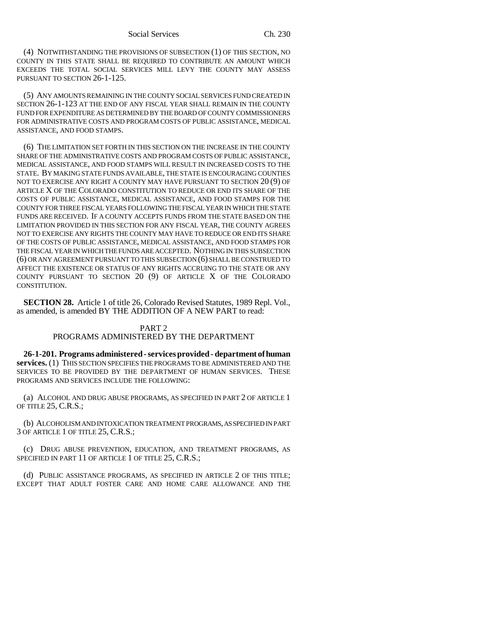(4) NOTWITHSTANDING THE PROVISIONS OF SUBSECTION (1) OF THIS SECTION, NO COUNTY IN THIS STATE SHALL BE REQUIRED TO CONTRIBUTE AN AMOUNT WHICH EXCEEDS THE TOTAL SOCIAL SERVICES MILL LEVY THE COUNTY MAY ASSESS PURSUANT TO SECTION 26-1-125.

(5) ANY AMOUNTS REMAINING IN THE COUNTY SOCIAL SERVICES FUND CREATED IN SECTION 26-1-123 AT THE END OF ANY FISCAL YEAR SHALL REMAIN IN THE COUNTY FUND FOR EXPENDITURE AS DETERMINED BY THE BOARD OF COUNTY COMMISSIONERS FOR ADMINISTRATIVE COSTS AND PROGRAM COSTS OF PUBLIC ASSISTANCE, MEDICAL ASSISTANCE, AND FOOD STAMPS.

(6) THE LIMITATION SET FORTH IN THIS SECTION ON THE INCREASE IN THE COUNTY SHARE OF THE ADMINISTRATIVE COSTS AND PROGRAM COSTS OF PUBLIC ASSISTANCE, MEDICAL ASSISTANCE, AND FOOD STAMPS WILL RESULT IN INCREASED COSTS TO THE STATE. BY MAKING STATE FUNDS AVAILABLE, THE STATE IS ENCOURAGING COUNTIES NOT TO EXERCISE ANY RIGHT A COUNTY MAY HAVE PURSUANT TO SECTION 20 (9) OF ARTICLE X OF THE COLORADO CONSTITUTION TO REDUCE OR END ITS SHARE OF THE COSTS OF PUBLIC ASSISTANCE, MEDICAL ASSISTANCE, AND FOOD STAMPS FOR THE COUNTY FOR THREE FISCAL YEARS FOLLOWING THE FISCAL YEAR IN WHICH THE STATE FUNDS ARE RECEIVED. IF A COUNTY ACCEPTS FUNDS FROM THE STATE BASED ON THE LIMITATION PROVIDED IN THIS SECTION FOR ANY FISCAL YEAR, THE COUNTY AGREES NOT TO EXERCISE ANY RIGHTS THE COUNTY MAY HAVE TO REDUCE OR END ITS SHARE OF THE COSTS OF PUBLIC ASSISTANCE, MEDICAL ASSISTANCE, AND FOOD STAMPS FOR THE FISCAL YEAR IN WHICH THE FUNDS ARE ACCEPTED. NOTHING IN THIS SUBSECTION (6) OR ANY AGREEMENT PURSUANT TO THIS SUBSECTION (6) SHALL BE CONSTRUED TO AFFECT THE EXISTENCE OR STATUS OF ANY RIGHTS ACCRUING TO THE STATE OR ANY COUNTY PURSUANT TO SECTION 20 (9) OF ARTICLE X OF THE COLORADO CONSTITUTION.

**SECTION 28.** Article 1 of title 26, Colorado Revised Statutes, 1989 Repl. Vol., as amended, is amended BY THE ADDITION OF A NEW PART to read:

# PART 2

# PROGRAMS ADMINISTERED BY THE DEPARTMENT

**26-1-201. Programs administered - services provided - department of human services.** (1) THIS SECTION SPECIFIES THE PROGRAMS TO BE ADMINISTERED AND THE SERVICES TO BE PROVIDED BY THE DEPARTMENT OF HUMAN SERVICES. THESE PROGRAMS AND SERVICES INCLUDE THE FOLLOWING:

(a) ALCOHOL AND DRUG ABUSE PROGRAMS, AS SPECIFIED IN PART 2 OF ARTICLE 1 OF TITLE 25, C.R.S.;

(b) ALCOHOLISM AND INTOXICATION TREATMENT PROGRAMS, AS SPECIFIED IN PART 3 OF ARTICLE 1 OF TITLE 25, C.R.S.;

(c) DRUG ABUSE PREVENTION, EDUCATION, AND TREATMENT PROGRAMS, AS SPECIFIED IN PART 11 OF ARTICLE 1 OF TITLE 25, C.R.S.;

(d) PUBLIC ASSISTANCE PROGRAMS, AS SPECIFIED IN ARTICLE 2 OF THIS TITLE; EXCEPT THAT ADULT FOSTER CARE AND HOME CARE ALLOWANCE AND THE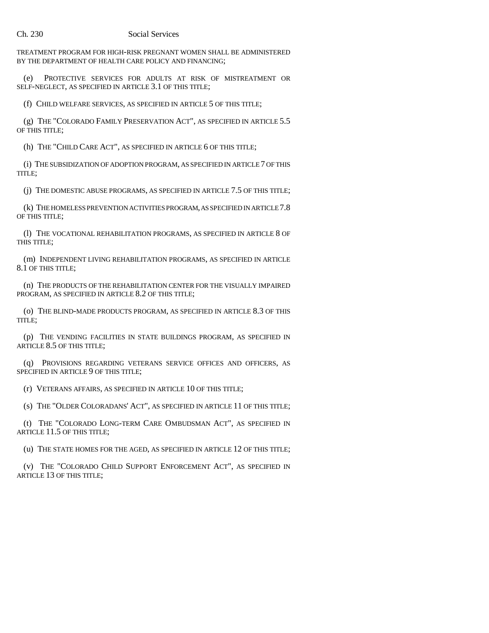TREATMENT PROGRAM FOR HIGH-RISK PREGNANT WOMEN SHALL BE ADMINISTERED BY THE DEPARTMENT OF HEALTH CARE POLICY AND FINANCING;

(e) PROTECTIVE SERVICES FOR ADULTS AT RISK OF MISTREATMENT OR SELF-NEGLECT, AS SPECIFIED IN ARTICLE 3.1 OF THIS TITLE;

(f) CHILD WELFARE SERVICES, AS SPECIFIED IN ARTICLE 5 OF THIS TITLE;

(g) THE "COLORADO FAMILY PRESERVATION ACT", AS SPECIFIED IN ARTICLE 5.5 OF THIS TITLE;

(h) THE "CHILD CARE ACT", AS SPECIFIED IN ARTICLE 6 OF THIS TITLE;

(i) THE SUBSIDIZATION OF ADOPTION PROGRAM, AS SPECIFIED IN ARTICLE 7 OF THIS TITLE;

(j) THE DOMESTIC ABUSE PROGRAMS, AS SPECIFIED IN ARTICLE 7.5 OF THIS TITLE;

(k) THE HOMELESS PREVENTION ACTIVITIES PROGRAM, AS SPECIFIED IN ARTICLE 7.8 OF THIS TITLE;

(l) THE VOCATIONAL REHABILITATION PROGRAMS, AS SPECIFIED IN ARTICLE 8 OF THIS TITLE;

(m) INDEPENDENT LIVING REHABILITATION PROGRAMS, AS SPECIFIED IN ARTICLE 8.1 OF THIS TITLE;

(n) THE PRODUCTS OF THE REHABILITATION CENTER FOR THE VISUALLY IMPAIRED PROGRAM, AS SPECIFIED IN ARTICLE 8.2 OF THIS TITLE;

(o) THE BLIND-MADE PRODUCTS PROGRAM, AS SPECIFIED IN ARTICLE 8.3 OF THIS TITLE;

(p) THE VENDING FACILITIES IN STATE BUILDINGS PROGRAM, AS SPECIFIED IN ARTICLE 8.5 OF THIS TITLE;

(q) PROVISIONS REGARDING VETERANS SERVICE OFFICES AND OFFICERS, AS SPECIFIED IN ARTICLE 9 OF THIS TITLE:

(r) VETERANS AFFAIRS, AS SPECIFIED IN ARTICLE 10 OF THIS TITLE;

(s) THE "OLDER COLORADANS' ACT", AS SPECIFIED IN ARTICLE 11 OF THIS TITLE;

(t) THE "COLORADO LONG-TERM CARE OMBUDSMAN ACT", AS SPECIFIED IN ARTICLE 11.5 OF THIS TITLE;

(u) THE STATE HOMES FOR THE AGED, AS SPECIFIED IN ARTICLE 12 OF THIS TITLE;

(v) THE "COLORADO CHILD SUPPORT ENFORCEMENT ACT", AS SPECIFIED IN ARTICLE 13 OF THIS TITLE;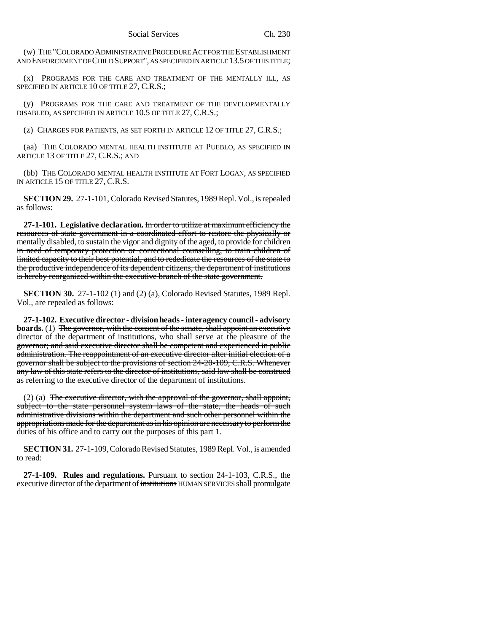(w) THE "COLORADO ADMINISTRATIVE PROCEDURE ACT FOR THE ESTABLISHMENT AND ENFORCEMENT OF CHILD SUPPORT", AS SPECIFIED IN ARTICLE 13.5 OF THIS TITLE;

(x) PROGRAMS FOR THE CARE AND TREATMENT OF THE MENTALLY ILL, AS SPECIFIED IN ARTICLE 10 OF TITLE 27, C.R.S.;

(y) PROGRAMS FOR THE CARE AND TREATMENT OF THE DEVELOPMENTALLY DISABLED, AS SPECIFIED IN ARTICLE 10.5 OF TITLE 27, C.R.S.;

(z) CHARGES FOR PATIENTS, AS SET FORTH IN ARTICLE 12 OF TITLE 27, C.R.S.;

(aa) THE COLORADO MENTAL HEALTH INSTITUTE AT PUEBLO, AS SPECIFIED IN ARTICLE 13 OF TITLE 27, C.R.S.; AND

(bb) THE COLORADO MENTAL HEALTH INSTITUTE AT FORT LOGAN, AS SPECIFIED IN ARTICLE 15 OF TITLE 27, C.R.S.

**SECTION 29.** 27-1-101, Colorado Revised Statutes, 1989 Repl. Vol., is repealed as follows:

**27-1-101. Legislative declaration.** In order to utilize at maximum efficiency the resources of state government in a coordinated effort to restore the physically or mentally disabled, to sustain the vigor and dignity of the aged, to provide for children in need of temporary protection or correctional counselling, to train children of limited capacity to their best potential, and to rededicate the resources of the state to the productive independence of its dependent citizens, the department of institutions is hereby reorganized within the executive branch of the state government.

**SECTION 30.** 27-1-102 (1) and (2) (a), Colorado Revised Statutes, 1989 Repl. Vol., are repealed as follows:

**27-1-102. Executive director - division heads - interagency council - advisory boards.** (1) The governor, with the consent of the senate, shall appoint an executive director of the department of institutions, who shall serve at the pleasure of the governor; and said executive director shall be competent and experienced in public administration. The reappointment of an executive director after initial election of a governor shall be subject to the provisions of section 24-20-109, C.R.S. Whenever any law of this state refers to the director of institutions, said law shall be construed as referring to the executive director of the department of institutions.

(2) (a) The executive director, with the approval of the governor, shall appoint, subject to the state personnel system laws of the state, the heads of such administrative divisions within the department and such other personnel within the appropriations made for the department as in his opinion are necessary to perform the duties of his office and to carry out the purposes of this part 1.

**SECTION 31.** 27-1-109, Colorado Revised Statutes, 1989 Repl. Vol., is amended to read:

**27-1-109. Rules and regulations.** Pursuant to section 24-1-103, C.R.S., the executive director of the department of institutions HUMAN SERVICES shall promulgate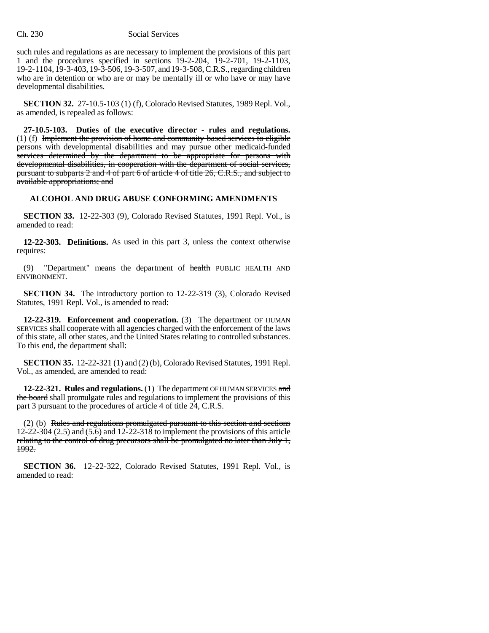such rules and regulations as are necessary to implement the provisions of this part 1 and the procedures specified in sections 19-2-204, 19-2-701, 19-2-1103, 19-2-1104, 19-3-403, 19-3-506, 19-3-507, and 19-3-508, C.R.S., regarding children who are in detention or who are or may be mentally ill or who have or may have developmental disabilities.

**SECTION 32.** 27-10.5-103 (1) (f), Colorado Revised Statutes, 1989 Repl. Vol., as amended, is repealed as follows:

**27-10.5-103. Duties of the executive director - rules and regulations.** (1) (f) Implement the provision of home and community-based services to eligible persons with developmental disabilities and may pursue other medicaid-funded services determined by the department to be appropriate for persons with developmental disabilities, in cooperation with the department of social services, pursuant to subparts 2 and 4 of part 6 of article 4 of title 26, C.R.S., and subject to available appropriations; and

## **ALCOHOL AND DRUG ABUSE CONFORMING AMENDMENTS**

**SECTION 33.** 12-22-303 (9), Colorado Revised Statutes, 1991 Repl. Vol., is amended to read:

**12-22-303. Definitions.** As used in this part 3, unless the context otherwise requires:

(9) "Department" means the department of health PUBLIC HEALTH AND ENVIRONMENT.

**SECTION 34.** The introductory portion to 12-22-319 (3), Colorado Revised Statutes, 1991 Repl. Vol., is amended to read:

**12-22-319. Enforcement and cooperation.** (3) The department OF HUMAN SERVICES shall cooperate with all agencies charged with the enforcement of the laws of this state, all other states, and the United States relating to controlled substances. To this end, the department shall:

**SECTION 35.** 12-22-321 (1) and (2) (b), Colorado Revised Statutes, 1991 Repl. Vol., as amended, are amended to read:

**12-22-321. Rules and regulations.** (1) The department OF HUMAN SERVICES and the board shall promulgate rules and regulations to implement the provisions of this part 3 pursuant to the procedures of article 4 of title 24, C.R.S.

(2) (b) Rules and regulations promulgated pursuant to this section and sections 12-22-304 (2.5) and (5.6) and 12-22-318 to implement the provisions of this article relating to the control of drug precursors shall be promulgated no later than July 1, 1992.

**SECTION 36.** 12-22-322, Colorado Revised Statutes, 1991 Repl. Vol., is amended to read: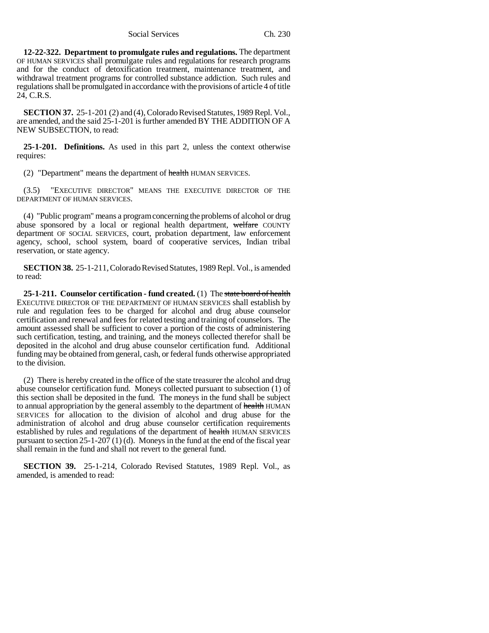**12-22-322. Department to promulgate rules and regulations.** The department OF HUMAN SERVICES shall promulgate rules and regulations for research programs and for the conduct of detoxification treatment, maintenance treatment, and withdrawal treatment programs for controlled substance addiction. Such rules and regulations shall be promulgated in accordance with the provisions of article 4 of title 24, C.R.S.

**SECTION 37.** 25-1-201 (2) and (4), Colorado Revised Statutes, 1989 Repl. Vol., are amended, and the said 25-1-201 is further amended BY THE ADDITION OF A NEW SUBSECTION, to read:

**25-1-201. Definitions.** As used in this part 2, unless the context otherwise requires:

(2) "Department" means the department of health HUMAN SERVICES.

(3.5) "EXECUTIVE DIRECTOR" MEANS THE EXECUTIVE DIRECTOR OF THE DEPARTMENT OF HUMAN SERVICES.

(4) "Public program" means a program concerning the problems of alcohol or drug abuse sponsored by a local or regional health department, welfare COUNTY department OF SOCIAL SERVICES, court, probation department, law enforcement agency, school, school system, board of cooperative services, Indian tribal reservation, or state agency.

**SECTION 38.** 25-1-211, Colorado Revised Statutes, 1989 Repl. Vol., is amended to read:

**25-1-211. Counselor certification - fund created.** (1) The state board of health EXECUTIVE DIRECTOR OF THE DEPARTMENT OF HUMAN SERVICES shall establish by rule and regulation fees to be charged for alcohol and drug abuse counselor certification and renewal and fees for related testing and training of counselors. The amount assessed shall be sufficient to cover a portion of the costs of administering such certification, testing, and training, and the moneys collected therefor shall be deposited in the alcohol and drug abuse counselor certification fund. Additional funding may be obtained from general, cash, or federal funds otherwise appropriated to the division.

(2) There is hereby created in the office of the state treasurer the alcohol and drug abuse counselor certification fund. Moneys collected pursuant to subsection (1) of this section shall be deposited in the fund. The moneys in the fund shall be subject to annual appropriation by the general assembly to the department of health HUMAN SERVICES for allocation to the division of alcohol and drug abuse for the administration of alcohol and drug abuse counselor certification requirements established by rules and regulations of the department of health HUMAN SERVICES pursuant to section 25-1-207 (1) (d). Moneys in the fund at the end of the fiscal year shall remain in the fund and shall not revert to the general fund.

**SECTION 39.** 25-1-214, Colorado Revised Statutes, 1989 Repl. Vol., as amended, is amended to read: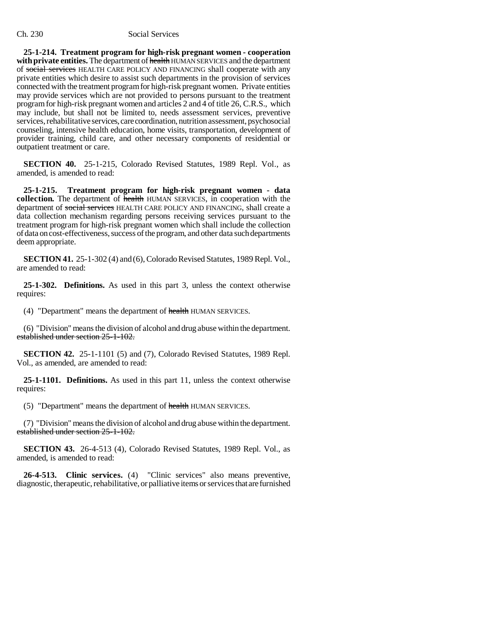**25-1-214. Treatment program for high-risk pregnant women - cooperation with private entities.** The department of health HUMAN SERVICES and the department of social services HEALTH CARE POLICY AND FINANCING shall cooperate with any private entities which desire to assist such departments in the provision of services connected with the treatment program for high-risk pregnant women. Private entities may provide services which are not provided to persons pursuant to the treatment program for high-risk pregnant women and articles 2 and 4 of title 26, C.R.S., which may include, but shall not be limited to, needs assessment services, preventive services, rehabilitative services, care coordination, nutrition assessment, psychosocial counseling, intensive health education, home visits, transportation, development of provider training, child care, and other necessary components of residential or outpatient treatment or care.

**SECTION 40.** 25-1-215, Colorado Revised Statutes, 1989 Repl. Vol., as amended, is amended to read:

**25-1-215. Treatment program for high-risk pregnant women - data collection.** The department of health HUMAN SERVICES, in cooperation with the department of social services HEALTH CARE POLICY AND FINANCING, shall create a data collection mechanism regarding persons receiving services pursuant to the treatment program for high-risk pregnant women which shall include the collection of data on cost-effectiveness, success of the program, and other data such departments deem appropriate.

**SECTION 41.** 25-1-302 (4) and (6), Colorado Revised Statutes, 1989 Repl. Vol., are amended to read:

**25-1-302. Definitions.** As used in this part 3, unless the context otherwise requires:

(4) "Department" means the department of health HUMAN SERVICES.

(6) "Division" means the division of alcohol and drug abuse within the department. established under section 25-1-102.

**SECTION 42.** 25-1-1101 (5) and (7), Colorado Revised Statutes, 1989 Repl. Vol., as amended, are amended to read:

**25-1-1101. Definitions.** As used in this part 11, unless the context otherwise requires:

(5) "Department" means the department of health HUMAN SERVICES.

(7) "Division" means the division of alcohol and drug abuse within the department. established under section 25-1-102.

**SECTION 43.** 26-4-513 (4), Colorado Revised Statutes, 1989 Repl. Vol., as amended, is amended to read:

**26-4-513. Clinic services.** (4) "Clinic services" also means preventive, diagnostic, therapeutic, rehabilitative, or palliative items or services that are furnished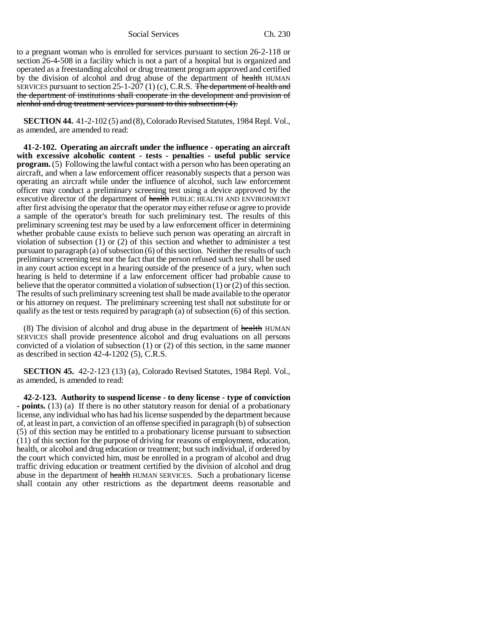to a pregnant woman who is enrolled for services pursuant to section 26-2-118 or section 26-4-508 in a facility which is not a part of a hospital but is organized and operated as a freestanding alcohol or drug treatment program approved and certified by the division of alcohol and drug abuse of the department of health HUMAN SERVICES pursuant to section 25-1-207 (1) (c), C.R.S. The department of health and the department of institutions shall cooperate in the development and provision of alcohol and drug treatment services pursuant to this subsection (4).

**SECTION 44.** 41-2-102 (5) and (8), Colorado Revised Statutes, 1984 Repl. Vol., as amended, are amended to read:

**41-2-102. Operating an aircraft under the influence - operating an aircraft with excessive alcoholic content - tests - penalties - useful public service program.** (5) Following the lawful contact with a person who has been operating an aircraft, and when a law enforcement officer reasonably suspects that a person was operating an aircraft while under the influence of alcohol, such law enforcement officer may conduct a preliminary screening test using a device approved by the executive director of the department of health PUBLIC HEALTH AND ENVIRONMENT after first advising the operator that the operator may either refuse or agree to provide a sample of the operator's breath for such preliminary test. The results of this preliminary screening test may be used by a law enforcement officer in determining whether probable cause exists to believe such person was operating an aircraft in violation of subsection  $(1)$  or  $(2)$  of this section and whether to administer a test pursuant to paragraph (a) of subsection (6) of this section. Neither the results of such preliminary screening test nor the fact that the person refused such test shall be used in any court action except in a hearing outside of the presence of a jury, when such hearing is held to determine if a law enforcement officer had probable cause to believe that the operator committed a violation of subsection (1) or (2) of this section. The results of such preliminary screening test shall be made available to the operator or his attorney on request. The preliminary screening test shall not substitute for or qualify as the test or tests required by paragraph (a) of subsection (6) of this section.

(8) The division of alcohol and drug abuse in the department of health HUMAN SERVICES shall provide presentence alcohol and drug evaluations on all persons convicted of a violation of subsection (1) or (2) of this section, in the same manner as described in section 42-4-1202 (5), C.R.S.

**SECTION 45.** 42-2-123 (13) (a), Colorado Revised Statutes, 1984 Repl. Vol., as amended, is amended to read:

**42-2-123. Authority to suspend license - to deny license - type of conviction - points.** (13) (a) If there is no other statutory reason for denial of a probationary license, any individual who has had his license suspended by the department because of, at least in part, a conviction of an offense specified in paragraph (b) of subsection (5) of this section may be entitled to a probationary license pursuant to subsection (11) of this section for the purpose of driving for reasons of employment, education, health, or alcohol and drug education or treatment; but such individual, if ordered by the court which convicted him, must be enrolled in a program of alcohol and drug traffic driving education or treatment certified by the division of alcohol and drug abuse in the department of health HUMAN SERVICES. Such a probationary license shall contain any other restrictions as the department deems reasonable and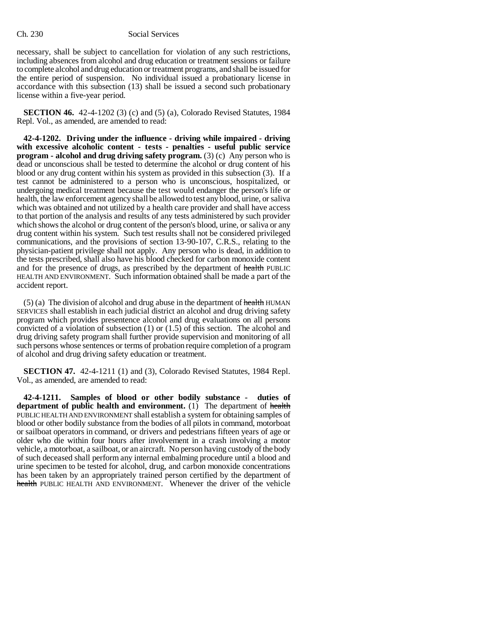necessary, shall be subject to cancellation for violation of any such restrictions, including absences from alcohol and drug education or treatment sessions or failure to complete alcohol and drug education or treatment programs, and shall be issued for the entire period of suspension. No individual issued a probationary license in accordance with this subsection (13) shall be issued a second such probationary license within a five-year period.

**SECTION 46.** 42-4-1202 (3) (c) and (5) (a), Colorado Revised Statutes, 1984 Repl. Vol., as amended, are amended to read:

**42-4-1202. Driving under the influence - driving while impaired - driving with excessive alcoholic content - tests - penalties - useful public service program - alcohol and drug driving safety program.** (3) (c) Any person who is dead or unconscious shall be tested to determine the alcohol or drug content of his blood or any drug content within his system as provided in this subsection (3). If a test cannot be administered to a person who is unconscious, hospitalized, or undergoing medical treatment because the test would endanger the person's life or health, the law enforcement agency shall be allowed to test any blood, urine, or saliva which was obtained and not utilized by a health care provider and shall have access to that portion of the analysis and results of any tests administered by such provider which shows the alcohol or drug content of the person's blood, urine, or saliva or any drug content within his system. Such test results shall not be considered privileged communications, and the provisions of section 13-90-107, C.R.S., relating to the physician-patient privilege shall not apply. Any person who is dead, in addition to the tests prescribed, shall also have his blood checked for carbon monoxide content and for the presence of drugs, as prescribed by the department of health PUBLIC HEALTH AND ENVIRONMENT. Such information obtained shall be made a part of the accident report.

 $(5)$  (a) The division of alcohol and drug abuse in the department of health HUMAN SERVICES shall establish in each judicial district an alcohol and drug driving safety program which provides presentence alcohol and drug evaluations on all persons convicted of a violation of subsection (1) or (1.5) of this section. The alcohol and drug driving safety program shall further provide supervision and monitoring of all such persons whose sentences or terms of probation require completion of a program of alcohol and drug driving safety education or treatment.

**SECTION 47.** 42-4-1211 (1) and (3), Colorado Revised Statutes, 1984 Repl. Vol., as amended, are amended to read:

**42-4-1211. Samples of blood or other bodily substance - duties of** department of public health and environment. (1) The department of health PUBLIC HEALTH AND ENVIRONMENT shall establish a system for obtaining samples of blood or other bodily substance from the bodies of all pilots in command, motorboat or sailboat operators in command, or drivers and pedestrians fifteen years of age or older who die within four hours after involvement in a crash involving a motor vehicle, a motorboat, a sailboat, or an aircraft. No person having custody of the body of such deceased shall perform any internal embalming procedure until a blood and urine specimen to be tested for alcohol, drug, and carbon monoxide concentrations has been taken by an appropriately trained person certified by the department of health PUBLIC HEALTH AND ENVIRONMENT. Whenever the driver of the vehicle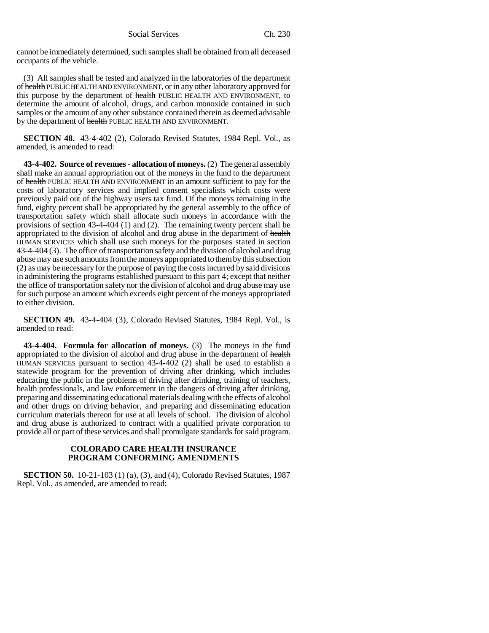cannot be immediately determined, such samples shall be obtained from all deceased occupants of the vehicle.

(3) All samples shall be tested and analyzed in the laboratories of the department of health PUBLIC HEALTH AND ENVIRONMENT, or in any other laboratory approved for this purpose by the department of health PUBLIC HEALTH AND ENVIRONMENT, to determine the amount of alcohol, drugs, and carbon monoxide contained in such samples or the amount of any other substance contained therein as deemed advisable by the department of health PUBLIC HEALTH AND ENVIRONMENT.

**SECTION 48.** 43-4-402 (2), Colorado Revised Statutes, 1984 Repl. Vol., as amended, is amended to read:

**43-4-402. Source of revenues - allocation of moneys.** (2) The general assembly shall make an annual appropriation out of the moneys in the fund to the department of health PUBLIC HEALTH AND ENVIRONMENT in an amount sufficient to pay for the costs of laboratory services and implied consent specialists which costs were previously paid out of the highway users tax fund. Of the moneys remaining in the fund, eighty percent shall be appropriated by the general assembly to the office of transportation safety which shall allocate such moneys in accordance with the provisions of section 43-4-404 (1) and (2). The remaining twenty percent shall be appropriated to the division of alcohol and drug abuse in the department of health HUMAN SERVICES which shall use such moneys for the purposes stated in section 43-4-404 (3). The office of transportation safety and the division of alcohol and drug abuse may use such amounts from the moneys appropriated to them by this subsection (2) as may be necessary for the purpose of paying the costs incurred by said divisions in administering the programs established pursuant to this part 4; except that neither the office of transportation safety nor the division of alcohol and drug abuse may use for such purpose an amount which exceeds eight percent of the moneys appropriated to either division.

**SECTION 49.** 43-4-404 (3), Colorado Revised Statutes, 1984 Repl. Vol., is amended to read:

**43-4-404. Formula for allocation of moneys.** (3) The moneys in the fund appropriated to the division of alcohol and drug abuse in the department of health HUMAN SERVICES pursuant to section 43-4-402 (2) shall be used to establish a statewide program for the prevention of driving after drinking, which includes educating the public in the problems of driving after drinking, training of teachers, health professionals, and law enforcement in the dangers of driving after drinking, preparing and disseminating educational materials dealing with the effects of alcohol and other drugs on driving behavior, and preparing and disseminating education curriculum materials thereon for use at all levels of school. The division of alcohol and drug abuse is authorized to contract with a qualified private corporation to provide all or part of these services and shall promulgate standards for said program.

## **COLORADO CARE HEALTH INSURANCE PROGRAM CONFORMING AMENDMENTS**

**SECTION 50.** 10-21-103 (1) (a), (3), and (4), Colorado Revised Statutes, 1987 Repl. Vol., as amended, are amended to read: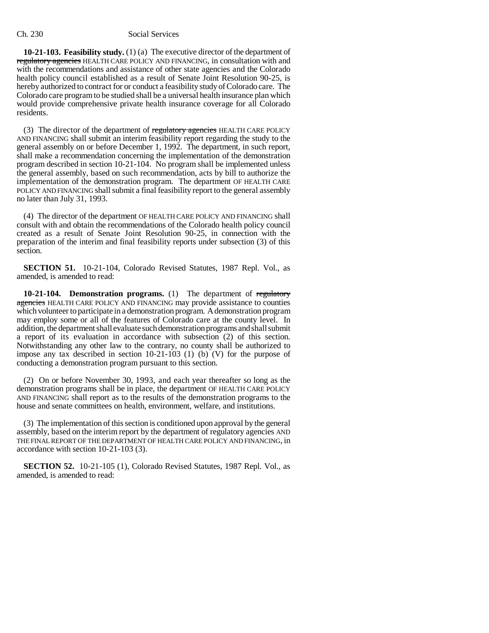**10-21-103. Feasibility study.** (1) (a) The executive director of the department of regulatory agencies HEALTH CARE POLICY AND FINANCING, in consultation with and with the recommendations and assistance of other state agencies and the Colorado health policy council established as a result of Senate Joint Resolution 90-25, is hereby authorized to contract for or conduct a feasibility study of Colorado care. The Colorado care program to be studied shall be a universal health insurance plan which would provide comprehensive private health insurance coverage for all Colorado residents.

(3) The director of the department of regulatory agencies HEALTH CARE POLICY AND FINANCING shall submit an interim feasibility report regarding the study to the general assembly on or before December 1, 1992. The department, in such report, shall make a recommendation concerning the implementation of the demonstration program described in section 10-21-104. No program shall be implemented unless the general assembly, based on such recommendation, acts by bill to authorize the implementation of the demonstration program. The department OF HEALTH CARE POLICY AND FINANCING shall submit a final feasibility report to the general assembly no later than July 31, 1993.

(4) The director of the department OF HEALTH CARE POLICY AND FINANCING shall consult with and obtain the recommendations of the Colorado health policy council created as a result of Senate Joint Resolution 90-25, in connection with the preparation of the interim and final feasibility reports under subsection (3) of this section.

**SECTION 51.** 10-21-104, Colorado Revised Statutes, 1987 Repl. Vol., as amended, is amended to read:

**10-21-104. Demonstration programs.** (1) The department of regulatory agencies HEALTH CARE POLICY AND FINANCING may provide assistance to counties which volunteer to participate in a demonstration program. A demonstration program may employ some or all of the features of Colorado care at the county level. In addition, the department shall evaluate such demonstration programs and shall submit a report of its evaluation in accordance with subsection (2) of this section. Notwithstanding any other law to the contrary, no county shall be authorized to impose any tax described in section 10-21-103 (1) (b) (V) for the purpose of conducting a demonstration program pursuant to this section.

(2) On or before November 30, 1993, and each year thereafter so long as the demonstration programs shall be in place, the department OF HEALTH CARE POLICY AND FINANCING shall report as to the results of the demonstration programs to the house and senate committees on health, environment, welfare, and institutions.

(3) The implementation of this section is conditioned upon approval by the general assembly, based on the interim report by the department of regulatory agencies AND THE FINAL REPORT OF THE DEPARTMENT OF HEALTH CARE POLICY AND FINANCING, in accordance with section 10-21-103 (3).

**SECTION 52.** 10-21-105 (1), Colorado Revised Statutes, 1987 Repl. Vol., as amended, is amended to read: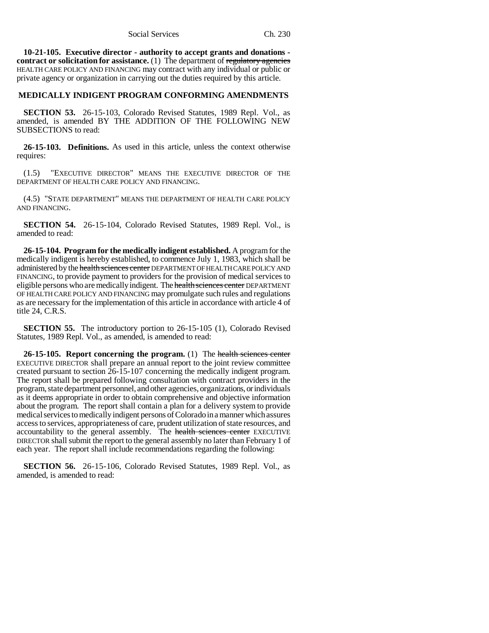**10-21-105. Executive director - authority to accept grants and donations contract or solicitation for assistance.** (1) The department of regulatory agencies HEALTH CARE POLICY AND FINANCING may contract with any individual or public or private agency or organization in carrying out the duties required by this article.

## **MEDICALLY INDIGENT PROGRAM CONFORMING AMENDMENTS**

**SECTION 53.** 26-15-103, Colorado Revised Statutes, 1989 Repl. Vol., as amended, is amended BY THE ADDITION OF THE FOLLOWING NEW SUBSECTIONS to read:

**26-15-103. Definitions.** As used in this article, unless the context otherwise requires:

(1.5) "EXECUTIVE DIRECTOR" MEANS THE EXECUTIVE DIRECTOR OF THE DEPARTMENT OF HEALTH CARE POLICY AND FINANCING.

(4.5) "STATE DEPARTMENT" MEANS THE DEPARTMENT OF HEALTH CARE POLICY AND FINANCING.

**SECTION 54.** 26-15-104, Colorado Revised Statutes, 1989 Repl. Vol., is amended to read:

**26-15-104. Program for the medically indigent established.** A program for the medically indigent is hereby established, to commence July 1, 1983, which shall be administered by the health sciences center DEPARTMENT OF HEALTH CARE POLICY AND FINANCING, to provide payment to providers for the provision of medical services to eligible persons who are medically indigent. The health sciences center DEPARTMENT OF HEALTH CARE POLICY AND FINANCING may promulgate such rules and regulations as are necessary for the implementation of this article in accordance with article 4 of title 24, C.R.S.

**SECTION 55.** The introductory portion to 26-15-105 (1), Colorado Revised Statutes, 1989 Repl. Vol., as amended, is amended to read:

**26-15-105. Report concerning the program.** (1) The health sciences center EXECUTIVE DIRECTOR shall prepare an annual report to the joint review committee created pursuant to section 26-15-107 concerning the medically indigent program. The report shall be prepared following consultation with contract providers in the program, state department personnel, and other agencies, organizations, or individuals as it deems appropriate in order to obtain comprehensive and objective information about the program. The report shall contain a plan for a delivery system to provide medical services to medically indigent persons of Colorado in a manner which assures access to services, appropriateness of care, prudent utilization of state resources, and accountability to the general assembly. The health sciences center EXECUTIVE DIRECTOR shall submit the report to the general assembly no later than February 1 of each year. The report shall include recommendations regarding the following:

**SECTION 56.** 26-15-106, Colorado Revised Statutes, 1989 Repl. Vol., as amended, is amended to read: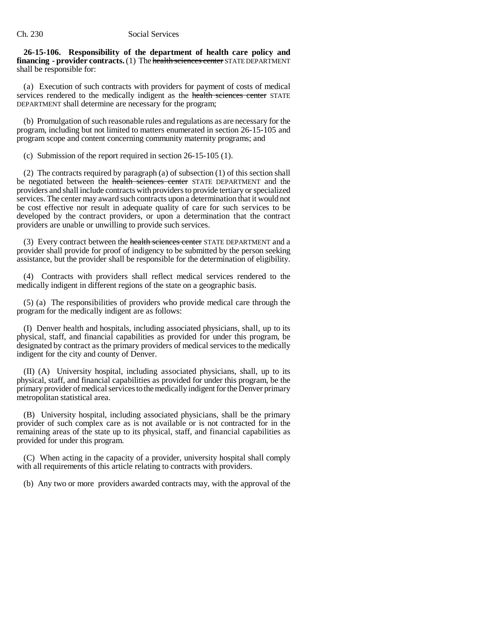**26-15-106. Responsibility of the department of health care policy and financing - provider contracts.** (1) The health sciences center STATE DEPARTMENT shall be responsible for:

(a) Execution of such contracts with providers for payment of costs of medical services rendered to the medically indigent as the health sciences center STATE DEPARTMENT shall determine are necessary for the program;

(b) Promulgation of such reasonable rules and regulations as are necessary for the program, including but not limited to matters enumerated in section 26-15-105 and program scope and content concerning community maternity programs; and

(c) Submission of the report required in section 26-15-105 (1).

(2) The contracts required by paragraph (a) of subsection (1) of this section shall be negotiated between the health sciences center STATE DEPARTMENT and the providers and shall include contracts with providers to provide tertiary or specialized services. The center may award such contracts upon a determination that it would not be cost effective nor result in adequate quality of care for such services to be developed by the contract providers, or upon a determination that the contract providers are unable or unwilling to provide such services.

(3) Every contract between the health sciences center STATE DEPARTMENT and a provider shall provide for proof of indigency to be submitted by the person seeking assistance, but the provider shall be responsible for the determination of eligibility.

(4) Contracts with providers shall reflect medical services rendered to the medically indigent in different regions of the state on a geographic basis.

(5) (a) The responsibilities of providers who provide medical care through the program for the medically indigent are as follows:

(I) Denver health and hospitals, including associated physicians, shall, up to its physical, staff, and financial capabilities as provided for under this program, be designated by contract as the primary providers of medical services to the medically indigent for the city and county of Denver.

(II) (A) University hospital, including associated physicians, shall, up to its physical, staff, and financial capabilities as provided for under this program, be the primary provider of medical services to the medically indigent for the Denver primary metropolitan statistical area.

(B) University hospital, including associated physicians, shall be the primary provider of such complex care as is not available or is not contracted for in the remaining areas of the state up to its physical, staff, and financial capabilities as provided for under this program.

(C) When acting in the capacity of a provider, university hospital shall comply with all requirements of this article relating to contracts with providers.

(b) Any two or more providers awarded contracts may, with the approval of the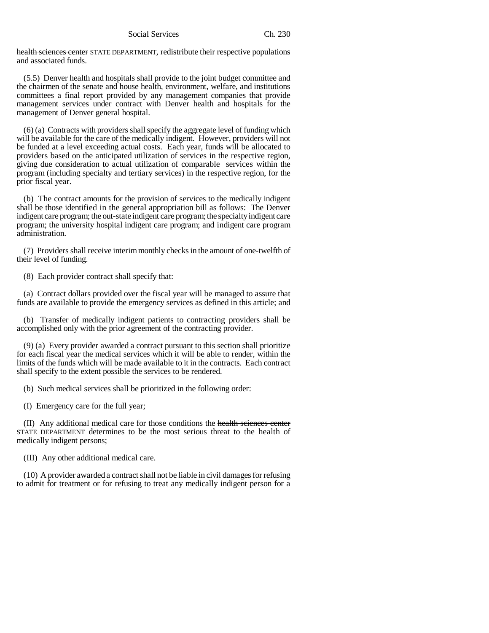health sciences center STATE DEPARTMENT, redistribute their respective populations and associated funds.

(5.5) Denver health and hospitals shall provide to the joint budget committee and the chairmen of the senate and house health, environment, welfare, and institutions committees a final report provided by any management companies that provide management services under contract with Denver health and hospitals for the management of Denver general hospital.

(6) (a) Contracts with providers shall specify the aggregate level of funding which will be available for the care of the medically indigent. However, providers will not be funded at a level exceeding actual costs. Each year, funds will be allocated to providers based on the anticipated utilization of services in the respective region, giving due consideration to actual utilization of comparable services within the program (including specialty and tertiary services) in the respective region, for the prior fiscal year.

(b) The contract amounts for the provision of services to the medically indigent shall be those identified in the general appropriation bill as follows: The Denver indigent care program; the out-state indigent care program; the specialty indigent care program; the university hospital indigent care program; and indigent care program administration.

(7) Providers shall receive interim monthly checks in the amount of one-twelfth of their level of funding.

(8) Each provider contract shall specify that:

(a) Contract dollars provided over the fiscal year will be managed to assure that funds are available to provide the emergency services as defined in this article; and

(b) Transfer of medically indigent patients to contracting providers shall be accomplished only with the prior agreement of the contracting provider.

(9) (a) Every provider awarded a contract pursuant to this section shall prioritize for each fiscal year the medical services which it will be able to render, within the limits of the funds which will be made available to it in the contracts. Each contract shall specify to the extent possible the services to be rendered.

(b) Such medical services shall be prioritized in the following order:

(I) Emergency care for the full year;

(II) Any additional medical care for those conditions the health sciences center STATE DEPARTMENT determines to be the most serious threat to the health of medically indigent persons;

(III) Any other additional medical care.

(10) A provider awarded a contract shall not be liable in civil damages for refusing to admit for treatment or for refusing to treat any medically indigent person for a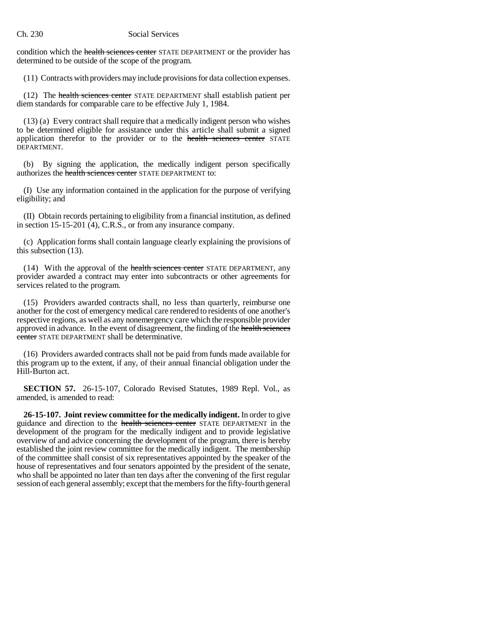condition which the health sciences center STATE DEPARTMENT or the provider has determined to be outside of the scope of the program.

(11) Contracts with providers may include provisions for data collection expenses.

(12) The health sciences center STATE DEPARTMENT shall establish patient per diem standards for comparable care to be effective July 1, 1984.

(13) (a) Every contract shall require that a medically indigent person who wishes to be determined eligible for assistance under this article shall submit a signed application therefor to the provider or to the health sciences center STATE DEPARTMENT.

(b) By signing the application, the medically indigent person specifically authorizes the health sciences center STATE DEPARTMENT to:

(I) Use any information contained in the application for the purpose of verifying eligibility; and

(II) Obtain records pertaining to eligibility from a financial institution, as defined in section 15-15-201 (4), C.R.S., or from any insurance company.

(c) Application forms shall contain language clearly explaining the provisions of this subsection (13).

(14) With the approval of the health sciences center STATE DEPARTMENT, any provider awarded a contract may enter into subcontracts or other agreements for services related to the program.

(15) Providers awarded contracts shall, no less than quarterly, reimburse one another for the cost of emergency medical care rendered to residents of one another's respective regions, as well as any nonemergency care which the responsible provider approved in advance. In the event of disagreement, the finding of the health sciences center STATE DEPARTMENT shall be determinative.

(16) Providers awarded contracts shall not be paid from funds made available for this program up to the extent, if any, of their annual financial obligation under the Hill-Burton act.

**SECTION 57.** 26-15-107, Colorado Revised Statutes, 1989 Repl. Vol., as amended, is amended to read:

**26-15-107. Joint review committee for the medically indigent.** In order to give guidance and direction to the health sciences center STATE DEPARTMENT in the development of the program for the medically indigent and to provide legislative overview of and advice concerning the development of the program, there is hereby established the joint review committee for the medically indigent. The membership of the committee shall consist of six representatives appointed by the speaker of the house of representatives and four senators appointed by the president of the senate, who shall be appointed no later than ten days after the convening of the first regular session of each general assembly; except that the members for the fifty-fourth general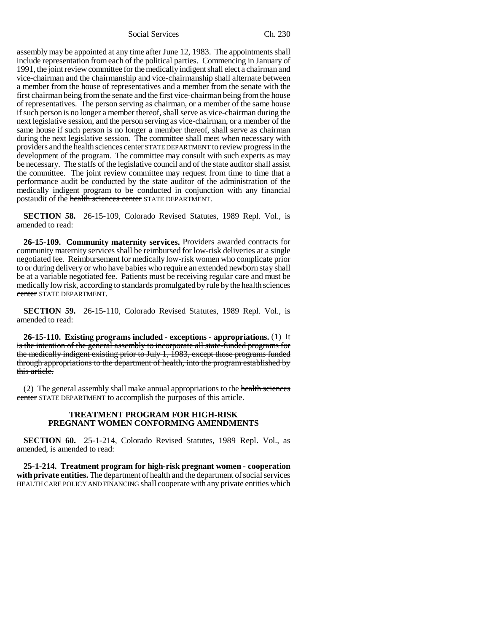assembly may be appointed at any time after June 12, 1983. The appointments shall include representation from each of the political parties. Commencing in January of 1991, the joint review committee for the medically indigent shall elect a chairman and vice-chairman and the chairmanship and vice-chairmanship shall alternate between a member from the house of representatives and a member from the senate with the first chairman being from the senate and the first vice-chairman being from the house of representatives. The person serving as chairman, or a member of the same house if such person is no longer a member thereof, shall serve as vice-chairman during the next legislative session, and the person serving as vice-chairman, or a member of the same house if such person is no longer a member thereof, shall serve as chairman during the next legislative session. The committee shall meet when necessary with providers and the health sciences center STATE DEPARTMENT to review progress in the development of the program. The committee may consult with such experts as may be necessary. The staffs of the legislative council and of the state auditor shall assist the committee. The joint review committee may request from time to time that a performance audit be conducted by the state auditor of the administration of the medically indigent program to be conducted in conjunction with any financial postaudit of the health sciences center STATE DEPARTMENT.

**SECTION 58.** 26-15-109, Colorado Revised Statutes, 1989 Repl. Vol., is amended to read:

**26-15-109. Community maternity services.** Providers awarded contracts for community maternity services shall be reimbursed for low-risk deliveries at a single negotiated fee. Reimbursement for medically low-risk women who complicate prior to or during delivery or who have babies who require an extended newborn stay shall be at a variable negotiated fee. Patients must be receiving regular care and must be medically low risk, according to standards promulgated by rule by the health sciences center STATE DEPARTMENT.

**SECTION 59.** 26-15-110, Colorado Revised Statutes, 1989 Repl. Vol., is amended to read:

**26-15-110. Existing programs included - exceptions - appropriations.** (1) It is the intention of the general assembly to incorporate all state-funded programs for the medically indigent existing prior to July 1, 1983, except those programs funded through appropriations to the department of health, into the program established by this article.

(2) The general assembly shall make annual appropriations to the health sciences center STATE DEPARTMENT to accomplish the purposes of this article.

## **TREATMENT PROGRAM FOR HIGH-RISK PREGNANT WOMEN CONFORMING AMENDMENTS**

**SECTION 60.** 25-1-214, Colorado Revised Statutes, 1989 Repl. Vol., as amended, is amended to read:

**25-1-214. Treatment program for high-risk pregnant women - cooperation with private entities.** The department of health and the department of social services HEALTH CARE POLICY AND FINANCING shall cooperate with any private entities which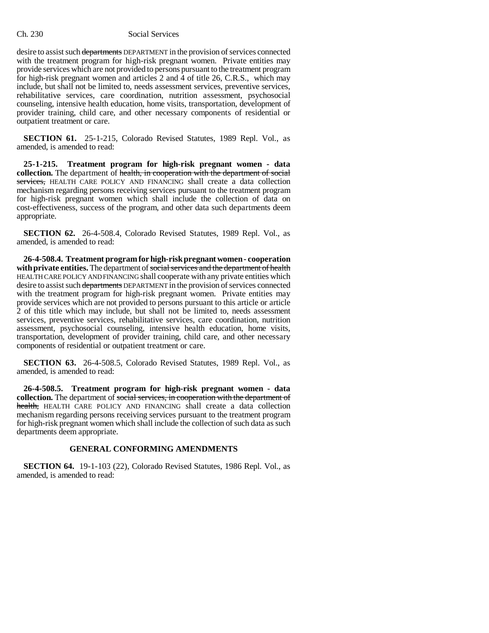desire to assist such departments DEPARTMENT in the provision of services connected with the treatment program for high-risk pregnant women. Private entities may provide services which are not provided to persons pursuant to the treatment program for high-risk pregnant women and articles 2 and 4 of title 26, C.R.S., which may include, but shall not be limited to, needs assessment services, preventive services, rehabilitative services, care coordination, nutrition assessment, psychosocial counseling, intensive health education, home visits, transportation, development of provider training, child care, and other necessary components of residential or outpatient treatment or care.

**SECTION 61.** 25-1-215, Colorado Revised Statutes, 1989 Repl. Vol., as amended, is amended to read:

**25-1-215. Treatment program for high-risk pregnant women - data collection.** The department of health, in cooperation with the department of social services, HEALTH CARE POLICY AND FINANCING shall create a data collection mechanism regarding persons receiving services pursuant to the treatment program for high-risk pregnant women which shall include the collection of data on cost-effectiveness, success of the program, and other data such departments deem appropriate.

**SECTION 62.** 26-4-508.4, Colorado Revised Statutes, 1989 Repl. Vol., as amended, is amended to read:

**26-4-508.4. Treatment program for high-risk pregnant women - cooperation with private entities.** The department of social services and the department of health HEALTH CARE POLICY AND FINANCING shall cooperate with any private entities which desire to assist such departments DEPARTMENT in the provision of services connected with the treatment program for high-risk pregnant women. Private entities may provide services which are not provided to persons pursuant to this article or article 2 of this title which may include, but shall not be limited to, needs assessment services, preventive services, rehabilitative services, care coordination, nutrition assessment, psychosocial counseling, intensive health education, home visits, transportation, development of provider training, child care, and other necessary components of residential or outpatient treatment or care.

**SECTION 63.** 26-4-508.5, Colorado Revised Statutes, 1989 Repl. Vol., as amended, is amended to read:

**26-4-508.5. Treatment program for high-risk pregnant women - data collection.** The department of social services, in cooperation with the department of health, HEALTH CARE POLICY AND FINANCING shall create a data collection mechanism regarding persons receiving services pursuant to the treatment program for high-risk pregnant women which shall include the collection of such data as such departments deem appropriate.

## **GENERAL CONFORMING AMENDMENTS**

**SECTION 64.** 19-1-103 (22), Colorado Revised Statutes, 1986 Repl. Vol., as amended, is amended to read: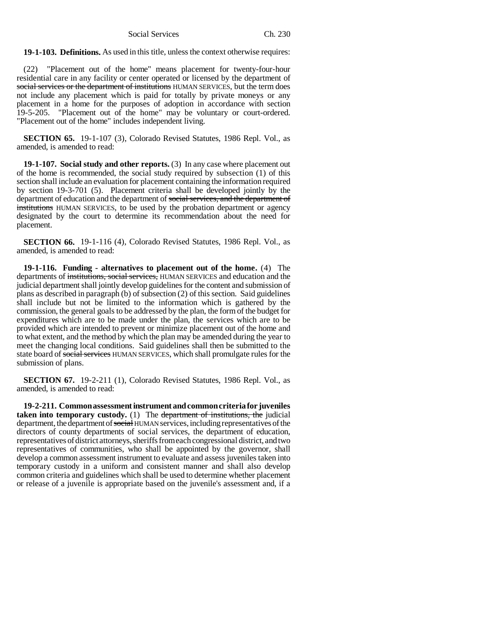**19-1-103. Definitions.** As used in this title, unless the context otherwise requires:

(22) "Placement out of the home" means placement for twenty-four-hour residential care in any facility or center operated or licensed by the department of social services or the department of institutions HUMAN SERVICES, but the term does not include any placement which is paid for totally by private moneys or any placement in a home for the purposes of adoption in accordance with section 19-5-205. "Placement out of the home" may be voluntary or court-ordered. "Placement out of the home" includes independent living.

**SECTION 65.** 19-1-107 (3), Colorado Revised Statutes, 1986 Repl. Vol., as amended, is amended to read:

**19-1-107. Social study and other reports.** (3) In any case where placement out of the home is recommended, the social study required by subsection (1) of this section shall include an evaluation for placement containing the information required by section 19-3-701 (5). Placement criteria shall be developed jointly by the department of education and the department of social services, and the department of institutions HUMAN SERVICES, to be used by the probation department or agency designated by the court to determine its recommendation about the need for placement.

**SECTION 66.** 19-1-116 (4), Colorado Revised Statutes, 1986 Repl. Vol., as amended, is amended to read:

**19-1-116. Funding - alternatives to placement out of the home.** (4) The departments of institutions, social services, HUMAN SERVICES and education and the judicial department shall jointly develop guidelines for the content and submission of plans as described in paragraph (b) of subsection (2) of this section. Said guidelines shall include but not be limited to the information which is gathered by the commission, the general goals to be addressed by the plan, the form of the budget for expenditures which are to be made under the plan, the services which are to be provided which are intended to prevent or minimize placement out of the home and to what extent, and the method by which the plan may be amended during the year to meet the changing local conditions. Said guidelines shall then be submitted to the state board of social services HUMAN SERVICES, which shall promulgate rules for the submission of plans.

**SECTION 67.** 19-2-211 (1), Colorado Revised Statutes, 1986 Repl. Vol., as amended, is amended to read:

**19-2-211. Common assessment instrument and common criteria for juveniles taken into temporary custody.** (1) The department of institutions, the judicial department, the department of social HUMAN services, including representatives of the directors of county departments of social services, the department of education, representatives of district attorneys, sheriffs from each congressional district, and two representatives of communities, who shall be appointed by the governor, shall develop a common assessment instrument to evaluate and assess juveniles taken into temporary custody in a uniform and consistent manner and shall also develop common criteria and guidelines which shall be used to determine whether placement or release of a juvenile is appropriate based on the juvenile's assessment and, if a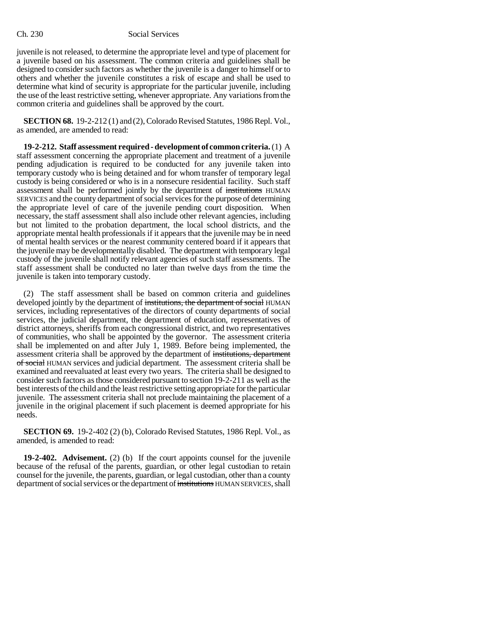juvenile is not released, to determine the appropriate level and type of placement for a juvenile based on his assessment. The common criteria and guidelines shall be designed to consider such factors as whether the juvenile is a danger to himself or to others and whether the juvenile constitutes a risk of escape and shall be used to determine what kind of security is appropriate for the particular juvenile, including the use of the least restrictive setting, whenever appropriate. Any variations from the common criteria and guidelines shall be approved by the court.

**SECTION 68.** 19-2-212 (1) and (2), Colorado Revised Statutes, 1986 Repl. Vol., as amended, are amended to read:

**19-2-212. Staff assessment required - development of common criteria.** (1) A staff assessment concerning the appropriate placement and treatment of a juvenile pending adjudication is required to be conducted for any juvenile taken into temporary custody who is being detained and for whom transfer of temporary legal custody is being considered or who is in a nonsecure residential facility. Such staff assessment shall be performed jointly by the department of institutions HUMAN SERVICES and the county department of social services for the purpose of determining the appropriate level of care of the juvenile pending court disposition. When necessary, the staff assessment shall also include other relevant agencies, including but not limited to the probation department, the local school districts, and the appropriate mental health professionals if it appears that the juvenile may be in need of mental health services or the nearest community centered board if it appears that the juvenile may be developmentally disabled. The department with temporary legal custody of the juvenile shall notify relevant agencies of such staff assessments. The staff assessment shall be conducted no later than twelve days from the time the juvenile is taken into temporary custody.

(2) The staff assessment shall be based on common criteria and guidelines developed jointly by the department of institutions, the department of social HUMAN services, including representatives of the directors of county departments of social services, the judicial department, the department of education, representatives of district attorneys, sheriffs from each congressional district, and two representatives of communities, who shall be appointed by the governor. The assessment criteria shall be implemented on and after July 1, 1989. Before being implemented, the assessment criteria shall be approved by the department of institutions, department of social HUMAN services and judicial department. The assessment criteria shall be examined and reevaluated at least every two years. The criteria shall be designed to consider such factors as those considered pursuant to section 19-2-211 as well as the best interests of the child and the least restrictive setting appropriate for the particular juvenile. The assessment criteria shall not preclude maintaining the placement of a juvenile in the original placement if such placement is deemed appropriate for his needs.

**SECTION 69.** 19-2-402 (2) (b), Colorado Revised Statutes, 1986 Repl. Vol., as amended, is amended to read:

**19-2-402. Advisement.** (2) (b) If the court appoints counsel for the juvenile because of the refusal of the parents, guardian, or other legal custodian to retain counsel for the juvenile, the parents, guardian, or legal custodian, other than a county department of social services or the department of institutions HUMAN SERVICES, shall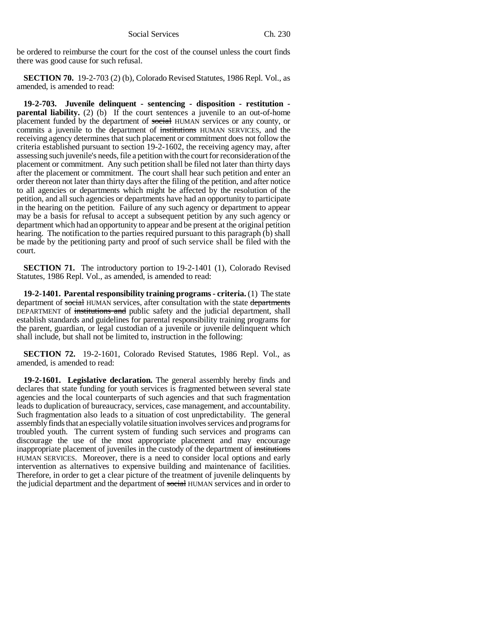be ordered to reimburse the court for the cost of the counsel unless the court finds there was good cause for such refusal.

**SECTION 70.** 19-2-703 (2) (b), Colorado Revised Statutes, 1986 Repl. Vol., as amended, is amended to read:

**19-2-703. Juvenile delinquent - sentencing - disposition - restitution parental liability.** (2) (b) If the court sentences a juvenile to an out-of-home placement funded by the department of social HUMAN services or any county, or commits a juvenile to the department of institutions HUMAN SERVICES, and the receiving agency determines that such placement or commitment does not follow the criteria established pursuant to section 19-2-1602, the receiving agency may, after assessing such juvenile's needs, file a petition with the court for reconsideration of the placement or commitment. Any such petition shall be filed not later than thirty days after the placement or commitment. The court shall hear such petition and enter an order thereon not later than thirty days after the filing of the petition, and after notice to all agencies or departments which might be affected by the resolution of the petition, and all such agencies or departments have had an opportunity to participate in the hearing on the petition. Failure of any such agency or department to appear may be a basis for refusal to accept a subsequent petition by any such agency or department which had an opportunity to appear and be present at the original petition hearing. The notification to the parties required pursuant to this paragraph (b) shall be made by the petitioning party and proof of such service shall be filed with the court.

**SECTION 71.** The introductory portion to 19-2-1401 (1), Colorado Revised Statutes, 1986 Repl. Vol., as amended, is amended to read:

**19-2-1401. Parental responsibility training programs - criteria.** (1) The state department of social HUMAN services, after consultation with the state departments DEPARTMENT of institutions and public safety and the judicial department, shall establish standards and guidelines for parental responsibility training programs for the parent, guardian, or legal custodian of a juvenile or juvenile delinquent which shall include, but shall not be limited to, instruction in the following:

**SECTION 72.** 19-2-1601, Colorado Revised Statutes, 1986 Repl. Vol., as amended, is amended to read:

**19-2-1601. Legislative declaration.** The general assembly hereby finds and declares that state funding for youth services is fragmented between several state agencies and the local counterparts of such agencies and that such fragmentation leads to duplication of bureaucracy, services, case management, and accountability. Such fragmentation also leads to a situation of cost unpredictability. The general assembly finds that an especially volatile situation involves services and programs for troubled youth. The current system of funding such services and programs can discourage the use of the most appropriate placement and may encourage inappropriate placement of juveniles in the custody of the department of institutions HUMAN SERVICES. Moreover, there is a need to consider local options and early intervention as alternatives to expensive building and maintenance of facilities. Therefore, in order to get a clear picture of the treatment of juvenile delinquents by the judicial department and the department of social HUMAN services and in order to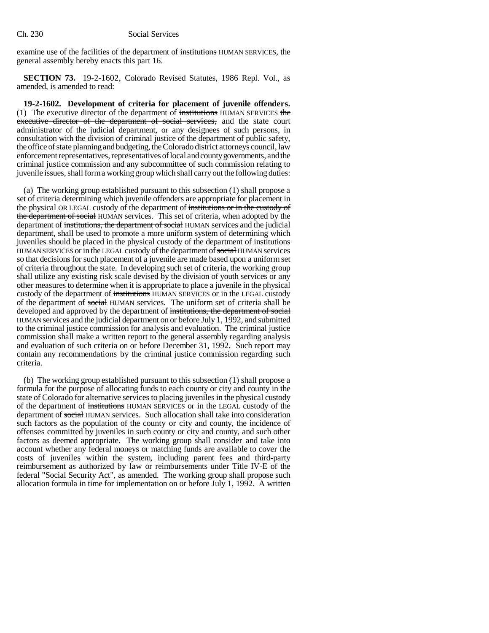examine use of the facilities of the department of institutions HUMAN SERVICES, the general assembly hereby enacts this part 16.

**SECTION 73.** 19-2-1602, Colorado Revised Statutes, 1986 Repl. Vol., as amended, is amended to read:

**19-2-1602. Development of criteria for placement of juvenile offenders.** (1) The executive director of the department of institutions HUMAN SERVICES the executive director of the department of social services, and the state court administrator of the judicial department, or any designees of such persons, in consultation with the division of criminal justice of the department of public safety, the office of state planning and budgeting, the Colorado district attorneys council, law enforcement representatives, representatives of local and county governments, and the criminal justice commission and any subcommittee of such commission relating to juvenile issues, shall form a working group which shall carry out the following duties:

(a) The working group established pursuant to this subsection (1) shall propose a set of criteria determining which juvenile offenders are appropriate for placement in the physical OR LEGAL custody of the department of institutions or in the custody of the department of social HUMAN services. This set of criteria, when adopted by the department of institutions, the department of social HUMAN services and the judicial department, shall be used to promote a more uniform system of determining which juveniles should be placed in the physical custody of the department of institutions HUMAN SERVICES or in the LEGAL custody of the department of social HUMAN services so that decisions for such placement of a juvenile are made based upon a uniform set of criteria throughout the state. In developing such set of criteria, the working group shall utilize any existing risk scale devised by the division of youth services or any other measures to determine when it is appropriate to place a juvenile in the physical custody of the department of institutions HUMAN SERVICES or in the LEGAL custody of the department of social HUMAN services. The uniform set of criteria shall be developed and approved by the department of institutions, the department of social HUMAN services and the judicial department on or before July 1, 1992, and submitted to the criminal justice commission for analysis and evaluation. The criminal justice commission shall make a written report to the general assembly regarding analysis and evaluation of such criteria on or before December 31, 1992. Such report may contain any recommendations by the criminal justice commission regarding such criteria.

(b) The working group established pursuant to this subsection (1) shall propose a formula for the purpose of allocating funds to each county or city and county in the state of Colorado for alternative services to placing juveniles in the physical custody of the department of institutions HUMAN SERVICES or in the LEGAL custody of the department of social HUMAN services. Such allocation shall take into consideration such factors as the population of the county or city and county, the incidence of offenses committed by juveniles in such county or city and county, and such other factors as deemed appropriate. The working group shall consider and take into account whether any federal moneys or matching funds are available to cover the costs of juveniles within the system, including parent fees and third-party reimbursement as authorized by law or reimbursements under Title IV-E of the federal "Social Security Act", as amended. The working group shall propose such allocation formula in time for implementation on or before July 1, 1992. A written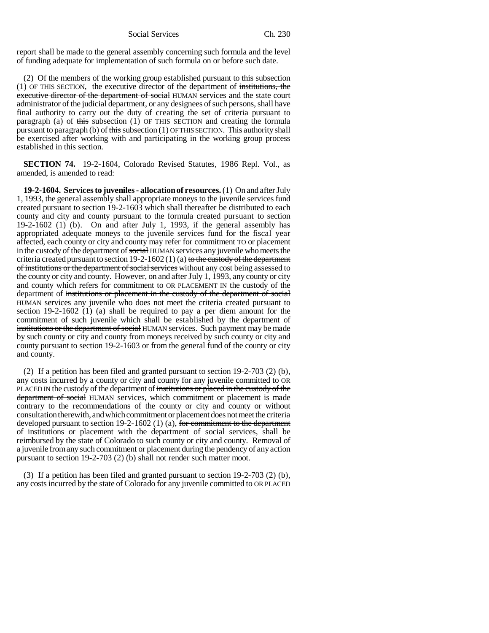report shall be made to the general assembly concerning such formula and the level of funding adequate for implementation of such formula on or before such date.

(2) Of the members of the working group established pursuant to this subsection (1) OF THIS SECTION, the executive director of the department of institutions, the executive director of the department of social HUMAN services and the state court administrator of the judicial department, or any designees of such persons, shall have final authority to carry out the duty of creating the set of criteria pursuant to paragraph (a) of this subsection (1) OF THIS SECTION and creating the formula pursuant to paragraph (b) of this subsection (1) OF THIS SECTION. This authority shall be exercised after working with and participating in the working group process established in this section.

**SECTION 74.** 19-2-1604, Colorado Revised Statutes, 1986 Repl. Vol., as amended, is amended to read:

**19-2-1604. Services to juveniles - allocation of resources.** (1) On and after July 1, 1993, the general assembly shall appropriate moneys to the juvenile services fund created pursuant to section 19-2-1603 which shall thereafter be distributed to each county and city and county pursuant to the formula created pursuant to section 19-2-1602 (1) (b). On and after July 1, 1993, if the general assembly has appropriated adequate moneys to the juvenile services fund for the fiscal year affected, each county or city and county may refer for commitment TO or placement in the custody of the department of social HUMAN services any juvenile who meets the criteria created pursuant to section  $19-2-1602(1)$  (a) to the custody of the department of institutions or the department of social services without any cost being assessed to the county or city and county. However, on and after July 1, 1993, any county or city and county which refers for commitment to OR PLACEMENT IN the custody of the department of institutions or placement in the custody of the department of social HUMAN services any juvenile who does not meet the criteria created pursuant to section 19-2-1602 (1) (a) shall be required to pay a per diem amount for the commitment of such juvenile which shall be established by the department of institutions or the department of social HUMAN services. Such payment may be made by such county or city and county from moneys received by such county or city and county pursuant to section 19-2-1603 or from the general fund of the county or city and county.

(2) If a petition has been filed and granted pursuant to section 19-2-703 (2) (b), any costs incurred by a county or city and county for any juvenile committed to OR PLACED IN the custody of the department of institutions or placed in the custody of the department of social HUMAN services, which commitment or placement is made contrary to the recommendations of the county or city and county or without consultation therewith, and which commitment or placement does not meet the criteria developed pursuant to section 19-2-1602 (1) (a), for commitment to the department of institutions or placement with the department of social services, shall be reimbursed by the state of Colorado to such county or city and county. Removal of a juvenile from any such commitment or placement during the pendency of any action pursuant to section 19-2-703 (2) (b) shall not render such matter moot.

(3) If a petition has been filed and granted pursuant to section 19-2-703 (2) (b), any costs incurred by the state of Colorado for any juvenile committed to OR PLACED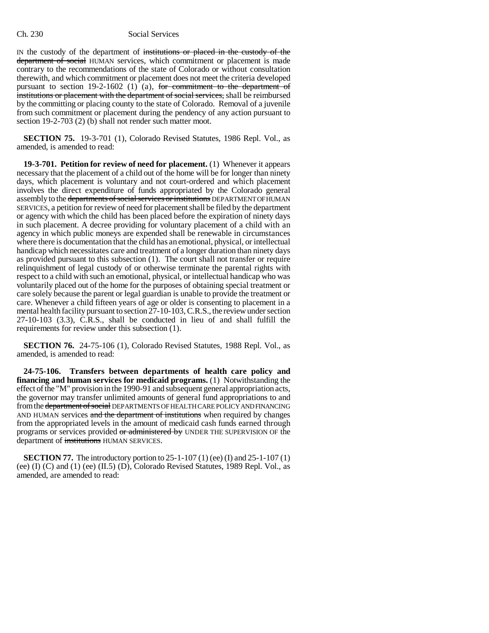IN the custody of the department of institutions or placed in the custody of the department of social HUMAN services, which commitment or placement is made contrary to the recommendations of the state of Colorado or without consultation therewith, and which commitment or placement does not meet the criteria developed pursuant to section  $19-2-1602$  (1) (a), for commitment to the department of institutions or placement with the department of social services, shall be reimbursed by the committing or placing county to the state of Colorado. Removal of a juvenile from such commitment or placement during the pendency of any action pursuant to section 19-2-703 (2) (b) shall not render such matter moot.

**SECTION 75.** 19-3-701 (1), Colorado Revised Statutes, 1986 Repl. Vol., as amended, is amended to read:

**19-3-701. Petition for review of need for placement.** (1) Whenever it appears necessary that the placement of a child out of the home will be for longer than ninety days, which placement is voluntary and not court-ordered and which placement involves the direct expenditure of funds appropriated by the Colorado general assembly to the departments of social services or institutions DEPARTMENT OF HUMAN SERVICES, a petition for review of need for placement shall be filed by the department or agency with which the child has been placed before the expiration of ninety days in such placement. A decree providing for voluntary placement of a child with an agency in which public moneys are expended shall be renewable in circumstances where there is documentation that the child has an emotional, physical, or intellectual handicap which necessitates care and treatment of a longer duration than ninety days as provided pursuant to this subsection (1). The court shall not transfer or require relinquishment of legal custody of or otherwise terminate the parental rights with respect to a child with such an emotional, physical, or intellectual handicap who was voluntarily placed out of the home for the purposes of obtaining special treatment or care solely because the parent or legal guardian is unable to provide the treatment or care. Whenever a child fifteen years of age or older is consenting to placement in a mental health facility pursuant to section 27-10-103, C.R.S., the review under section 27-10-103 (3.3), C.R.S., shall be conducted in lieu of and shall fulfill the requirements for review under this subsection (1).

**SECTION 76.** 24-75-106 (1), Colorado Revised Statutes, 1988 Repl. Vol., as amended, is amended to read:

**24-75-106. Transfers between departments of health care policy and financing and human services for medicaid programs.** (1) Notwithstanding the effect of the "M" provision in the 1990-91 and subsequent general appropriation acts, the governor may transfer unlimited amounts of general fund appropriations to and from the department of social DEPARTMENTS OF HEALTH CARE POLICY AND FINANCING AND HUMAN services and the department of institutions when required by changes from the appropriated levels in the amount of medicaid cash funds earned through programs or services provided or administered by UNDER THE SUPERVISION OF the department of institutions HUMAN SERVICES.

**SECTION 77.** The introductory portion to 25-1-107 (1) (ee) (I) and 25-1-107 (1) (ee) (I) (C) and (1) (ee) (II.5) (D), Colorado Revised Statutes, 1989 Repl. Vol., as amended, are amended to read: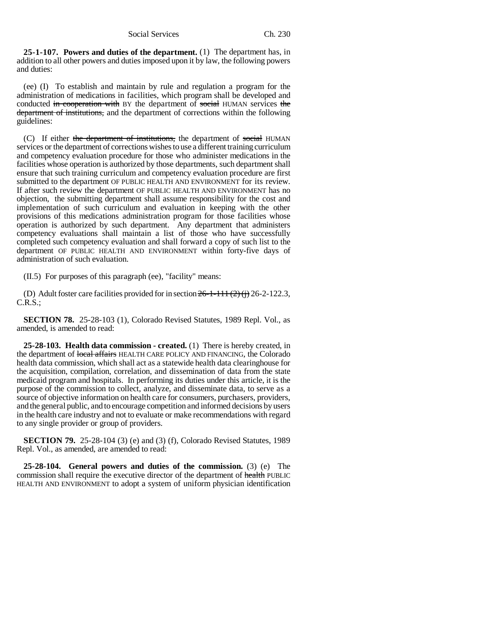**25-1-107. Powers and duties of the department.** (1) The department has, in addition to all other powers and duties imposed upon it by law, the following powers and duties:

(ee) (I) To establish and maintain by rule and regulation a program for the administration of medications in facilities, which program shall be developed and conducted in cooperation with BY the department of social HUMAN services the department of institutions, and the department of corrections within the following guidelines:

(C) If either the department of institutions, the department of social HUMAN services or the department of corrections wishes to use a different training curriculum and competency evaluation procedure for those who administer medications in the facilities whose operation is authorized by those departments, such department shall ensure that such training curriculum and competency evaluation procedure are first submitted to the department OF PUBLIC HEALTH AND ENVIRONMENT for its review. If after such review the department OF PUBLIC HEALTH AND ENVIRONMENT has no objection, the submitting department shall assume responsibility for the cost and implementation of such curriculum and evaluation in keeping with the other provisions of this medications administration program for those facilities whose operation is authorized by such department. Any department that administers competency evaluations shall maintain a list of those who have successfully completed such competency evaluation and shall forward a copy of such list to the department OF PUBLIC HEALTH AND ENVIRONMENT within forty-five days of administration of such evaluation.

(II.5) For purposes of this paragraph (ee), "facility" means:

(D) Adult foster care facilities provided for in section  $26-1-111(2)$  (j) 26-2-122.3, C.R.S.;

**SECTION 78.** 25-28-103 (1), Colorado Revised Statutes, 1989 Repl. Vol., as amended, is amended to read:

**25-28-103. Health data commission - created.** (1) There is hereby created, in the department of local affairs HEALTH CARE POLICY AND FINANCING, the Colorado health data commission, which shall act as a statewide health data clearinghouse for the acquisition, compilation, correlation, and dissemination of data from the state medicaid program and hospitals. In performing its duties under this article, it is the purpose of the commission to collect, analyze, and disseminate data, to serve as a source of objective information on health care for consumers, purchasers, providers, and the general public, and to encourage competition and informed decisions by users in the health care industry and not to evaluate or make recommendations with regard to any single provider or group of providers.

**SECTION 79.** 25-28-104 (3) (e) and (3) (f), Colorado Revised Statutes, 1989 Repl. Vol., as amended, are amended to read:

**25-28-104. General powers and duties of the commission.** (3) (e) The commission shall require the executive director of the department of health PUBLIC HEALTH AND ENVIRONMENT to adopt a system of uniform physician identification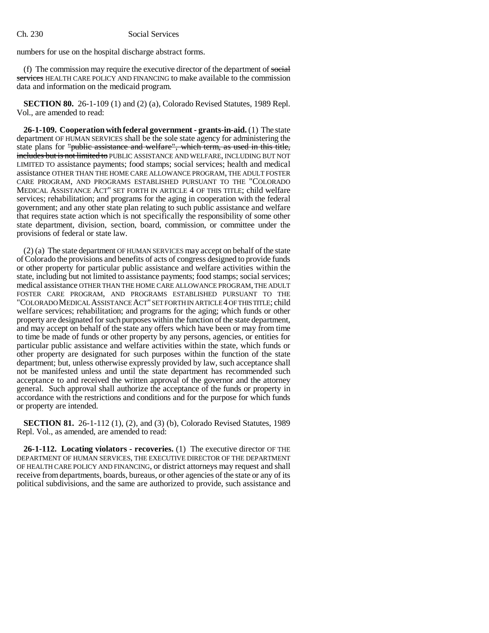numbers for use on the hospital discharge abstract forms.

(f) The commission may require the executive director of the department of social services HEALTH CARE POLICY AND FINANCING to make available to the commission data and information on the medicaid program.

**SECTION 80.** 26-1-109 (1) and (2) (a), Colorado Revised Statutes, 1989 Repl. Vol., are amended to read:

**26-1-109. Cooperation with federal government - grants-in-aid.** (1) The state department OF HUMAN SERVICES shall be the sole state agency for administering the state plans for "public assistance and welfare", which term, as used in this title, includes but is not limited to PUBLIC ASSISTANCE AND WELFARE, INCLUDING BUT NOT LIMITED TO assistance payments; food stamps; social services; health and medical assistance OTHER THAN THE HOME CARE ALLOWANCE PROGRAM, THE ADULT FOSTER CARE PROGRAM, AND PROGRAMS ESTABLISHED PURSUANT TO THE "COLORADO MEDICAL ASSISTANCE ACT" SET FORTH IN ARTICLE 4 OF THIS TITLE; child welfare services; rehabilitation; and programs for the aging in cooperation with the federal government; and any other state plan relating to such public assistance and welfare that requires state action which is not specifically the responsibility of some other state department, division, section, board, commission, or committee under the provisions of federal or state law.

(2) (a) The state department OF HUMAN SERVICES may accept on behalf of the state of Colorado the provisions and benefits of acts of congress designed to provide funds or other property for particular public assistance and welfare activities within the state, including but not limited to assistance payments; food stamps; social services; medical assistance OTHER THAN THE HOME CARE ALLOWANCE PROGRAM, THE ADULT FOSTER CARE PROGRAM, AND PROGRAMS ESTABLISHED PURSUANT TO THE "COLORADO MEDICAL ASSISTANCE ACT" SET FORTH IN ARTICLE 4 OF THIS TITLE; child welfare services; rehabilitation; and programs for the aging; which funds or other property are designated for such purposes within the function of the state department, and may accept on behalf of the state any offers which have been or may from time to time be made of funds or other property by any persons, agencies, or entities for particular public assistance and welfare activities within the state, which funds or other property are designated for such purposes within the function of the state department; but, unless otherwise expressly provided by law, such acceptance shall not be manifested unless and until the state department has recommended such acceptance to and received the written approval of the governor and the attorney general. Such approval shall authorize the acceptance of the funds or property in accordance with the restrictions and conditions and for the purpose for which funds or property are intended.

**SECTION 81.** 26-1-112 (1), (2), and (3) (b), Colorado Revised Statutes, 1989 Repl. Vol., as amended, are amended to read:

**26-1-112. Locating violators - recoveries.** (1) The executive director OF THE DEPARTMENT OF HUMAN SERVICES, THE EXECUTIVE DIRECTOR OF THE DEPARTMENT OF HEALTH CARE POLICY AND FINANCING, or district attorneys may request and shall receive from departments, boards, bureaus, or other agencies of the state or any of its political subdivisions, and the same are authorized to provide, such assistance and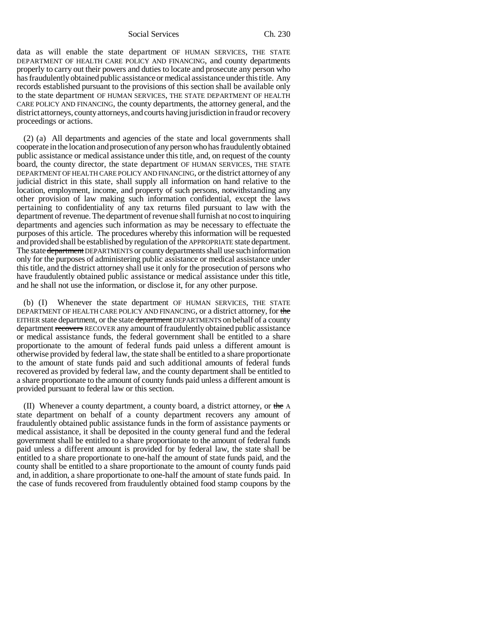data as will enable the state department OF HUMAN SERVICES, THE STATE DEPARTMENT OF HEALTH CARE POLICY AND FINANCING, and county departments properly to carry out their powers and duties to locate and prosecute any person who has fraudulently obtained public assistance or medical assistance under this title. Any records established pursuant to the provisions of this section shall be available only to the state department OF HUMAN SERVICES, THE STATE DEPARTMENT OF HEALTH CARE POLICY AND FINANCING, the county departments, the attorney general, and the district attorneys, county attorneys, and courts having jurisdiction in fraud or recovery proceedings or actions.

(2) (a) All departments and agencies of the state and local governments shall cooperate in the location and prosecution of any person who has fraudulently obtained public assistance or medical assistance under this title, and, on request of the county board, the county director, the state department OF HUMAN SERVICES, THE STATE DEPARTMENT OF HEALTH CARE POLICY AND FINANCING, or the district attorney of any judicial district in this state, shall supply all information on hand relative to the location, employment, income, and property of such persons, notwithstanding any other provision of law making such information confidential, except the laws pertaining to confidentiality of any tax returns filed pursuant to law with the department of revenue. The department of revenue shall furnish at no cost to inquiring departments and agencies such information as may be necessary to effectuate the purposes of this article. The procedures whereby this information will be requested and provided shall be established by regulation of the APPROPRIATE state department. The state department DEPARTMENTS or county departments shall use such information only for the purposes of administering public assistance or medical assistance under this title, and the district attorney shall use it only for the prosecution of persons who have fraudulently obtained public assistance or medical assistance under this title, and he shall not use the information, or disclose it, for any other purpose.

(b) (I) Whenever the state department OF HUMAN SERVICES, THE STATE DEPARTMENT OF HEALTH CARE POLICY AND FINANCING, or a district attorney, for the EITHER state department, or the state department DEPARTMENTS on behalf of a county department recovers RECOVER any amount of fraudulently obtained public assistance or medical assistance funds, the federal government shall be entitled to a share proportionate to the amount of federal funds paid unless a different amount is otherwise provided by federal law, the state shall be entitled to a share proportionate to the amount of state funds paid and such additional amounts of federal funds recovered as provided by federal law, and the county department shall be entitled to a share proportionate to the amount of county funds paid unless a different amount is provided pursuant to federal law or this section.

(II) Whenever a county department, a county board, a district attorney, or the A state department on behalf of a county department recovers any amount of fraudulently obtained public assistance funds in the form of assistance payments or medical assistance, it shall be deposited in the county general fund and the federal government shall be entitled to a share proportionate to the amount of federal funds paid unless a different amount is provided for by federal law, the state shall be entitled to a share proportionate to one-half the amount of state funds paid, and the county shall be entitled to a share proportionate to the amount of county funds paid and, in addition, a share proportionate to one-half the amount of state funds paid. In the case of funds recovered from fraudulently obtained food stamp coupons by the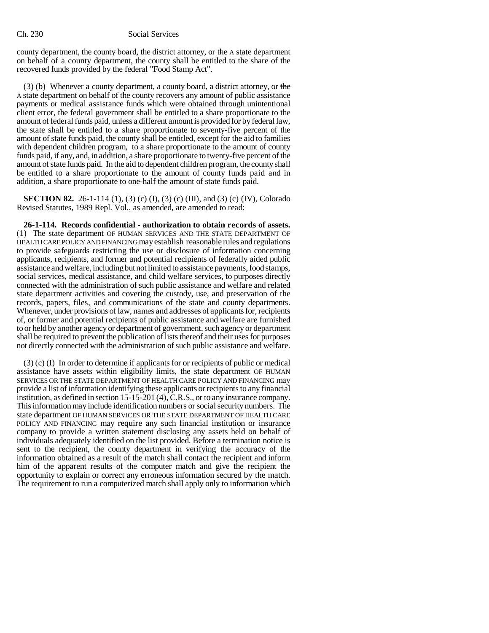county department, the county board, the district attorney, or the A state department on behalf of a county department, the county shall be entitled to the share of the recovered funds provided by the federal "Food Stamp Act".

(3) (b) Whenever a county department, a county board, a district attorney, or the A state department on behalf of the county recovers any amount of public assistance payments or medical assistance funds which were obtained through unintentional client error, the federal government shall be entitled to a share proportionate to the amount of federal funds paid, unless a different amount is provided for by federal law, the state shall be entitled to a share proportionate to seventy-five percent of the amount of state funds paid, the county shall be entitled, except for the aid to families with dependent children program, to a share proportionate to the amount of county funds paid, if any, and, in addition, a share proportionate to twenty-five percent of the amount of state funds paid. In the aid to dependent children program, the county shall be entitled to a share proportionate to the amount of county funds paid and in addition, a share proportionate to one-half the amount of state funds paid.

**SECTION 82.** 26-1-114 (1), (3) (c) (I), (3) (c) (III), and (3) (c) (IV), Colorado Revised Statutes, 1989 Repl. Vol., as amended, are amended to read:

**26-1-114. Records confidential - authorization to obtain records of assets.** (1) The state department OF HUMAN SERVICES AND THE STATE DEPARTMENT OF HEALTH CARE POLICY AND FINANCING may establish reasonable rules and regulations to provide safeguards restricting the use or disclosure of information concerning applicants, recipients, and former and potential recipients of federally aided public assistance and welfare, including but not limited to assistance payments, food stamps, social services, medical assistance, and child welfare services, to purposes directly connected with the administration of such public assistance and welfare and related state department activities and covering the custody, use, and preservation of the records, papers, files, and communications of the state and county departments. Whenever, under provisions of law, names and addresses of applicants for, recipients of, or former and potential recipients of public assistance and welfare are furnished to or held by another agency or department of government, such agency or department shall be required to prevent the publication of lists thereof and their uses for purposes not directly connected with the administration of such public assistance and welfare.

(3) (c) (I) In order to determine if applicants for or recipients of public or medical assistance have assets within eligibility limits, the state department OF HUMAN SERVICES OR THE STATE DEPARTMENT OF HEALTH CARE POLICY AND FINANCING may provide a list of information identifying these applicants or recipients to any financial institution, as defined in section 15-15-201 (4), C.R.S., or to any insurance company. This information may include identification numbers or social security numbers. The state department OF HUMAN SERVICES OR THE STATE DEPARTMENT OF HEALTH CARE POLICY AND FINANCING may require any such financial institution or insurance company to provide a written statement disclosing any assets held on behalf of individuals adequately identified on the list provided. Before a termination notice is sent to the recipient, the county department in verifying the accuracy of the information obtained as a result of the match shall contact the recipient and inform him of the apparent results of the computer match and give the recipient the opportunity to explain or correct any erroneous information secured by the match. The requirement to run a computerized match shall apply only to information which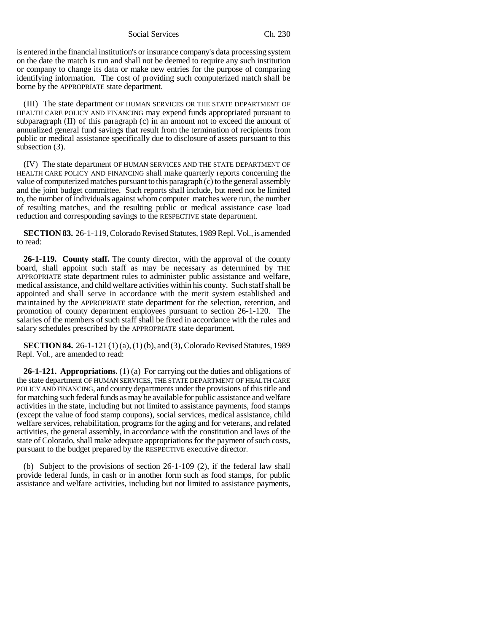is entered in the financial institution's or insurance company's data processing system on the date the match is run and shall not be deemed to require any such institution or company to change its data or make new entries for the purpose of comparing identifying information. The cost of providing such computerized match shall be borne by the APPROPRIATE state department.

(III) The state department OF HUMAN SERVICES OR THE STATE DEPARTMENT OF HEALTH CARE POLICY AND FINANCING may expend funds appropriated pursuant to subparagraph (II) of this paragraph (c) in an amount not to exceed the amount of annualized general fund savings that result from the termination of recipients from public or medical assistance specifically due to disclosure of assets pursuant to this subsection (3).

(IV) The state department OF HUMAN SERVICES AND THE STATE DEPARTMENT OF HEALTH CARE POLICY AND FINANCING shall make quarterly reports concerning the value of computerized matches pursuant to this paragraph (c) to the general assembly and the joint budget committee. Such reports shall include, but need not be limited to, the number of individuals against whom computer matches were run, the number of resulting matches, and the resulting public or medical assistance case load reduction and corresponding savings to the RESPECTIVE state department.

**SECTION 83.** 26-1-119, Colorado Revised Statutes, 1989 Repl. Vol., is amended to read:

**26-1-119. County staff.** The county director, with the approval of the county board, shall appoint such staff as may be necessary as determined by THE APPROPRIATE state department rules to administer public assistance and welfare, medical assistance, and child welfare activities within his county. Such staff shall be appointed and shall serve in accordance with the merit system established and maintained by the APPROPRIATE state department for the selection, retention, and promotion of county department employees pursuant to section 26-1-120. The salaries of the members of such staff shall be fixed in accordance with the rules and salary schedules prescribed by the APPROPRIATE state department.

**SECTION 84.** 26-1-121 (1) (a), (1) (b), and (3), Colorado Revised Statutes, 1989 Repl. Vol., are amended to read:

**26-1-121. Appropriations.** (1) (a) For carrying out the duties and obligations of the state department OF HUMAN SERVICES, THE STATE DEPARTMENT OF HEALTH CARE POLICY AND FINANCING, and county departments under the provisions of this title and for matching such federal funds as may be available for public assistance and welfare activities in the state, including but not limited to assistance payments, food stamps (except the value of food stamp coupons), social services, medical assistance, child welfare services, rehabilitation, programs for the aging and for veterans, and related activities, the general assembly, in accordance with the constitution and laws of the state of Colorado, shall make adequate appropriations for the payment of such costs, pursuant to the budget prepared by the RESPECTIVE executive director.

(b) Subject to the provisions of section 26-1-109 (2), if the federal law shall provide federal funds, in cash or in another form such as food stamps, for public assistance and welfare activities, including but not limited to assistance payments,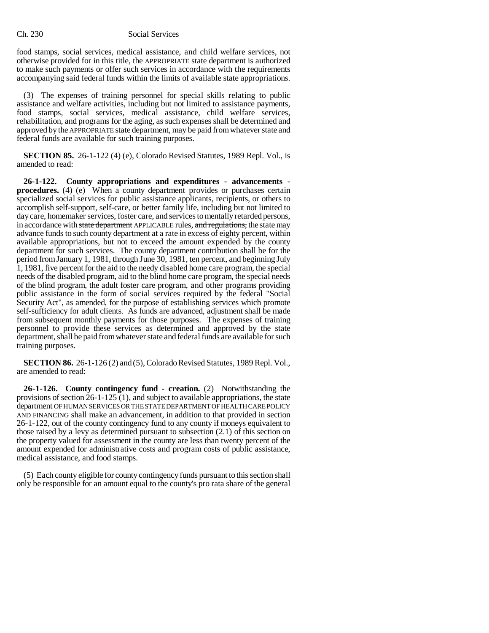food stamps, social services, medical assistance, and child welfare services, not otherwise provided for in this title, the APPROPRIATE state department is authorized to make such payments or offer such services in accordance with the requirements accompanying said federal funds within the limits of available state appropriations.

(3) The expenses of training personnel for special skills relating to public assistance and welfare activities, including but not limited to assistance payments, food stamps, social services, medical assistance, child welfare services, rehabilitation, and programs for the aging, as such expenses shall be determined and approved by the APPROPRIATE state department, may be paid from whatever state and federal funds are available for such training purposes.

**SECTION 85.** 26-1-122 (4) (e), Colorado Revised Statutes, 1989 Repl. Vol., is amended to read:

**26-1-122. County appropriations and expenditures - advancements**  procedures. (4) (e) When a county department provides or purchases certain specialized social services for public assistance applicants, recipients, or others to accomplish self-support, self-care, or better family life, including but not limited to day care, homemaker services, foster care, and services to mentally retarded persons, in accordance with state department APPLICABLE rules, and regulations, the state may advance funds to such county department at a rate in excess of eighty percent, within available appropriations, but not to exceed the amount expended by the county department for such services. The county department contribution shall be for the period from January 1, 1981, through June 30, 1981, ten percent, and beginning July 1, 1981, five percent for the aid to the needy disabled home care program, the special needs of the disabled program, aid to the blind home care program, the special needs of the blind program, the adult foster care program, and other programs providing public assistance in the form of social services required by the federal "Social Security Act", as amended, for the purpose of establishing services which promote self-sufficiency for adult clients. As funds are advanced, adjustment shall be made from subsequent monthly payments for those purposes. The expenses of training personnel to provide these services as determined and approved by the state department, shall be paid from whatever state and federal funds are available for such training purposes.

**SECTION 86.** 26-1-126 (2) and (5), Colorado Revised Statutes, 1989 Repl. Vol., are amended to read:

**26-1-126. County contingency fund - creation.** (2) Notwithstanding the provisions of section 26-1-125 (1), and subject to available appropriations, the state department OF HUMAN SERVICES OR THE STATE DEPARTMENT OF HEALTH CARE POLICY AND FINANCING shall make an advancement, in addition to that provided in section 26-1-122, out of the county contingency fund to any county if moneys equivalent to those raised by a levy as determined pursuant to subsection (2.1) of this section on the property valued for assessment in the county are less than twenty percent of the amount expended for administrative costs and program costs of public assistance, medical assistance, and food stamps.

(5) Each county eligible for county contingency funds pursuant to this section shall only be responsible for an amount equal to the county's pro rata share of the general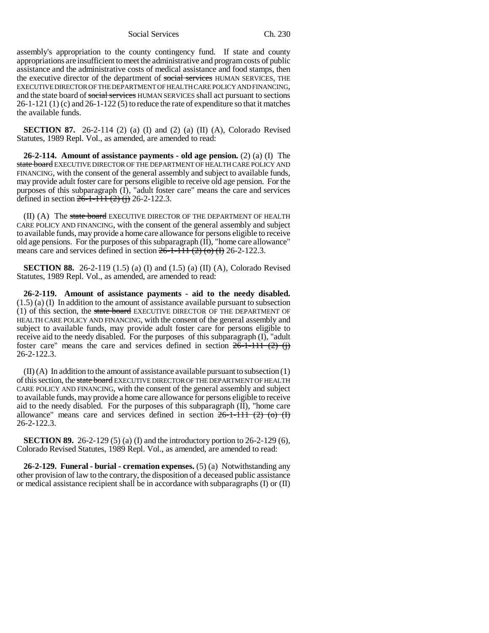assembly's appropriation to the county contingency fund. If state and county appropriations are insufficient to meet the administrative and program costs of public assistance and the administrative costs of medical assistance and food stamps, then the executive director of the department of social services HUMAN SERVICES, THE EXECUTIVE DIRECTOR OF THE DEPARTMENT OF HEALTH CARE POLICY AND FINANCING, and the state board of social services HUMAN SERVICES shall act pursuant to sections  $26-1-121$  (1) (c) and  $26-1-122$  (5) to reduce the rate of expenditure so that it matches the available funds.

**SECTION 87.** 26-2-114 (2) (a) (I) and (2) (a) (II) (A), Colorado Revised Statutes, 1989 Repl. Vol., as amended, are amended to read:

**26-2-114. Amount of assistance payments - old age pension.** (2) (a) (I) The state board EXECUTIVE DIRECTOR OF THE DEPARTMENT OF HEALTH CARE POLICY AND FINANCING, with the consent of the general assembly and subject to available funds, may provide adult foster care for persons eligible to receive old age pension. For the purposes of this subparagraph  $(I)$ , "adult foster care" means the care and services defined in section  $26-1-111(2)$  (j) 26-2-122.3.

(II) (A) The state board EXECUTIVE DIRECTOR OF THE DEPARTMENT OF HEALTH CARE POLICY AND FINANCING, with the consent of the general assembly and subject to available funds, may provide a home care allowance for persons eligible to receive old age pensions. For the purposes of this subparagraph  $(II)$ , "home care allowance" means care and services defined in section  $26-1-111(2)$  (o) (I) 26-2-122.3.

**SECTION 88.** 26-2-119 (1.5) (a) (I) and (1.5) (a) (II) (A), Colorado Revised Statutes, 1989 Repl. Vol., as amended, are amended to read:

**26-2-119. Amount of assistance payments - aid to the needy disabled.** (1.5) (a) (I) In addition to the amount of assistance available pursuant to subsection (1) of this section, the state board EXECUTIVE DIRECTOR OF THE DEPARTMENT OF HEALTH CARE POLICY AND FINANCING, with the consent of the general assembly and subject to available funds, may provide adult foster care for persons eligible to receive aid to the needy disabled. For the purposes of this subparagraph (I), "adult foster care" means the care and services defined in section  $26-1-111$   $(2)$   $(i)$ 26-2-122.3.

 $(II)$  (A) In addition to the amount of assistance available pursuant to subsection  $(1)$ of this section, the state board EXECUTIVE DIRECTOR OF THE DEPARTMENT OF HEALTH CARE POLICY AND FINANCING, with the consent of the general assembly and subject to available funds, may provide a home care allowance for persons eligible to receive aid to the needy disabled. For the purposes of this subparagraph  $(\overline{II})$ , "home care allowance" means care and services defined in section  $26-1-111$   $(2)$   $(0)$   $(1)$ 26-2-122.3.

**SECTION 89.** 26-2-129 (5) (a) (I) and the introductory portion to 26-2-129 (6), Colorado Revised Statutes, 1989 Repl. Vol., as amended, are amended to read:

**26-2-129. Funeral - burial - cremation expenses.** (5) (a) Notwithstanding any other provision of law to the contrary, the disposition of a deceased public assistance or medical assistance recipient shall be in accordance with subparagraphs (I) or (II)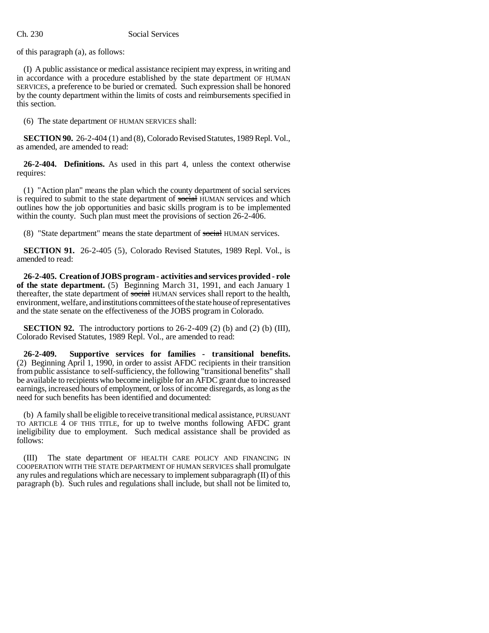of this paragraph (a), as follows:

(I) A public assistance or medical assistance recipient may express, in writing and in accordance with a procedure established by the state department OF HUMAN SERVICES, a preference to be buried or cremated. Such expression shall be honored by the county department within the limits of costs and reimbursements specified in this section.

(6) The state department OF HUMAN SERVICES shall:

**SECTION 90.** 26-2-404 (1) and (8), Colorado Revised Statutes, 1989 Repl. Vol., as amended, are amended to read:

**26-2-404. Definitions.** As used in this part 4, unless the context otherwise requires:

(1) "Action plan" means the plan which the county department of social services is required to submit to the state department of social HUMAN services and which outlines how the job opportunities and basic skills program is to be implemented within the county. Such plan must meet the provisions of section 26-2-406.

(8) "State department" means the state department of social HUMAN services.

**SECTION 91.** 26-2-405 (5), Colorado Revised Statutes, 1989 Repl. Vol., is amended to read:

**26-2-405. Creation of JOBS program - activities and services provided - role of the state department.** (5) Beginning March 31, 1991, and each January 1 thereafter, the state department of social HUMAN services shall report to the health, environment, welfare, and institutions committees of the state house of representatives and the state senate on the effectiveness of the JOBS program in Colorado.

**SECTION 92.** The introductory portions to  $26-2-409$  (2) (b) and (2) (b) (III), Colorado Revised Statutes, 1989 Repl. Vol., are amended to read:

**26-2-409. Supportive services for families - transitional benefits.** (2) Beginning April 1, 1990, in order to assist AFDC recipients in their transition from public assistance to self-sufficiency, the following "transitional benefits" shall be available to recipients who become ineligible for an AFDC grant due to increased earnings, increased hours of employment, or loss of income disregards, as long as the need for such benefits has been identified and documented:

(b) A family shall be eligible to receive transitional medical assistance, PURSUANT TO ARTICLE 4 OF THIS TITLE, for up to twelve months following AFDC grant ineligibility due to employment. Such medical assistance shall be provided as follows:

(III) The state department OF HEALTH CARE POLICY AND FINANCING IN COOPERATION WITH THE STATE DEPARTMENT OF HUMAN SERVICES shall promulgate any rules and regulations which are necessary to implement subparagraph (II) of this paragraph (b). Such rules and regulations shall include, but shall not be limited to,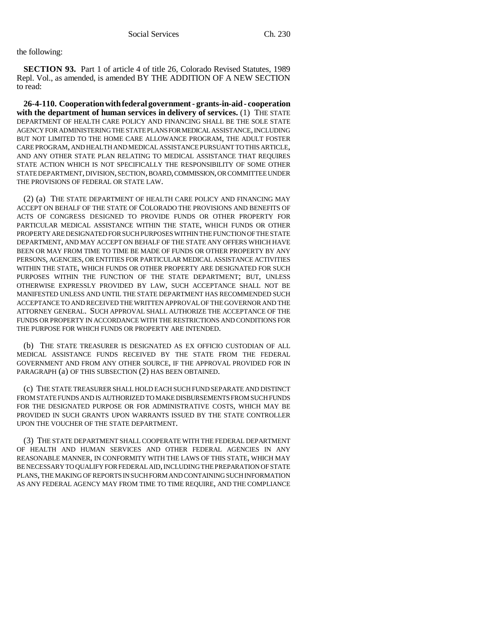## the following:

**SECTION 93.** Part 1 of article 4 of title 26, Colorado Revised Statutes, 1989 Repl. Vol., as amended, is amended BY THE ADDITION OF A NEW SECTION to read:

**26-4-110. Cooperation with federal government - grants-in-aid - cooperation** with the department of human services in delivery of services. (1) THE STATE DEPARTMENT OF HEALTH CARE POLICY AND FINANCING SHALL BE THE SOLE STATE AGENCY FOR ADMINISTERING THE STATE PLANS FOR MEDICAL ASSISTANCE, INCLUDING BUT NOT LIMITED TO THE HOME CARE ALLOWANCE PROGRAM, THE ADULT FOSTER CARE PROGRAM, AND HEALTH AND MEDICAL ASSISTANCE PURSUANT TO THIS ARTICLE, AND ANY OTHER STATE PLAN RELATING TO MEDICAL ASSISTANCE THAT REQUIRES STATE ACTION WHICH IS NOT SPECIFICALLY THE RESPONSIBILITY OF SOME OTHER STATE DEPARTMENT, DIVISION, SECTION, BOARD, COMMISSION, OR COMMITTEE UNDER THE PROVISIONS OF FEDERAL OR STATE LAW.

(2) (a) THE STATE DEPARTMENT OF HEALTH CARE POLICY AND FINANCING MAY ACCEPT ON BEHALF OF THE STATE OF COLORADO THE PROVISIONS AND BENEFITS OF ACTS OF CONGRESS DESIGNED TO PROVIDE FUNDS OR OTHER PROPERTY FOR PARTICULAR MEDICAL ASSISTANCE WITHIN THE STATE, WHICH FUNDS OR OTHER PROPERTY ARE DESIGNATED FOR SUCH PURPOSES WITHIN THE FUNCTION OF THE STATE DEPARTMENT, AND MAY ACCEPT ON BEHALF OF THE STATE ANY OFFERS WHICH HAVE BEEN OR MAY FROM TIME TO TIME BE MADE OF FUNDS OR OTHER PROPERTY BY ANY PERSONS, AGENCIES, OR ENTITIES FOR PARTICULAR MEDICAL ASSISTANCE ACTIVITIES WITHIN THE STATE, WHICH FUNDS OR OTHER PROPERTY ARE DESIGNATED FOR SUCH PURPOSES WITHIN THE FUNCTION OF THE STATE DEPARTMENT; BUT, UNLESS OTHERWISE EXPRESSLY PROVIDED BY LAW, SUCH ACCEPTANCE SHALL NOT BE MANIFESTED UNLESS AND UNTIL THE STATE DEPARTMENT HAS RECOMMENDED SUCH ACCEPTANCE TO AND RECEIVED THE WRITTEN APPROVAL OF THE GOVERNOR AND THE ATTORNEY GENERAL. SUCH APPROVAL SHALL AUTHORIZE THE ACCEPTANCE OF THE FUNDS OR PROPERTY IN ACCORDANCE WITH THE RESTRICTIONS AND CONDITIONS FOR THE PURPOSE FOR WHICH FUNDS OR PROPERTY ARE INTENDED.

(b) THE STATE TREASURER IS DESIGNATED AS EX OFFICIO CUSTODIAN OF ALL MEDICAL ASSISTANCE FUNDS RECEIVED BY THE STATE FROM THE FEDERAL GOVERNMENT AND FROM ANY OTHER SOURCE, IF THE APPROVAL PROVIDED FOR IN PARAGRAPH (a) OF THIS SUBSECTION (2) HAS BEEN OBTAINED.

(c) THE STATE TREASURER SHALL HOLD EACH SUCH FUND SEPARATE AND DISTINCT FROM STATE FUNDS AND IS AUTHORIZED TO MAKE DISBURSEMENTS FROM SUCH FUNDS FOR THE DESIGNATED PURPOSE OR FOR ADMINISTRATIVE COSTS, WHICH MAY BE PROVIDED IN SUCH GRANTS UPON WARRANTS ISSUED BY THE STATE CONTROLLER UPON THE VOUCHER OF THE STATE DEPARTMENT.

(3) THE STATE DEPARTMENT SHALL COOPERATE WITH THE FEDERAL DEPARTMENT OF HEALTH AND HUMAN SERVICES AND OTHER FEDERAL AGENCIES IN ANY REASONABLE MANNER, IN CONFORMITY WITH THE LAWS OF THIS STATE, WHICH MAY BE NECESSARY TO QUALIFY FOR FEDERAL AID, INCLUDING THE PREPARATION OF STATE PLANS, THE MAKING OF REPORTS IN SUCH FORM AND CONTAINING SUCH INFORMATION AS ANY FEDERAL AGENCY MAY FROM TIME TO TIME REQUIRE, AND THE COMPLIANCE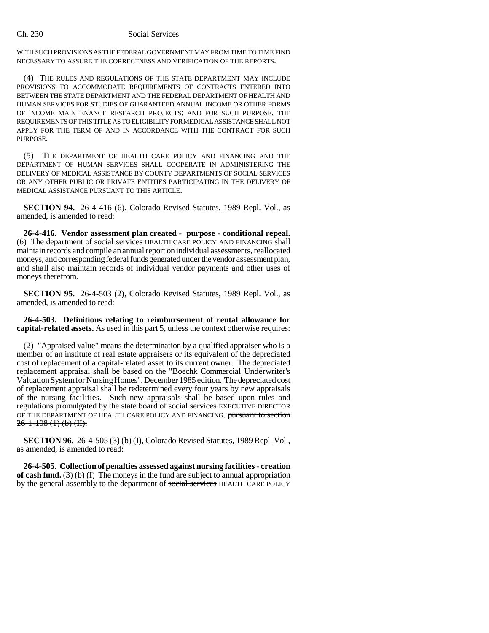WITH SUCH PROVISIONS AS THE FEDERAL GOVERNMENT MAY FROM TIME TO TIME FIND NECESSARY TO ASSURE THE CORRECTNESS AND VERIFICATION OF THE REPORTS.

(4) THE RULES AND REGULATIONS OF THE STATE DEPARTMENT MAY INCLUDE PROVISIONS TO ACCOMMODATE REQUIREMENTS OF CONTRACTS ENTERED INTO BETWEEN THE STATE DEPARTMENT AND THE FEDERAL DEPARTMENT OF HEALTH AND HUMAN SERVICES FOR STUDIES OF GUARANTEED ANNUAL INCOME OR OTHER FORMS OF INCOME MAINTENANCE RESEARCH PROJECTS; AND FOR SUCH PURPOSE, THE REQUIREMENTS OF THIS TITLE AS TO ELIGIBILITY FOR MEDICAL ASSISTANCE SHALL NOT APPLY FOR THE TERM OF AND IN ACCORDANCE WITH THE CONTRACT FOR SUCH PURPOSE.

(5) THE DEPARTMENT OF HEALTH CARE POLICY AND FINANCING AND THE DEPARTMENT OF HUMAN SERVICES SHALL COOPERATE IN ADMINISTERING THE DELIVERY OF MEDICAL ASSISTANCE BY COUNTY DEPARTMENTS OF SOCIAL SERVICES OR ANY OTHER PUBLIC OR PRIVATE ENTITIES PARTICIPATING IN THE DELIVERY OF MEDICAL ASSISTANCE PURSUANT TO THIS ARTICLE.

**SECTION 94.** 26-4-416 (6), Colorado Revised Statutes, 1989 Repl. Vol., as amended, is amended to read:

**26-4-416. Vendor assessment plan created - purpose - conditional repeal.** (6) The department of social services HEALTH CARE POLICY AND FINANCING shall maintain records and compile an annual report on individual assessments, reallocated moneys, and corresponding federal funds generated under the vendor assessment plan, and shall also maintain records of individual vendor payments and other uses of moneys therefrom.

**SECTION 95.** 26-4-503 (2), Colorado Revised Statutes, 1989 Repl. Vol., as amended, is amended to read:

**26-4-503. Definitions relating to reimbursement of rental allowance for capital-related assets.** As used in this part 5, unless the context otherwise requires:

(2) "Appraised value" means the determination by a qualified appraiser who is a member of an institute of real estate appraisers or its equivalent of the depreciated cost of replacement of a capital-related asset to its current owner. The depreciated replacement appraisal shall be based on the "Boechk Commercial Underwriter's Valuation System for Nursing Homes", December 1985 edition. The depreciated cost of replacement appraisal shall be redetermined every four years by new appraisals of the nursing facilities. Such new appraisals shall be based upon rules and regulations promulgated by the state board of social services EXECUTIVE DIRECTOR OF THE DEPARTMENT OF HEALTH CARE POLICY AND FINANCING. pursuant to section  $26-1-108$  (1) (b) (H).

**SECTION 96.** 26-4-505 (3) (b) (I), Colorado Revised Statutes, 1989 Repl. Vol., as amended, is amended to read:

**26-4-505. Collection of penalties assessed against nursing facilities - creation of cash fund.** (3) (b) (I) The moneys in the fund are subject to annual appropriation by the general assembly to the department of social services HEALTH CARE POLICY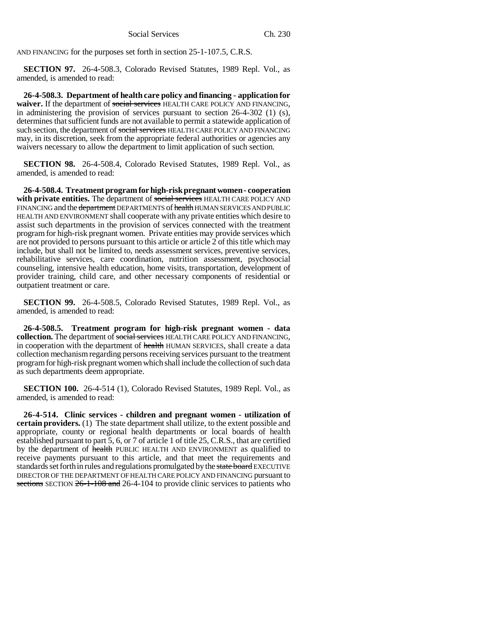AND FINANCING for the purposes set forth in section 25-1-107.5, C.R.S.

**SECTION 97.** 26-4-508.3, Colorado Revised Statutes, 1989 Repl. Vol., as amended, is amended to read:

**26-4-508.3. Department of health care policy and financing - application for** waiver. If the department of social services HEALTH CARE POLICY AND FINANCING, in administering the provision of services pursuant to section 26-4-302 (1) (s), determines that sufficient funds are not available to permit a statewide application of such section, the department of social services HEALTH CARE POLICY AND FINANCING may, in its discretion, seek from the appropriate federal authorities or agencies any waivers necessary to allow the department to limit application of such section.

**SECTION 98.** 26-4-508.4, Colorado Revised Statutes, 1989 Repl. Vol., as amended, is amended to read:

**26-4-508.4. Treatment program for high-risk pregnant women - cooperation** with private entities. The department of social services HEALTH CARE POLICY AND FINANCING and the department DEPARTMENTS of health HUMAN SERVICES AND PUBLIC HEALTH AND ENVIRONMENT shall cooperate with any private entities which desire to assist such departments in the provision of services connected with the treatment program for high-risk pregnant women. Private entities may provide services which are not provided to persons pursuant to this article or article 2 of this title which may include, but shall not be limited to, needs assessment services, preventive services, rehabilitative services, care coordination, nutrition assessment, psychosocial counseling, intensive health education, home visits, transportation, development of provider training, child care, and other necessary components of residential or outpatient treatment or care.

**SECTION 99.** 26-4-508.5, Colorado Revised Statutes, 1989 Repl. Vol., as amended, is amended to read:

**26-4-508.5. Treatment program for high-risk pregnant women - data collection.** The department of social services HEALTH CARE POLICY AND FINANCING, in cooperation with the department of health HUMAN SERVICES, shall create a data collection mechanism regarding persons receiving services pursuant to the treatment program for high-risk pregnant women which shall include the collection of such data as such departments deem appropriate.

**SECTION 100.** 26-4-514 (1), Colorado Revised Statutes, 1989 Repl. Vol., as amended, is amended to read:

**26-4-514. Clinic services - children and pregnant women - utilization of certain providers.** (1) The state department shall utilize, to the extent possible and appropriate, county or regional health departments or local boards of health established pursuant to part 5, 6, or 7 of article 1 of title 25, C.R.S., that are certified by the department of health PUBLIC HEALTH AND ENVIRONMENT as qualified to receive payments pursuant to this article, and that meet the requirements and standards set forth in rules and regulations promulgated by the state board EXECUTIVE DIRECTOR OF THE DEPARTMENT OF HEALTH CARE POLICY AND FINANCING pursuant to sections SECTION 26-1-108 and 26-4-104 to provide clinic services to patients who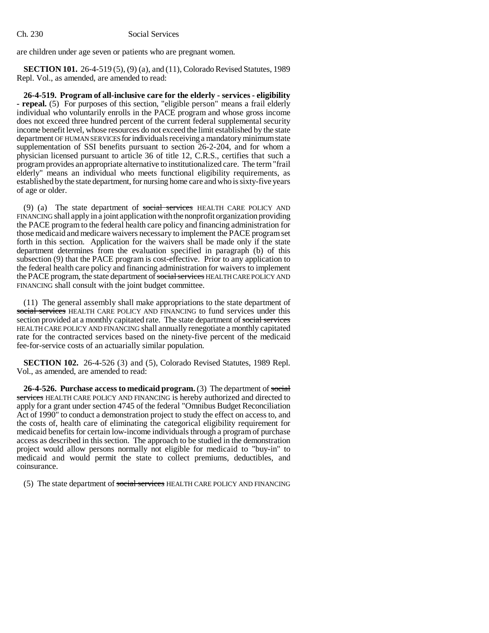are children under age seven or patients who are pregnant women.

**SECTION 101.** 26-4-519 (5), (9) (a), and (11), Colorado Revised Statutes, 1989 Repl. Vol., as amended, are amended to read:

**26-4-519. Program of all-inclusive care for the elderly - services - eligibility - repeal.** (5) For purposes of this section, "eligible person" means a frail elderly individual who voluntarily enrolls in the PACE program and whose gross income does not exceed three hundred percent of the current federal supplemental security income benefit level, whose resources do not exceed the limit established by the state department OF HUMAN SERVICES for individuals receiving a mandatory minimum state supplementation of SSI benefits pursuant to section 26-2-204, and for whom a physician licensed pursuant to article 36 of title 12, C.R.S., certifies that such a program provides an appropriate alternative to institutionalized care. The term "frail elderly" means an individual who meets functional eligibility requirements, as established by the state department, for nursing home care and who is sixty-five years of age or older.

(9) (a) The state department of social services HEALTH CARE POLICY AND FINANCING shall apply in a joint application with the nonprofit organization providing the PACE program to the federal health care policy and financing administration for those medicaid and medicare waivers necessary to implement the PACE program set forth in this section. Application for the waivers shall be made only if the state department determines from the evaluation specified in paragraph (b) of this subsection (9) that the PACE program is cost-effective. Prior to any application to the federal health care policy and financing administration for waivers to implement the PACE program, the state department of social services HEALTH CARE POLICY AND FINANCING shall consult with the joint budget committee.

(11) The general assembly shall make appropriations to the state department of social services HEALTH CARE POLICY AND FINANCING to fund services under this section provided at a monthly capitated rate. The state department of social services HEALTH CARE POLICY AND FINANCING shall annually renegotiate a monthly capitated rate for the contracted services based on the ninety-five percent of the medicaid fee-for-service costs of an actuarially similar population.

**SECTION 102.** 26-4-526 (3) and (5), Colorado Revised Statutes, 1989 Repl. Vol., as amended, are amended to read:

**26-4-526. Purchase access to medicaid program.** (3) The department of social services HEALTH CARE POLICY AND FINANCING is hereby authorized and directed to apply for a grant under section 4745 of the federal "Omnibus Budget Reconciliation Act of 1990" to conduct a demonstration project to study the effect on access to, and the costs of, health care of eliminating the categorical eligibility requirement for medicaid benefits for certain low-income individuals through a program of purchase access as described in this section. The approach to be studied in the demonstration project would allow persons normally not eligible for medicaid to "buy-in" to medicaid and would permit the state to collect premiums, deductibles, and coinsurance.

(5) The state department of social services HEALTH CARE POLICY AND FINANCING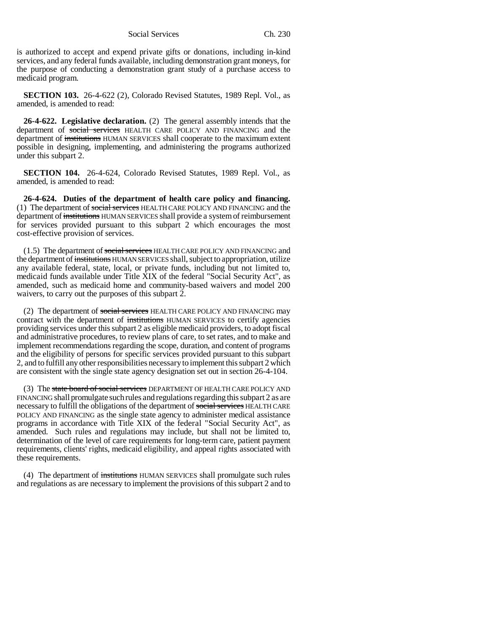is authorized to accept and expend private gifts or donations, including in-kind services, and any federal funds available, including demonstration grant moneys, for the purpose of conducting a demonstration grant study of a purchase access to medicaid program.

**SECTION 103.** 26-4-622 (2), Colorado Revised Statutes, 1989 Repl. Vol., as amended, is amended to read:

**26-4-622. Legislative declaration.** (2) The general assembly intends that the department of social services HEALTH CARE POLICY AND FINANCING and the department of institutions HUMAN SERVICES shall cooperate to the maximum extent possible in designing, implementing, and administering the programs authorized under this subpart 2.

**SECTION 104.** 26-4-624, Colorado Revised Statutes, 1989 Repl. Vol., as amended, is amended to read:

**26-4-624. Duties of the department of health care policy and financing.** (1) The department of social services HEALTH CARE POLICY AND FINANCING and the department of institutions HUMAN SERVICES shall provide a system of reimbursement for services provided pursuant to this subpart 2 which encourages the most cost-effective provision of services.

(1.5) The department of social services HEALTH CARE POLICY AND FINANCING and the department of institutions HUMAN SERVICES shall, subject to appropriation, utilize any available federal, state, local, or private funds, including but not limited to, medicaid funds available under Title XIX of the federal "Social Security Act", as amended, such as medicaid home and community-based waivers and model 200 waivers, to carry out the purposes of this subpart 2.

(2) The department of social services HEALTH CARE POLICY AND FINANCING may contract with the department of institutions HUMAN SERVICES to certify agencies providing services under this subpart 2 as eligible medicaid providers, to adopt fiscal and administrative procedures, to review plans of care, to set rates, and to make and implement recommendations regarding the scope, duration, and content of programs and the eligibility of persons for specific services provided pursuant to this subpart 2, and to fulfill any other responsibilities necessary to implement this subpart 2 which are consistent with the single state agency designation set out in section 26-4-104.

(3) The state board of social services DEPARTMENT OF HEALTH CARE POLICY AND FINANCING shall promulgate such rules and regulations regarding this subpart 2 as are necessary to fulfill the obligations of the department of social services HEALTH CARE POLICY AND FINANCING as the single state agency to administer medical assistance programs in accordance with Title XIX of the federal "Social Security Act", as amended. Such rules and regulations may include, but shall not be limited to, determination of the level of care requirements for long-term care, patient payment requirements, clients' rights, medicaid eligibility, and appeal rights associated with these requirements.

(4) The department of institutions HUMAN SERVICES shall promulgate such rules and regulations as are necessary to implement the provisions of this subpart 2 and to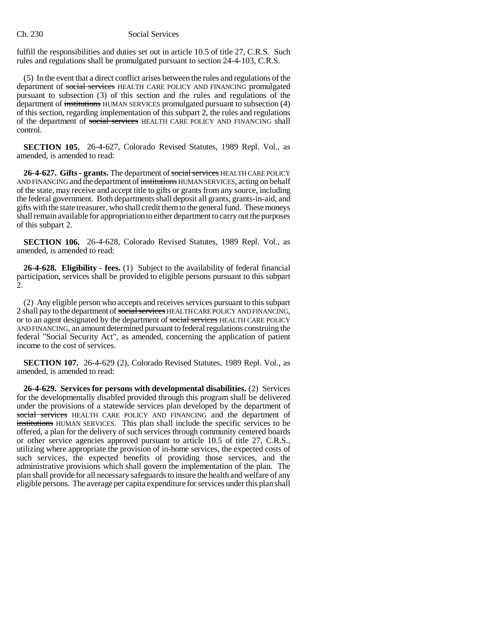## Ch. 230 Social Services

fulfill the responsibilities and duties set out in article 10.5 of title 27, C.R.S. Such rules and regulations shall be promulgated pursuant to section 24-4-103, C.R.S.

(5) In the event that a direct conflict arises between the rules and regulations of the department of social services HEALTH CARE POLICY AND FINANCING promulgated pursuant to subsection (3) of this section and the rules and regulations of the department of institutions HUMAN SERVICES promulgated pursuant to subsection (4) of this section, regarding implementation of this subpart 2, the rules and regulations of the department of social services HEALTH CARE POLICY AND FINANCING shall control.

**SECTION 105.** 26-4-627, Colorado Revised Statutes, 1989 Repl. Vol., as amended, is amended to read:

**26-4-627. Gifts - grants.** The department of social services HEALTH CARE POLICY AND FINANCING and the department of institutions HUMAN SERVICES, acting on behalf of the state, may receive and accept title to gifts or grants from any source, including the federal government. Both departments shall deposit all grants, grants-in-aid, and gifts with the state treasurer, who shall credit them to the general fund. These moneys shall remain available for appropriation to either department to carry out the purposes of this subpart 2.

**SECTION 106.** 26-4-628, Colorado Revised Statutes, 1989 Repl. Vol., as amended, is amended to read:

**26-4-628. Eligibility - fees.** (1) Subject to the availability of federal financial participation, services shall be provided to eligible persons pursuant to this subpart  $\overline{2}$ 

(2) Any eligible person who accepts and receives services pursuant to this subpart 2 shall pay to the department of social services HEALTH CARE POLICY AND FINANCING, or to an agent designated by the department of social services HEALTH CARE POLICY AND FINANCING, an amount determined pursuant to federal regulations construing the federal "Social Security Act", as amended, concerning the application of patient income to the cost of services.

**SECTION 107.** 26-4-629 (2), Colorado Revised Statutes, 1989 Repl. Vol., as amended, is amended to read:

**26-4-629. Services for persons with developmental disabilities.** (2) Services for the developmentally disabled provided through this program shall be delivered under the provisions of a statewide services plan developed by the department of social services HEALTH CARE POLICY AND FINANCING and the department of institutions HUMAN SERVICES. This plan shall include the specific services to be offered, a plan for the delivery of such services through community centered boards or other service agencies approved pursuant to article 10.5 of title 27, C.R.S., utilizing where appropriate the provision of in-home services, the expected costs of such services, the expected benefits of providing those services, and the administrative provisions which shall govern the implementation of the plan. The plan shall provide for all necessary safeguards to insure the health and welfare of any eligible persons. The average per capita expenditure for services under this plan shall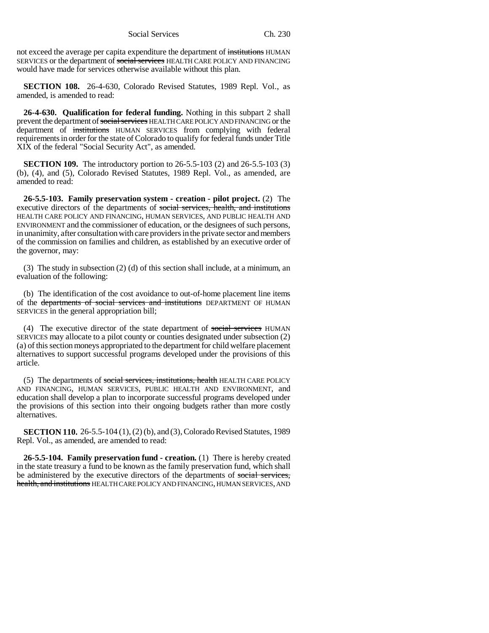not exceed the average per capita expenditure the department of institutions HUMAN SERVICES or the department of social services HEALTH CARE POLICY AND FINANCING would have made for services otherwise available without this plan.

**SECTION 108.** 26-4-630, Colorado Revised Statutes, 1989 Repl. Vol., as amended, is amended to read:

**26-4-630. Qualification for federal funding.** Nothing in this subpart 2 shall prevent the department of social services HEALTH CARE POLICY AND FINANCING or the department of institutions HUMAN SERVICES from complying with federal requirements in order for the state of Colorado to qualify for federal funds under Title XIX of the federal "Social Security Act", as amended.

**SECTION 109.** The introductory portion to 26-5.5-103 (2) and 26-5.5-103 (3) (b), (4), and (5), Colorado Revised Statutes, 1989 Repl. Vol., as amended, are amended to read:

**26-5.5-103. Family preservation system - creation - pilot project.** (2) The executive directors of the departments of social services, health, and institutions HEALTH CARE POLICY AND FINANCING, HUMAN SERVICES, AND PUBLIC HEALTH AND ENVIRONMENT and the commissioner of education, or the designees of such persons, in unanimity, after consultation with care providers in the private sector and members of the commission on families and children, as established by an executive order of the governor, may:

(3) The study in subsection (2) (d) of this section shall include, at a minimum, an evaluation of the following:

(b) The identification of the cost avoidance to out-of-home placement line items of the departments of social services and institutions DEPARTMENT OF HUMAN SERVICES in the general appropriation bill;

(4) The executive director of the state department of social services HUMAN SERVICES may allocate to a pilot county or counties designated under subsection (2) (a) of this section moneys appropriated to the department for child welfare placement alternatives to support successful programs developed under the provisions of this article.

(5) The departments of social services, institutions, health HEALTH CARE POLICY AND FINANCING, HUMAN SERVICES, PUBLIC HEALTH AND ENVIRONMENT, and education shall develop a plan to incorporate successful programs developed under the provisions of this section into their ongoing budgets rather than more costly alternatives.

**SECTION 110.** 26-5.5-104 (1), (2) (b), and (3), Colorado Revised Statutes, 1989 Repl. Vol., as amended, are amended to read:

**26-5.5-104. Family preservation fund - creation.** (1) There is hereby created in the state treasury a fund to be known as the family preservation fund, which shall be administered by the executive directors of the departments of social services, health, and institutions HEALTH CARE POLICY AND FINANCING, HUMAN SERVICES, AND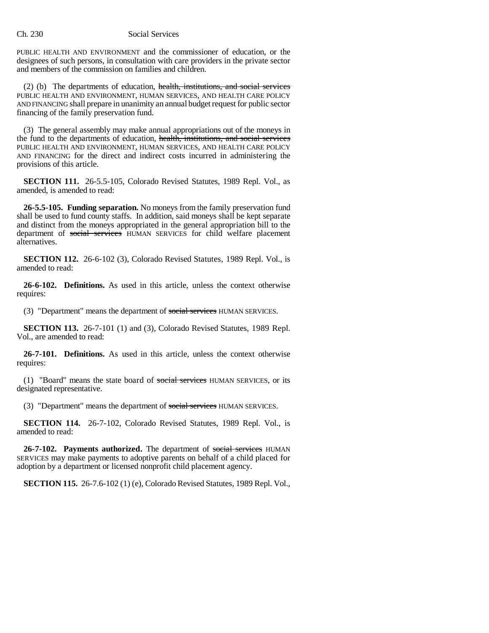## Ch. 230 Social Services

PUBLIC HEALTH AND ENVIRONMENT and the commissioner of education, or the designees of such persons, in consultation with care providers in the private sector and members of the commission on families and children.

(2) (b) The departments of education, health, institutions, and social services PUBLIC HEALTH AND ENVIRONMENT, HUMAN SERVICES, AND HEALTH CARE POLICY AND FINANCING shall prepare in unanimity an annual budget request for public sector financing of the family preservation fund.

(3) The general assembly may make annual appropriations out of the moneys in the fund to the departments of education, health, institutions, and social services PUBLIC HEALTH AND ENVIRONMENT, HUMAN SERVICES, AND HEALTH CARE POLICY AND FINANCING for the direct and indirect costs incurred in administering the provisions of this article.

**SECTION 111.** 26-5.5-105, Colorado Revised Statutes, 1989 Repl. Vol., as amended, is amended to read:

**26-5.5-105. Funding separation.** No moneys from the family preservation fund shall be used to fund county staffs. In addition, said moneys shall be kept separate and distinct from the moneys appropriated in the general appropriation bill to the department of social services HUMAN SERVICES for child welfare placement alternatives.

**SECTION 112.** 26-6-102 (3), Colorado Revised Statutes, 1989 Repl. Vol., is amended to read:

**26-6-102. Definitions.** As used in this article, unless the context otherwise requires:

(3) "Department" means the department of social services HUMAN SERVICES.

**SECTION 113.** 26-7-101 (1) and (3), Colorado Revised Statutes, 1989 Repl. Vol., are amended to read:

**26-7-101. Definitions.** As used in this article, unless the context otherwise requires:

(1) "Board" means the state board of social services HUMAN SERVICES, or its designated representative.

(3) "Department" means the department of social services HUMAN SERVICES.

**SECTION 114.** 26-7-102, Colorado Revised Statutes, 1989 Repl. Vol., is amended to read:

**26-7-102. Payments authorized.** The department of social services HUMAN SERVICES may make payments to adoptive parents on behalf of a child placed for adoption by a department or licensed nonprofit child placement agency.

**SECTION 115.** 26-7.6-102 (1) (e), Colorado Revised Statutes, 1989 Repl. Vol.,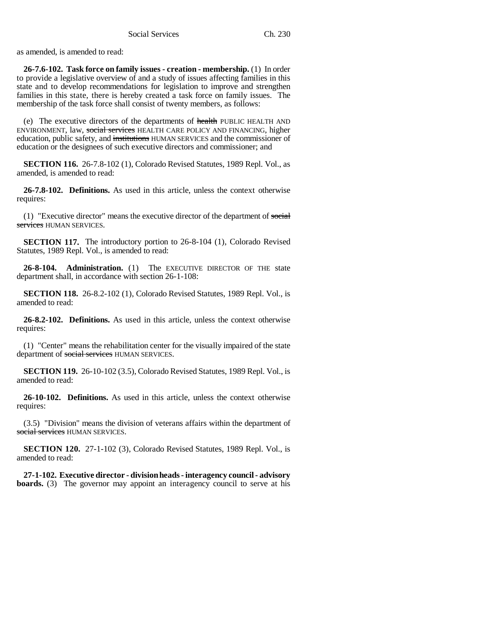as amended, is amended to read:

**26-7.6-102. Task force on family issues - creation - membership.** (1) In order to provide a legislative overview of and a study of issues affecting families in this state and to develop recommendations for legislation to improve and strengthen families in this state, there is hereby created a task force on family issues. The membership of the task force shall consist of twenty members, as follows:

(e) The executive directors of the departments of health PUBLIC HEALTH AND ENVIRONMENT, law, social services HEALTH CARE POLICY AND FINANCING, higher education, public safety, and institutions HUMAN SERVICES and the commissioner of education or the designees of such executive directors and commissioner; and

**SECTION 116.** 26-7.8-102 (1), Colorado Revised Statutes, 1989 Repl. Vol., as amended, is amended to read:

**26-7.8-102. Definitions.** As used in this article, unless the context otherwise requires:

(1) "Executive director" means the executive director of the department of social services HUMAN SERVICES.

**SECTION 117.** The introductory portion to 26-8-104 (1), Colorado Revised Statutes, 1989 Repl. Vol., is amended to read:

**26-8-104. Administration.** (1) The EXECUTIVE DIRECTOR OF THE state department shall, in accordance with section 26-1-108:

**SECTION 118.** 26-8.2-102 (1), Colorado Revised Statutes, 1989 Repl. Vol., is amended to read:

**26-8.2-102. Definitions.** As used in this article, unless the context otherwise requires:

(1) "Center" means the rehabilitation center for the visually impaired of the state department of social services HUMAN SERVICES.

**SECTION 119.** 26-10-102 (3.5), Colorado Revised Statutes, 1989 Repl. Vol., is amended to read:

**26-10-102. Definitions.** As used in this article, unless the context otherwise requires:

(3.5) "Division" means the division of veterans affairs within the department of social services HUMAN SERVICES.

**SECTION 120.** 27-1-102 (3), Colorado Revised Statutes, 1989 Repl. Vol., is amended to read:

**27-1-102. Executive director - division heads - interagency council - advisory boards.** (3) The governor may appoint an interagency council to serve at his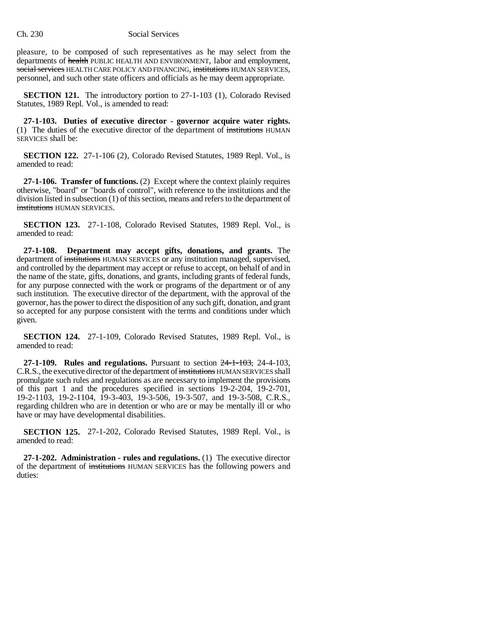pleasure, to be composed of such representatives as he may select from the departments of health PUBLIC HEALTH AND ENVIRONMENT, labor and employment, social services HEALTH CARE POLICY AND FINANCING, institutions HUMAN SERVICES, personnel, and such other state officers and officials as he may deem appropriate.

**SECTION 121.** The introductory portion to 27-1-103 (1), Colorado Revised Statutes, 1989 Repl. Vol., is amended to read:

**27-1-103. Duties of executive director - governor acquire water rights.** (1) The duties of the executive director of the department of institutions HUMAN SERVICES shall be:

**SECTION 122.** 27-1-106 (2), Colorado Revised Statutes, 1989 Repl. Vol., is amended to read:

**27-1-106. Transfer of functions.** (2) Except where the context plainly requires otherwise, "board" or "boards of control", with reference to the institutions and the division listed in subsection (1) of this section, means and refers to the department of institutions HUMAN SERVICES.

**SECTION 123.** 27-1-108, Colorado Revised Statutes, 1989 Repl. Vol., is amended to read:

**27-1-108. Department may accept gifts, donations, and grants.** The department of institutions HUMAN SERVICES or any institution managed, supervised, and controlled by the department may accept or refuse to accept, on behalf of and in the name of the state, gifts, donations, and grants, including grants of federal funds, for any purpose connected with the work or programs of the department or of any such institution. The executive director of the department, with the approval of the governor, has the power to direct the disposition of any such gift, donation, and grant so accepted for any purpose consistent with the terms and conditions under which given.

**SECTION 124.** 27-1-109, Colorado Revised Statutes, 1989 Repl. Vol., is amended to read:

**27-1-109. Rules and regulations.** Pursuant to section 24-1-103, 24-4-103, C.R.S., the executive director of the department of institutions HUMAN SERVICES shall promulgate such rules and regulations as are necessary to implement the provisions of this part 1 and the procedures specified in sections 19-2-204, 19-2-701, 19-2-1103, 19-2-1104, 19-3-403, 19-3-506, 19-3-507, and 19-3-508, C.R.S., regarding children who are in detention or who are or may be mentally ill or who have or may have developmental disabilities.

**SECTION 125.** 27-1-202, Colorado Revised Statutes, 1989 Repl. Vol., is amended to read:

**27-1-202. Administration - rules and regulations.** (1) The executive director of the department of institutions HUMAN SERVICES has the following powers and duties: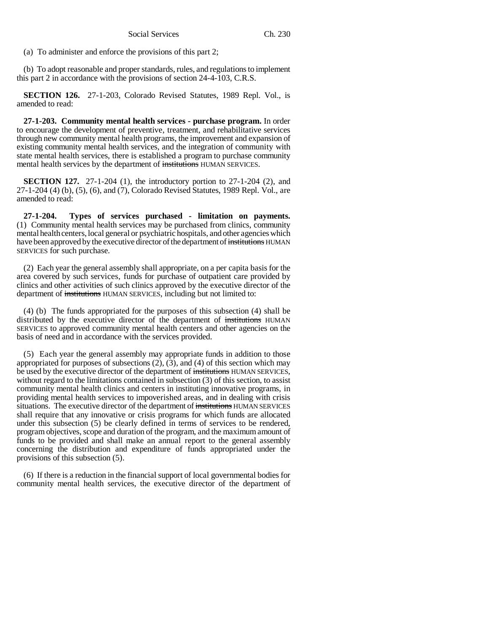(a) To administer and enforce the provisions of this part 2;

(b) To adopt reasonable and proper standards, rules, and regulations to implement this part 2 in accordance with the provisions of section 24-4-103, C.R.S.

**SECTION 126.** 27-1-203, Colorado Revised Statutes, 1989 Repl. Vol., is amended to read:

**27-1-203. Community mental health services - purchase program.** In order to encourage the development of preventive, treatment, and rehabilitative services through new community mental health programs, the improvement and expansion of existing community mental health services, and the integration of community with state mental health services, there is established a program to purchase community mental health services by the department of institutions HUMAN SERVICES.

**SECTION 127.** 27-1-204 (1), the introductory portion to 27-1-204 (2), and 27-1-204 (4) (b), (5), (6), and (7), Colorado Revised Statutes, 1989 Repl. Vol., are amended to read:

**27-1-204. Types of services purchased - limitation on payments.** (1) Community mental health services may be purchased from clinics, community mental health centers, local general or psychiatric hospitals, and other agencies which have been approved by the executive director of the department of institutions HUMAN SERVICES for such purchase.

(2) Each year the general assembly shall appropriate, on a per capita basis for the area covered by such services, funds for purchase of outpatient care provided by clinics and other activities of such clinics approved by the executive director of the department of institutions HUMAN SERVICES, including but not limited to:

(4) (b) The funds appropriated for the purposes of this subsection (4) shall be distributed by the executive director of the department of institutions HUMAN SERVICES to approved community mental health centers and other agencies on the basis of need and in accordance with the services provided.

(5) Each year the general assembly may appropriate funds in addition to those appropriated for purposes of subsections  $(2)$ ,  $(3)$ , and  $(4)$  of this section which may be used by the executive director of the department of institutions HUMAN SERVICES, without regard to the limitations contained in subsection (3) of this section, to assist community mental health clinics and centers in instituting innovative programs, in providing mental health services to impoverished areas, and in dealing with crisis situations. The executive director of the department of institutions HUMAN SERVICES shall require that any innovative or crisis programs for which funds are allocated under this subsection (5) be clearly defined in terms of services to be rendered, program objectives, scope and duration of the program, and the maximum amount of funds to be provided and shall make an annual report to the general assembly concerning the distribution and expenditure of funds appropriated under the provisions of this subsection (5).

(6) If there is a reduction in the financial support of local governmental bodies for community mental health services, the executive director of the department of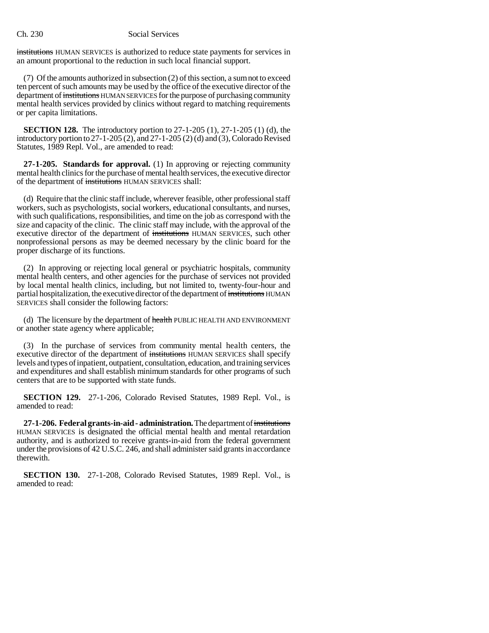## Ch. 230 Social Services

institutions HUMAN SERVICES is authorized to reduce state payments for services in an amount proportional to the reduction in such local financial support.

(7) Of the amounts authorized in subsection (2) of this section, a sum not to exceed ten percent of such amounts may be used by the office of the executive director of the department of institutions HUMAN SERVICES for the purpose of purchasing community mental health services provided by clinics without regard to matching requirements or per capita limitations.

**SECTION 128.** The introductory portion to 27-1-205 (1), 27-1-205 (1) (d), the introductory portion to 27-1-205 (2), and 27-1-205 (2) (d) and (3), Colorado Revised Statutes, 1989 Repl. Vol., are amended to read:

**27-1-205. Standards for approval.** (1) In approving or rejecting community mental health clinics for the purchase of mental health services, the executive director of the department of institutions HUMAN SERVICES shall:

(d) Require that the clinic staff include, wherever feasible, other professional staff workers, such as psychologists, social workers, educational consultants, and nurses, with such qualifications, responsibilities, and time on the job as correspond with the size and capacity of the clinic. The clinic staff may include, with the approval of the executive director of the department of institutions HUMAN SERVICES, such other nonprofessional persons as may be deemed necessary by the clinic board for the proper discharge of its functions.

(2) In approving or rejecting local general or psychiatric hospitals, community mental health centers, and other agencies for the purchase of services not provided by local mental health clinics, including, but not limited to, twenty-four-hour and partial hospitalization, the executive director of the department of institutions HUMAN SERVICES shall consider the following factors:

(d) The licensure by the department of health PUBLIC HEALTH AND ENVIRONMENT or another state agency where applicable;

(3) In the purchase of services from community mental health centers, the executive director of the department of institutions HUMAN SERVICES shall specify levels and types of inpatient, outpatient, consultation, education, and training services and expenditures and shall establish minimum standards for other programs of such centers that are to be supported with state funds.

**SECTION 129.** 27-1-206, Colorado Revised Statutes, 1989 Repl. Vol., is amended to read:

**27-1-206. Federal grants-in-aid - administration.** The department of institutions HUMAN SERVICES is designated the official mental health and mental retardation authority, and is authorized to receive grants-in-aid from the federal government under the provisions of 42 U.S.C. 246, and shall administer said grants in accordance therewith.

**SECTION 130.** 27-1-208, Colorado Revised Statutes, 1989 Repl. Vol., is amended to read: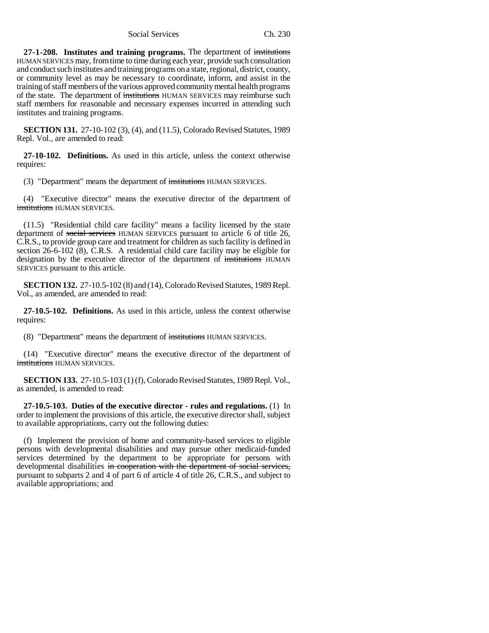**27-1-208. Institutes and training programs.** The department of institutions HUMAN SERVICES may, from time to time during each year, provide such consultation and conduct such institutes and training programs on a state, regional, district, county, or community level as may be necessary to coordinate, inform, and assist in the training of staff members of the various approved community mental health programs of the state. The department of institutions HUMAN SERVICES may reimburse such staff members for reasonable and necessary expenses incurred in attending such institutes and training programs.

**SECTION 131.** 27-10-102 (3), (4), and (11.5), Colorado Revised Statutes, 1989 Repl. Vol., are amended to read:

**27-10-102. Definitions.** As used in this article, unless the context otherwise requires:

(3) "Department" means the department of institutions HUMAN SERVICES.

(4) "Executive director" means the executive director of the department of institutions HUMAN SERVICES.

(11.5) "Residential child care facility" means a facility licensed by the state department of social services HUMAN SERVICES pursuant to article 6 of title 26, C.R.S., to provide group care and treatment for children as such facility is defined in section 26-6-102 (8), C.R.S. A residential child care facility may be eligible for designation by the executive director of the department of institutions HUMAN SERVICES pursuant to this article.

**SECTION 132.** 27-10.5-102 (8) and (14), Colorado Revised Statutes, 1989 Repl. Vol., as amended, are amended to read:

**27-10.5-102. Definitions.** As used in this article, unless the context otherwise requires:

(8) "Department" means the department of institutions HUMAN SERVICES.

(14) "Executive director" means the executive director of the department of **institutions** HUMAN SERVICES.

**SECTION 133.** 27-10.5-103 (1) (f), Colorado Revised Statutes, 1989 Repl. Vol., as amended, is amended to read:

**27-10.5-103. Duties of the executive director - rules and regulations.** (1) In order to implement the provisions of this article, the executive director shall, subject to available appropriations, carry out the following duties:

(f) Implement the provision of home and community-based services to eligible persons with developmental disabilities and may pursue other medicaid-funded services determined by the department to be appropriate for persons with developmental disabilities in cooperation with the department of social services, pursuant to subparts 2 and 4 of part 6 of article 4 of title 26, C.R.S., and subject to available appropriations; and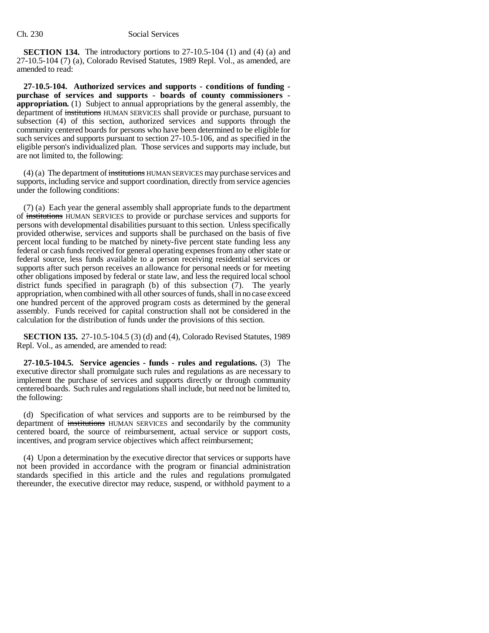**SECTION 134.** The introductory portions to 27-10.5-104 (1) and (4) (a) and 27-10.5-104 (7) (a), Colorado Revised Statutes, 1989 Repl. Vol., as amended, are amended to read:

**27-10.5-104. Authorized services and supports - conditions of funding purchase of services and supports - boards of county commissioners appropriation.** (1) Subject to annual appropriations by the general assembly, the department of institutions HUMAN SERVICES shall provide or purchase, pursuant to subsection (4) of this section, authorized services and supports through the community centered boards for persons who have been determined to be eligible for such services and supports pursuant to section 27-10.5-106, and as specified in the eligible person's individualized plan. Those services and supports may include, but are not limited to, the following:

(4) (a) The department of institutions HUMAN SERVICES may purchase services and supports, including service and support coordination, directly from service agencies under the following conditions:

(7) (a) Each year the general assembly shall appropriate funds to the department of institutions HUMAN SERVICES to provide or purchase services and supports for persons with developmental disabilities pursuant to this section. Unless specifically provided otherwise, services and supports shall be purchased on the basis of five percent local funding to be matched by ninety-five percent state funding less any federal or cash funds received for general operating expenses from any other state or federal source, less funds available to a person receiving residential services or supports after such person receives an allowance for personal needs or for meeting other obligations imposed by federal or state law, and less the required local school district funds specified in paragraph (b) of this subsection (7). The yearly appropriation, when combined with all other sources of funds, shall in no case exceed one hundred percent of the approved program costs as determined by the general assembly. Funds received for capital construction shall not be considered in the calculation for the distribution of funds under the provisions of this section.

**SECTION 135.** 27-10.5-104.5 (3) (d) and (4), Colorado Revised Statutes, 1989 Repl. Vol., as amended, are amended to read:

**27-10.5-104.5. Service agencies - funds - rules and regulations.** (3) The executive director shall promulgate such rules and regulations as are necessary to implement the purchase of services and supports directly or through community centered boards. Such rules and regulations shall include, but need not be limited to, the following:

(d) Specification of what services and supports are to be reimbursed by the department of institutions HUMAN SERVICES and secondarily by the community centered board, the source of reimbursement, actual service or support costs, incentives, and program service objectives which affect reimbursement;

(4) Upon a determination by the executive director that services or supports have not been provided in accordance with the program or financial administration standards specified in this article and the rules and regulations promulgated thereunder, the executive director may reduce, suspend, or withhold payment to a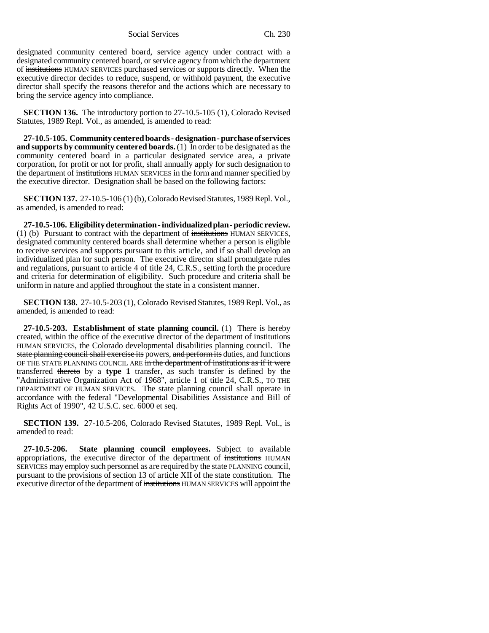designated community centered board, service agency under contract with a designated community centered board, or service agency from which the department of institutions HUMAN SERVICES purchased services or supports directly. When the executive director decides to reduce, suspend, or withhold payment, the executive director shall specify the reasons therefor and the actions which are necessary to bring the service agency into compliance.

**SECTION 136.** The introductory portion to 27-10.5-105 (1), Colorado Revised Statutes, 1989 Repl. Vol., as amended, is amended to read:

**27-10.5-105. Community centered boards - designation - purchase of services and supports by community centered boards.** (1) In order to be designated as the community centered board in a particular designated service area, a private corporation, for profit or not for profit, shall annually apply for such designation to the department of institutions HUMAN SERVICES in the form and manner specified by the executive director. Designation shall be based on the following factors:

**SECTION 137.** 27-10.5-106 (1) (b), Colorado Revised Statutes, 1989 Repl. Vol., as amended, is amended to read:

**27-10.5-106. Eligibility determination - individualized plan - periodic review.** (1) (b) Pursuant to contract with the department of institutions HUMAN SERVICES, designated community centered boards shall determine whether a person is eligible to receive services and supports pursuant to this article, and if so shall develop an individualized plan for such person. The executive director shall promulgate rules and regulations, pursuant to article 4 of title 24, C.R.S., setting forth the procedure and criteria for determination of eligibility. Such procedure and criteria shall be uniform in nature and applied throughout the state in a consistent manner.

**SECTION 138.** 27-10.5-203 (1), Colorado Revised Statutes, 1989 Repl. Vol., as amended, is amended to read:

**27-10.5-203. Establishment of state planning council.** (1) There is hereby created, within the office of the executive director of the department of institutions HUMAN SERVICES, the Colorado developmental disabilities planning council. The state planning council shall exercise its powers, and perform its duties, and functions OF THE STATE PLANNING COUNCIL ARE in the department of institutions as if it were transferred thereto by a **type 1** transfer, as such transfer is defined by the "Administrative Organization Act of 1968", article 1 of title 24, C.R.S., TO THE DEPARTMENT OF HUMAN SERVICES. The state planning council shall operate in accordance with the federal "Developmental Disabilities Assistance and Bill of Rights Act of 1990", 42 U.S.C. sec. 6000 et seq.

**SECTION 139.** 27-10.5-206, Colorado Revised Statutes, 1989 Repl. Vol., is amended to read:

**27-10.5-206. State planning council employees.** Subject to available appropriations, the executive director of the department of institutions HUMAN SERVICES may employ such personnel as are required by the state PLANNING council, pursuant to the provisions of section 13 of article XII of the state constitution. The executive director of the department of institutions HUMAN SERVICES will appoint the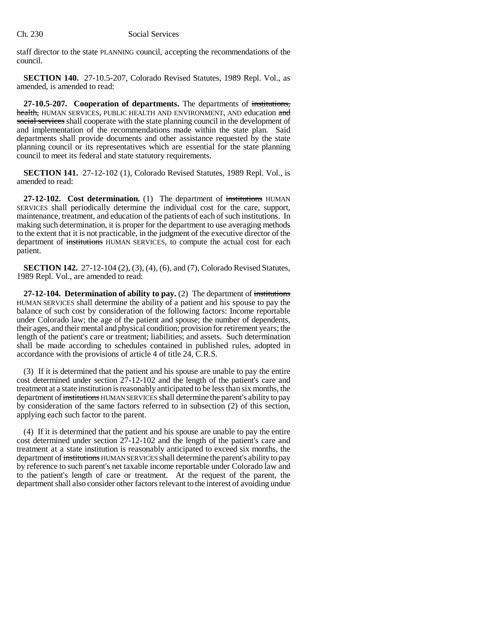staff director to the state PLANNING council, accepting the recommendations of the council.

**SECTION 140.** 27-10.5-207, Colorado Revised Statutes, 1989 Repl. Vol., as amended, is amended to read:

**27-10.5-207. Cooperation of departments.** The departments of institutions, health, HUMAN SERVICES, PUBLIC HEALTH AND ENVIRONMENT, AND education and social services shall cooperate with the state planning council in the development of and implementation of the recommendations made within the state plan. Said departments shall provide documents and other assistance requested by the state planning council or its representatives which are essential for the state planning council to meet its federal and state statutory requirements.

**SECTION 141.** 27-12-102 (1), Colorado Revised Statutes, 1989 Repl. Vol., is amended to read:

**27-12-102. Cost determination.** (1) The department of institutions HUMAN SERVICES shall periodically determine the individual cost for the care, support, maintenance, treatment, and education of the patients of each of such institutions. In making such determination, it is proper for the department to use averaging methods to the extent that it is not practicable, in the judgment of the executive director of the department of institutions HUMAN SERVICES, to compute the actual cost for each patient.

**SECTION 142.** 27-12-104 (2), (3), (4), (6), and (7), Colorado Revised Statutes, 1989 Repl. Vol., are amended to read:

**27-12-104. Determination of ability to pay.** (2) The department of institutions HUMAN SERVICES shall determine the ability of a patient and his spouse to pay the balance of such cost by consideration of the following factors: Income reportable under Colorado law; the age of the patient and spouse; the number of dependents, their ages, and their mental and physical condition; provision for retirement years; the length of the patient's care or treatment; liabilities; and assets. Such determination shall be made according to schedules contained in published rules, adopted in accordance with the provisions of article 4 of title 24, C.R.S.

(3) If it is determined that the patient and his spouse are unable to pay the entire cost determined under section 27-12-102 and the length of the patient's care and treatment at a state institution is reasonably anticipated to be less than six months, the department of institutions HUMAN SERVICES shall determine the parent's ability to pay by consideration of the same factors referred to in subsection (2) of this section, applying each such factor to the parent.

(4) If it is determined that the patient and his spouse are unable to pay the entire cost determined under section 27-12-102 and the length of the patient's care and treatment at a state institution is reasonably anticipated to exceed six months, the department of institutions HUMAN SERVICES shall determine the parent's ability to pay by reference to such parent's net taxable income reportable under Colorado law and to the patient's length of care or treatment. At the request of the parent, the department shall also consider other factors relevant to the interest of avoiding undue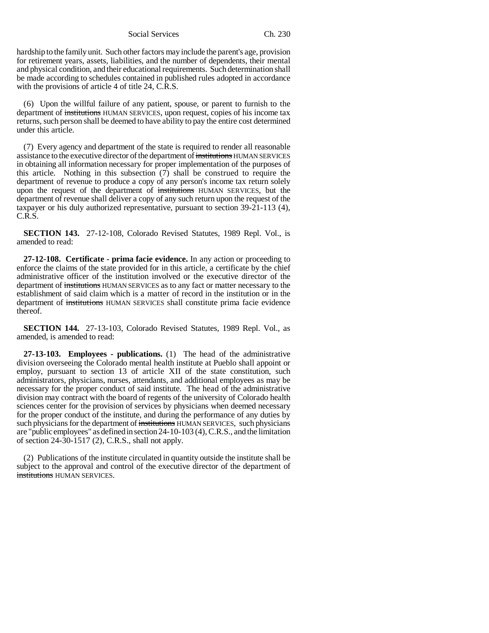hardship to the family unit. Such other factors may include the parent's age, provision for retirement years, assets, liabilities, and the number of dependents, their mental and physical condition, and their educational requirements. Such determination shall be made according to schedules contained in published rules adopted in accordance with the provisions of article 4 of title 24, C.R.S.

(6) Upon the willful failure of any patient, spouse, or parent to furnish to the department of institutions HUMAN SERVICES, upon request, copies of his income tax returns, such person shall be deemed to have ability to pay the entire cost determined under this article.

(7) Every agency and department of the state is required to render all reasonable assistance to the executive director of the department of institutions HUMAN SERVICES in obtaining all information necessary for proper implementation of the purposes of this article. Nothing in this subsection (7) shall be construed to require the department of revenue to produce a copy of any person's income tax return solely upon the request of the department of institutions HUMAN SERVICES, but the department of revenue shall deliver a copy of any such return upon the request of the taxpayer or his duly authorized representative, pursuant to section 39-21-113 (4), C.R.S.

**SECTION 143.** 27-12-108, Colorado Revised Statutes, 1989 Repl. Vol., is amended to read:

**27-12-108. Certificate - prima facie evidence.** In any action or proceeding to enforce the claims of the state provided for in this article, a certificate by the chief administrative officer of the institution involved or the executive director of the department of institutions HUMAN SERVICES as to any fact or matter necessary to the establishment of said claim which is a matter of record in the institution or in the department of institutions HUMAN SERVICES shall constitute prima facie evidence thereof.

**SECTION 144.** 27-13-103, Colorado Revised Statutes, 1989 Repl. Vol., as amended, is amended to read:

**27-13-103. Employees - publications.** (1) The head of the administrative division overseeing the Colorado mental health institute at Pueblo shall appoint or employ, pursuant to section 13 of article XII of the state constitution, such administrators, physicians, nurses, attendants, and additional employees as may be necessary for the proper conduct of said institute. The head of the administrative division may contract with the board of regents of the university of Colorado health sciences center for the provision of services by physicians when deemed necessary for the proper conduct of the institute, and during the performance of any duties by such physicians for the department of institutions HUMAN SERVICES, such physicians are "public employees" as defined in section 24-10-103 (4), C.R.S., and the limitation of section 24-30-1517 (2), C.R.S., shall not apply.

(2) Publications of the institute circulated in quantity outside the institute shall be subject to the approval and control of the executive director of the department of **institutions HUMAN SERVICES.**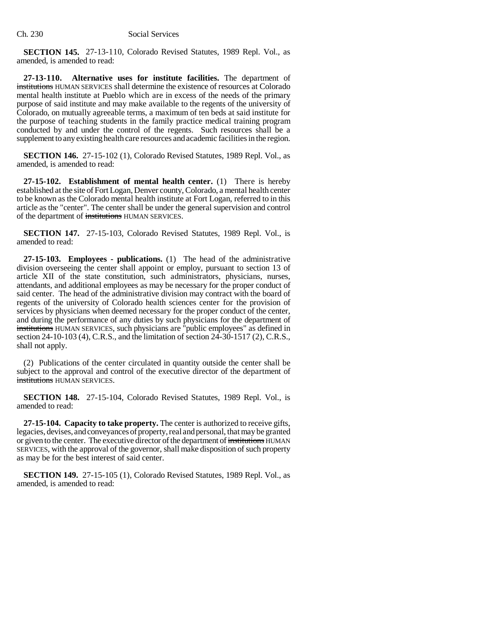**SECTION 145.** 27-13-110, Colorado Revised Statutes, 1989 Repl. Vol., as amended, is amended to read:

**27-13-110. Alternative uses for institute facilities.** The department of institutions HUMAN SERVICES shall determine the existence of resources at Colorado mental health institute at Pueblo which are in excess of the needs of the primary purpose of said institute and may make available to the regents of the university of Colorado, on mutually agreeable terms, a maximum of ten beds at said institute for the purpose of teaching students in the family practice medical training program conducted by and under the control of the regents. Such resources shall be a supplement to any existing health care resources and academic facilities in the region.

**SECTION 146.** 27-15-102 (1), Colorado Revised Statutes, 1989 Repl. Vol., as amended, is amended to read:

**27-15-102. Establishment of mental health center.** (1) There is hereby established at the site of Fort Logan, Denver county, Colorado, a mental health center to be known as the Colorado mental health institute at Fort Logan, referred to in this article as the "center". The center shall be under the general supervision and control of the department of institutions HUMAN SERVICES.

**SECTION 147.** 27-15-103, Colorado Revised Statutes, 1989 Repl. Vol., is amended to read:

**27-15-103. Employees - publications.** (1) The head of the administrative division overseeing the center shall appoint or employ, pursuant to section 13 of article XII of the state constitution, such administrators, physicians, nurses, attendants, and additional employees as may be necessary for the proper conduct of said center. The head of the administrative division may contract with the board of regents of the university of Colorado health sciences center for the provision of services by physicians when deemed necessary for the proper conduct of the center, and during the performance of any duties by such physicians for the department of institutions HUMAN SERVICES, such physicians are "public employees" as defined in section 24-10-103 (4), C.R.S., and the limitation of section 24-30-1517 (2), C.R.S., shall not apply.

(2) Publications of the center circulated in quantity outside the center shall be subject to the approval and control of the executive director of the department of **institutions** HUMAN SERVICES.

**SECTION 148.** 27-15-104, Colorado Revised Statutes, 1989 Repl. Vol., is amended to read:

**27-15-104. Capacity to take property.** The center is authorized to receive gifts, legacies, devises, and conveyances of property, real and personal, that may be granted or given to the center. The executive director of the department of institutions HUMAN SERVICES, with the approval of the governor, shall make disposition of such property as may be for the best interest of said center.

**SECTION 149.** 27-15-105 (1), Colorado Revised Statutes, 1989 Repl. Vol., as amended, is amended to read: